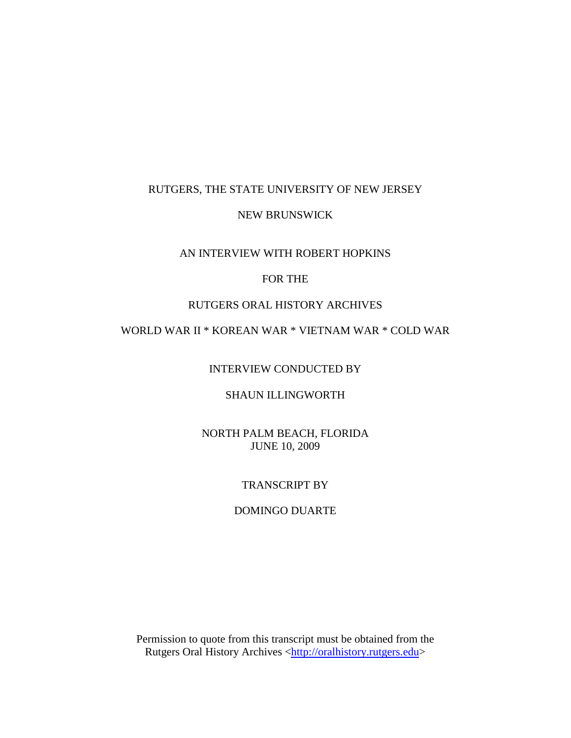### RUTGERS, THE STATE UNIVERSITY OF NEW JERSEY

### NEW BRUNSWICK

### AN INTERVIEW WITH ROBERT HOPKINS

### FOR THE

### RUTGERS ORAL HISTORY ARCHIVES

# WORLD WAR II \* KOREAN WAR \* VIETNAM WAR \* COLD WAR

INTERVIEW CONDUCTED BY

### SHAUN ILLINGWORTH

NORTH PALM BEACH, FLORIDA JUNE 10, 2009

### TRANSCRIPT BY

#### DOMINGO DUARTE

Permission to quote from this transcript must be obtained from the Rutgers Oral History Archives [<http://oralhistory.rutgers.edu>](http://oralhistory.rutgers.edu/)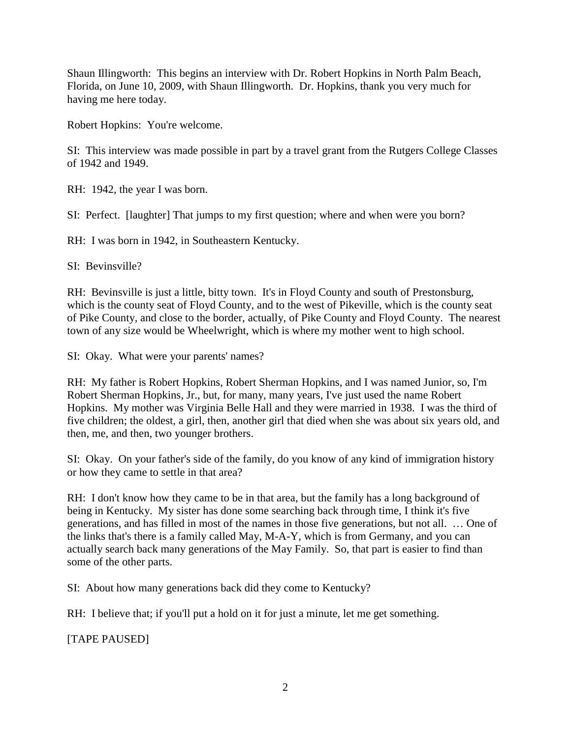Shaun Illingworth: This begins an interview with Dr. Robert Hopkins in North Palm Beach, Florida, on June 10, 2009, with Shaun Illingworth. Dr. Hopkins, thank you very much for having me here today.

Robert Hopkins: You're welcome.

SI: This interview was made possible in part by a travel grant from the Rutgers College Classes of 1942 and 1949.

RH: 1942, the year I was born.

SI: Perfect. [laughter] That jumps to my first question; where and when were you born?

RH: I was born in 1942, in Southeastern Kentucky.

SI: Bevinsville?

RH: Bevinsville is just a little, bitty town. It's in Floyd County and south of Prestonsburg, which is the county seat of Floyd County, and to the west of Pikeville, which is the county seat of Pike County, and close to the border, actually, of Pike County and Floyd County. The nearest town of any size would be Wheelwright, which is where my mother went to high school.

SI: Okay. What were your parents' names?

RH: My father is Robert Hopkins, Robert Sherman Hopkins, and I was named Junior, so, I'm Robert Sherman Hopkins, Jr., but, for many, many years, I've just used the name Robert Hopkins. My mother was Virginia Belle Hall and they were married in 1938. I was the third of five children; the oldest, a girl, then, another girl that died when she was about six years old, and then, me, and then, two younger brothers.

SI: Okay. On your father's side of the family, do you know of any kind of immigration history or how they came to settle in that area?

RH: I don't know how they came to be in that area, but the family has a long background of being in Kentucky. My sister has done some searching back through time, I think it's five generations, and has filled in most of the names in those five generations, but not all. … One of the links that's there is a family called May, M-A-Y, which is from Germany, and you can actually search back many generations of the May Family. So, that part is easier to find than some of the other parts.

SI: About how many generations back did they come to Kentucky?

RH: I believe that; if you'll put a hold on it for just a minute, let me get something.

[TAPE PAUSED]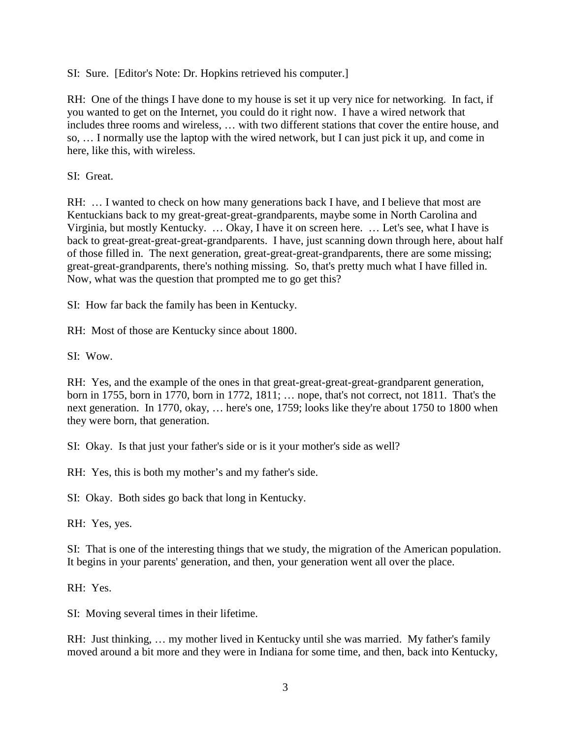SI: Sure. [Editor's Note: Dr. Hopkins retrieved his computer.]

RH: One of the things I have done to my house is set it up very nice for networking. In fact, if you wanted to get on the Internet, you could do it right now. I have a wired network that includes three rooms and wireless, … with two different stations that cover the entire house, and so, … I normally use the laptop with the wired network, but I can just pick it up, and come in here, like this, with wireless.

SI: Great.

RH: ... I wanted to check on how many generations back I have, and I believe that most are Kentuckians back to my great-great-great-grandparents, maybe some in North Carolina and Virginia, but mostly Kentucky. … Okay, I have it on screen here. … Let's see, what I have is back to great-great-great-great-grandparents. I have, just scanning down through here, about half of those filled in. The next generation, great-great-great-grandparents, there are some missing; great-great-grandparents, there's nothing missing. So, that's pretty much what I have filled in. Now, what was the question that prompted me to go get this?

SI: How far back the family has been in Kentucky.

RH: Most of those are Kentucky since about 1800.

SI: Wow.

RH: Yes, and the example of the ones in that great-great-great-great-grandparent generation, born in 1755, born in 1770, born in 1772, 1811; … nope, that's not correct, not 1811. That's the next generation. In 1770, okay, … here's one, 1759; looks like they're about 1750 to 1800 when they were born, that generation.

SI: Okay. Is that just your father's side or is it your mother's side as well?

RH: Yes, this is both my mother's and my father's side.

SI: Okay. Both sides go back that long in Kentucky.

RH: Yes, yes.

SI: That is one of the interesting things that we study, the migration of the American population. It begins in your parents' generation, and then, your generation went all over the place.

RH: Yes.

SI: Moving several times in their lifetime.

RH: Just thinking, … my mother lived in Kentucky until she was married. My father's family moved around a bit more and they were in Indiana for some time, and then, back into Kentucky,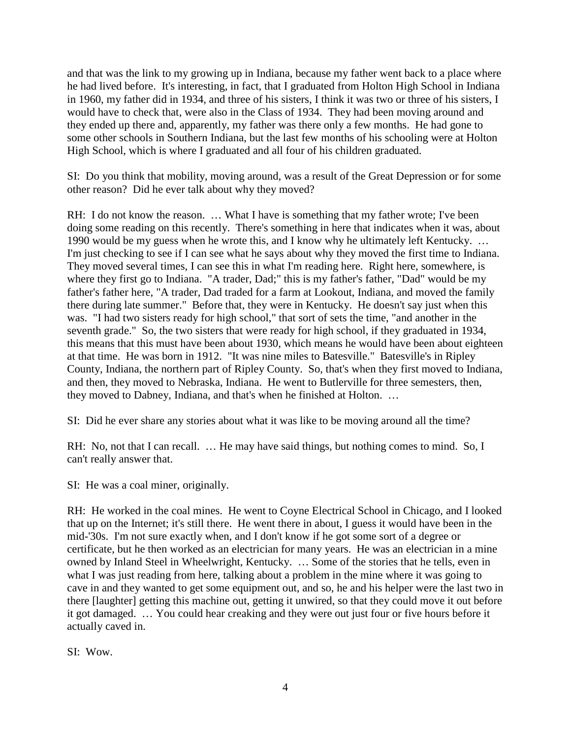and that was the link to my growing up in Indiana, because my father went back to a place where he had lived before. It's interesting, in fact, that I graduated from Holton High School in Indiana in 1960, my father did in 1934, and three of his sisters, I think it was two or three of his sisters, I would have to check that, were also in the Class of 1934. They had been moving around and they ended up there and, apparently, my father was there only a few months. He had gone to some other schools in Southern Indiana, but the last few months of his schooling were at Holton High School, which is where I graduated and all four of his children graduated.

SI: Do you think that mobility, moving around, was a result of the Great Depression or for some other reason? Did he ever talk about why they moved?

RH: I do not know the reason. ... What I have is something that my father wrote; I've been doing some reading on this recently. There's something in here that indicates when it was, about 1990 would be my guess when he wrote this, and I know why he ultimately left Kentucky. … I'm just checking to see if I can see what he says about why they moved the first time to Indiana. They moved several times, I can see this in what I'm reading here. Right here, somewhere, is where they first go to Indiana. "A trader, Dad;" this is my father's father, "Dad" would be my father's father here, "A trader, Dad traded for a farm at Lookout, Indiana, and moved the family there during late summer." Before that, they were in Kentucky. He doesn't say just when this was. "I had two sisters ready for high school," that sort of sets the time, "and another in the seventh grade." So, the two sisters that were ready for high school, if they graduated in 1934, this means that this must have been about 1930, which means he would have been about eighteen at that time. He was born in 1912. "It was nine miles to Batesville." Batesville's in Ripley County, Indiana, the northern part of Ripley County. So, that's when they first moved to Indiana, and then, they moved to Nebraska, Indiana. He went to Butlerville for three semesters, then, they moved to Dabney, Indiana, and that's when he finished at Holton. …

SI: Did he ever share any stories about what it was like to be moving around all the time?

RH: No, not that I can recall. ... He may have said things, but nothing comes to mind. So, I can't really answer that.

SI: He was a coal miner, originally.

RH: He worked in the coal mines. He went to Coyne Electrical School in Chicago, and I looked that up on the Internet; it's still there. He went there in about, I guess it would have been in the mid-'30s. I'm not sure exactly when, and I don't know if he got some sort of a degree or certificate, but he then worked as an electrician for many years. He was an electrician in a mine owned by Inland Steel in Wheelwright, Kentucky. … Some of the stories that he tells, even in what I was just reading from here, talking about a problem in the mine where it was going to cave in and they wanted to get some equipment out, and so, he and his helper were the last two in there [laughter] getting this machine out, getting it unwired, so that they could move it out before it got damaged. … You could hear creaking and they were out just four or five hours before it actually caved in.

SI: Wow.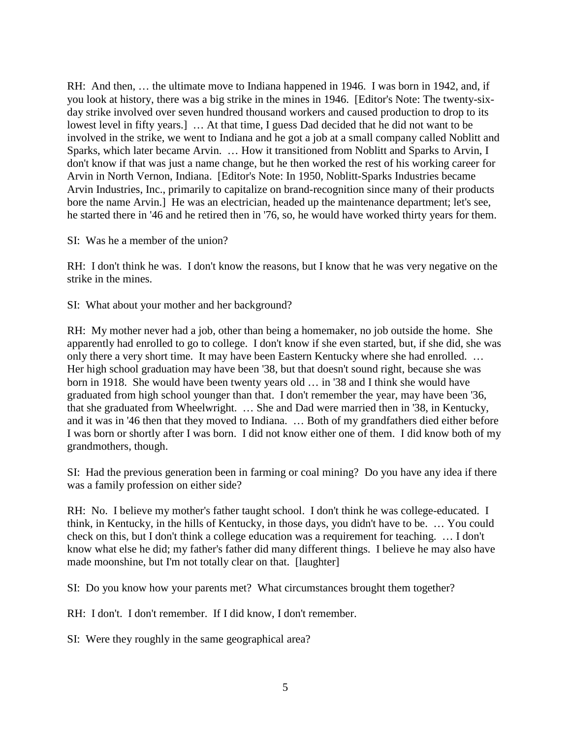RH: And then, … the ultimate move to Indiana happened in 1946. I was born in 1942, and, if you look at history, there was a big strike in the mines in 1946. [Editor's Note: The twenty-sixday strike involved over seven hundred thousand workers and caused production to drop to its lowest level in fifty years.] … At that time, I guess Dad decided that he did not want to be involved in the strike, we went to Indiana and he got a job at a small company called Noblitt and Sparks, which later became Arvin. … How it transitioned from Noblitt and Sparks to Arvin, I don't know if that was just a name change, but he then worked the rest of his working career for Arvin in North Vernon, Indiana. [Editor's Note: In 1950, Noblitt-Sparks Industries became Arvin Industries, Inc., primarily to capitalize on brand-recognition since many of their products bore the name Arvin.] He was an electrician, headed up the maintenance department; let's see, he started there in '46 and he retired then in '76, so, he would have worked thirty years for them.

SI: Was he a member of the union?

RH: I don't think he was. I don't know the reasons, but I know that he was very negative on the strike in the mines.

SI: What about your mother and her background?

RH: My mother never had a job, other than being a homemaker, no job outside the home. She apparently had enrolled to go to college. I don't know if she even started, but, if she did, she was only there a very short time. It may have been Eastern Kentucky where she had enrolled. … Her high school graduation may have been '38, but that doesn't sound right, because she was born in 1918. She would have been twenty years old … in '38 and I think she would have graduated from high school younger than that. I don't remember the year, may have been '36, that she graduated from Wheelwright. … She and Dad were married then in '38, in Kentucky, and it was in '46 then that they moved to Indiana. … Both of my grandfathers died either before I was born or shortly after I was born. I did not know either one of them. I did know both of my grandmothers, though.

SI: Had the previous generation been in farming or coal mining? Do you have any idea if there was a family profession on either side?

RH: No. I believe my mother's father taught school. I don't think he was college-educated. I think, in Kentucky, in the hills of Kentucky, in those days, you didn't have to be. … You could check on this, but I don't think a college education was a requirement for teaching. … I don't know what else he did; my father's father did many different things. I believe he may also have made moonshine, but I'm not totally clear on that. [laughter]

SI: Do you know how your parents met? What circumstances brought them together?

RH: I don't. I don't remember. If I did know, I don't remember.

SI: Were they roughly in the same geographical area?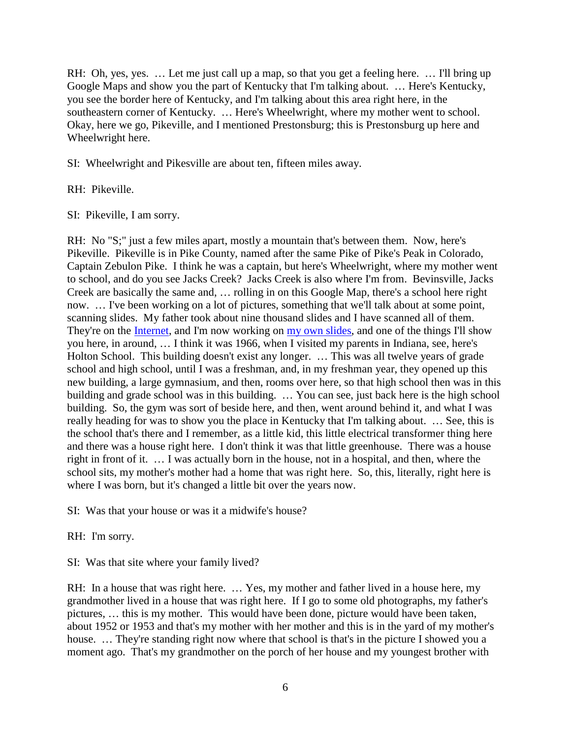RH: Oh, yes, yes. ... Let me just call up a map, so that you get a feeling here. ... I'll bring up Google Maps and show you the part of Kentucky that I'm talking about. … Here's Kentucky, you see the border here of Kentucky, and I'm talking about this area right here, in the southeastern corner of Kentucky. … Here's Wheelwright, where my mother went to school. Okay, here we go, Pikeville, and I mentioned Prestonsburg; this is Prestonsburg up here and Wheelwright here.

SI: Wheelwright and Pikesville are about ten, fifteen miles away.

RH: Pikeville.

SI: Pikeville, I am sorry.

RH: No "S;" just a few miles apart, mostly a mountain that's between them. Now, here's Pikeville. Pikeville is in Pike County, named after the same Pike of Pike's Peak in Colorado, Captain Zebulon Pike. I think he was a captain, but here's Wheelwright, where my mother went to school, and do you see Jacks Creek? Jacks Creek is also where I'm from. Bevinsville, Jacks Creek are basically the same and, … rolling in on this Google Map, there's a school here right now. … I've been working on a lot of pictures, something that we'll talk about at some point, scanning slides. My father took about nine thousand slides and I have scanned all of them. They're on the [Internet,](http://rhopkins.us/slides/) and I'm now working on [my own slides,](http://rhopkins.us/mypix/) and one of the things I'll show you here, in around, … I think it was 1966, when I visited my parents in Indiana, see, here's Holton School. This building doesn't exist any longer. ... This was all twelve years of grade school and high school, until I was a freshman, and, in my freshman year, they opened up this new building, a large gymnasium, and then, rooms over here, so that high school then was in this building and grade school was in this building. … You can see, just back here is the high school building. So, the gym was sort of beside here, and then, went around behind it, and what I was really heading for was to show you the place in Kentucky that I'm talking about. … See, this is the school that's there and I remember, as a little kid, this little electrical transformer thing here and there was a house right here. I don't think it was that little greenhouse. There was a house right in front of it. … I was actually born in the house, not in a hospital, and then, where the school sits, my mother's mother had a home that was right here. So, this, literally, right here is where I was born, but it's changed a little bit over the years now.

SI: Was that your house or was it a midwife's house?

RH: I'm sorry.

SI: Was that site where your family lived?

RH: In a house that was right here. … Yes, my mother and father lived in a house here, my grandmother lived in a house that was right here. If I go to some old photographs, my father's pictures, … this is my mother. This would have been done, picture would have been taken, about 1952 or 1953 and that's my mother with her mother and this is in the yard of my mother's house. ... They're standing right now where that school is that's in the picture I showed you a moment ago. That's my grandmother on the porch of her house and my youngest brother with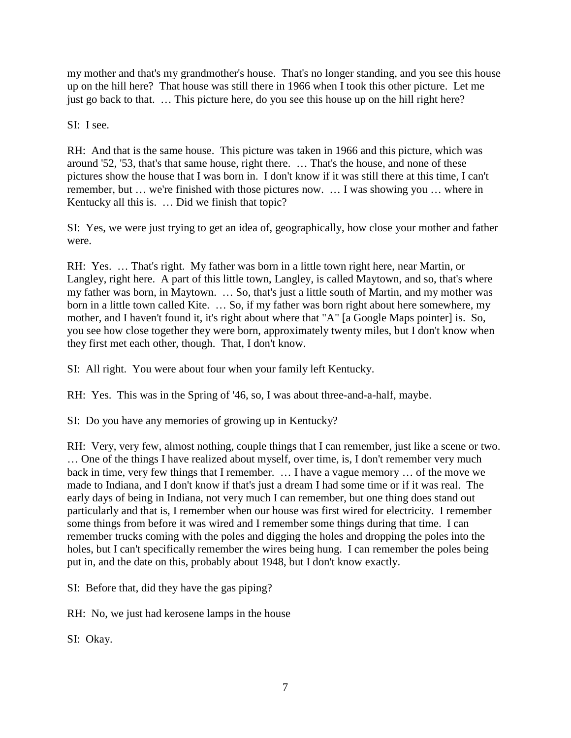my mother and that's my grandmother's house. That's no longer standing, and you see this house up on the hill here? That house was still there in 1966 when I took this other picture. Let me just go back to that. … This picture here, do you see this house up on the hill right here?

SI: I see.

RH: And that is the same house. This picture was taken in 1966 and this picture, which was around '52, '53, that's that same house, right there. … That's the house, and none of these pictures show the house that I was born in. I don't know if it was still there at this time, I can't remember, but … we're finished with those pictures now. … I was showing you … where in Kentucky all this is. … Did we finish that topic?

SI: Yes, we were just trying to get an idea of, geographically, how close your mother and father were.

RH: Yes. … That's right. My father was born in a little town right here, near Martin, or Langley, right here. A part of this little town, Langley, is called Maytown, and so, that's where my father was born, in Maytown. … So, that's just a little south of Martin, and my mother was born in a little town called Kite. … So, if my father was born right about here somewhere, my mother, and I haven't found it, it's right about where that "A" [a Google Maps pointer] is. So, you see how close together they were born, approximately twenty miles, but I don't know when they first met each other, though. That, I don't know.

SI: All right. You were about four when your family left Kentucky.

RH: Yes. This was in the Spring of '46, so, I was about three-and-a-half, maybe.

SI: Do you have any memories of growing up in Kentucky?

RH: Very, very few, almost nothing, couple things that I can remember, just like a scene or two. … One of the things I have realized about myself, over time, is, I don't remember very much back in time, very few things that I remember. … I have a vague memory … of the move we made to Indiana, and I don't know if that's just a dream I had some time or if it was real. The early days of being in Indiana, not very much I can remember, but one thing does stand out particularly and that is, I remember when our house was first wired for electricity. I remember some things from before it was wired and I remember some things during that time. I can remember trucks coming with the poles and digging the holes and dropping the poles into the holes, but I can't specifically remember the wires being hung. I can remember the poles being put in, and the date on this, probably about 1948, but I don't know exactly.

SI: Before that, did they have the gas piping?

RH: No, we just had kerosene lamps in the house

SI: Okay.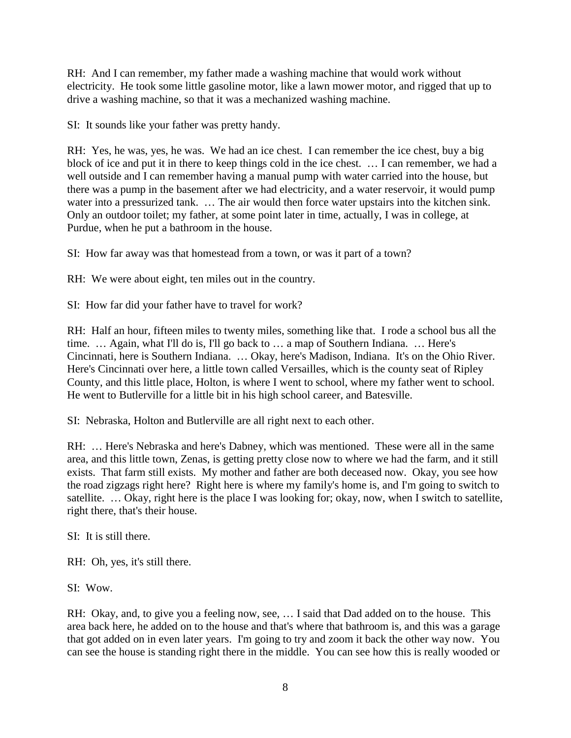RH: And I can remember, my father made a washing machine that would work without electricity. He took some little gasoline motor, like a lawn mower motor, and rigged that up to drive a washing machine, so that it was a mechanized washing machine.

SI: It sounds like your father was pretty handy.

RH: Yes, he was, yes, he was. We had an ice chest. I can remember the ice chest, buy a big block of ice and put it in there to keep things cold in the ice chest. … I can remember, we had a well outside and I can remember having a manual pump with water carried into the house, but there was a pump in the basement after we had electricity, and a water reservoir, it would pump water into a pressurized tank. ... The air would then force water upstairs into the kitchen sink. Only an outdoor toilet; my father, at some point later in time, actually, I was in college, at Purdue, when he put a bathroom in the house.

SI: How far away was that homestead from a town, or was it part of a town?

RH: We were about eight, ten miles out in the country.

SI: How far did your father have to travel for work?

RH: Half an hour, fifteen miles to twenty miles, something like that. I rode a school bus all the time. … Again, what I'll do is, I'll go back to … a map of Southern Indiana. … Here's Cincinnati, here is Southern Indiana. … Okay, here's Madison, Indiana. It's on the Ohio River. Here's Cincinnati over here, a little town called Versailles, which is the county seat of Ripley County, and this little place, Holton, is where I went to school, where my father went to school. He went to Butlerville for a little bit in his high school career, and Batesville.

SI: Nebraska, Holton and Butlerville are all right next to each other.

RH: … Here's Nebraska and here's Dabney, which was mentioned. These were all in the same area, and this little town, Zenas, is getting pretty close now to where we had the farm, and it still exists. That farm still exists. My mother and father are both deceased now. Okay, you see how the road zigzags right here? Right here is where my family's home is, and I'm going to switch to satellite. … Okay, right here is the place I was looking for; okay, now, when I switch to satellite, right there, that's their house.

SI: It is still there.

RH: Oh, yes, it's still there.

 $SI:$  Wow.

RH: Okay, and, to give you a feeling now, see, … I said that Dad added on to the house. This area back here, he added on to the house and that's where that bathroom is, and this was a garage that got added on in even later years. I'm going to try and zoom it back the other way now. You can see the house is standing right there in the middle. You can see how this is really wooded or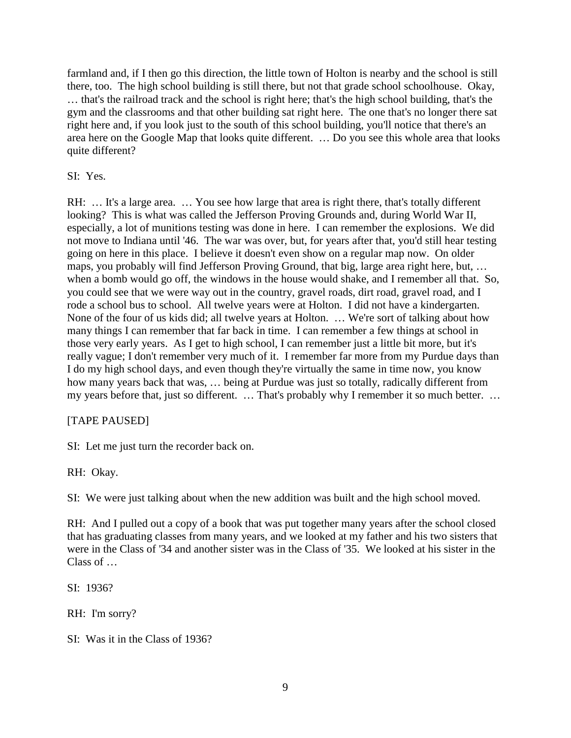farmland and, if I then go this direction, the little town of Holton is nearby and the school is still there, too. The high school building is still there, but not that grade school schoolhouse. Okay, … that's the railroad track and the school is right here; that's the high school building, that's the gym and the classrooms and that other building sat right here. The one that's no longer there sat right here and, if you look just to the south of this school building, you'll notice that there's an area here on the Google Map that looks quite different. … Do you see this whole area that looks quite different?

SI: Yes.

RH: … It's a large area. … You see how large that area is right there, that's totally different looking? This is what was called the Jefferson Proving Grounds and, during World War II, especially, a lot of munitions testing was done in here. I can remember the explosions. We did not move to Indiana until '46. The war was over, but, for years after that, you'd still hear testing going on here in this place. I believe it doesn't even show on a regular map now. On older maps, you probably will find Jefferson Proving Ground, that big, large area right here, but, … when a bomb would go off, the windows in the house would shake, and I remember all that. So, you could see that we were way out in the country, gravel roads, dirt road, gravel road, and I rode a school bus to school. All twelve years were at Holton. I did not have a kindergarten. None of the four of us kids did; all twelve years at Holton. … We're sort of talking about how many things I can remember that far back in time. I can remember a few things at school in those very early years. As I get to high school, I can remember just a little bit more, but it's really vague; I don't remember very much of it. I remember far more from my Purdue days than I do my high school days, and even though they're virtually the same in time now, you know how many years back that was, … being at Purdue was just so totally, radically different from my years before that, just so different. … That's probably why I remember it so much better. …

# [TAPE PAUSED]

SI: Let me just turn the recorder back on.

RH: Okay.

SI: We were just talking about when the new addition was built and the high school moved.

RH: And I pulled out a copy of a book that was put together many years after the school closed that has graduating classes from many years, and we looked at my father and his two sisters that were in the Class of '34 and another sister was in the Class of '35. We looked at his sister in the Class of …

SI: 1936?

RH: I'm sorry?

SI: Was it in the Class of 1936?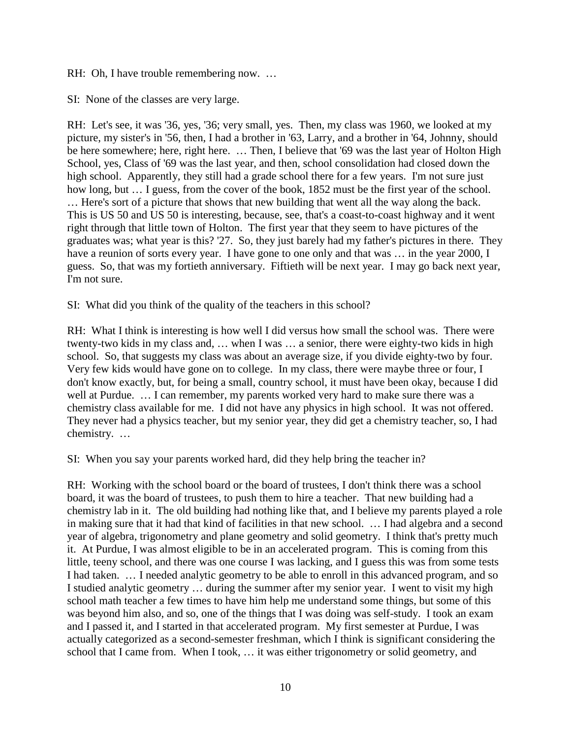RH: Oh, I have trouble remembering now. ...

SI: None of the classes are very large.

RH: Let's see, it was '36, yes, '36; very small, yes. Then, my class was 1960, we looked at my picture, my sister's in '56, then, I had a brother in '63, Larry, and a brother in '64, Johnny, should be here somewhere; here, right here. … Then, I believe that '69 was the last year of Holton High School, yes, Class of '69 was the last year, and then, school consolidation had closed down the high school. Apparently, they still had a grade school there for a few years. I'm not sure just how long, but ... I guess, from the cover of the book, 1852 must be the first year of the school. … Here's sort of a picture that shows that new building that went all the way along the back. This is US 50 and US 50 is interesting, because, see, that's a coast-to-coast highway and it went right through that little town of Holton. The first year that they seem to have pictures of the graduates was; what year is this? '27. So, they just barely had my father's pictures in there. They have a reunion of sorts every year. I have gone to one only and that was ... in the year 2000, I guess. So, that was my fortieth anniversary. Fiftieth will be next year. I may go back next year, I'm not sure.

SI: What did you think of the quality of the teachers in this school?

RH: What I think is interesting is how well I did versus how small the school was. There were twenty-two kids in my class and, … when I was … a senior, there were eighty-two kids in high school. So, that suggests my class was about an average size, if you divide eighty-two by four. Very few kids would have gone on to college. In my class, there were maybe three or four, I don't know exactly, but, for being a small, country school, it must have been okay, because I did well at Purdue. … I can remember, my parents worked very hard to make sure there was a chemistry class available for me. I did not have any physics in high school. It was not offered. They never had a physics teacher, but my senior year, they did get a chemistry teacher, so, I had chemistry. …

SI: When you say your parents worked hard, did they help bring the teacher in?

RH: Working with the school board or the board of trustees, I don't think there was a school board, it was the board of trustees, to push them to hire a teacher. That new building had a chemistry lab in it. The old building had nothing like that, and I believe my parents played a role in making sure that it had that kind of facilities in that new school. … I had algebra and a second year of algebra, trigonometry and plane geometry and solid geometry. I think that's pretty much it. At Purdue, I was almost eligible to be in an accelerated program. This is coming from this little, teeny school, and there was one course I was lacking, and I guess this was from some tests I had taken. … I needed analytic geometry to be able to enroll in this advanced program, and so I studied analytic geometry … during the summer after my senior year. I went to visit my high school math teacher a few times to have him help me understand some things, but some of this was beyond him also, and so, one of the things that I was doing was self-study. I took an exam and I passed it, and I started in that accelerated program. My first semester at Purdue, I was actually categorized as a second-semester freshman, which I think is significant considering the school that I came from. When I took, … it was either trigonometry or solid geometry, and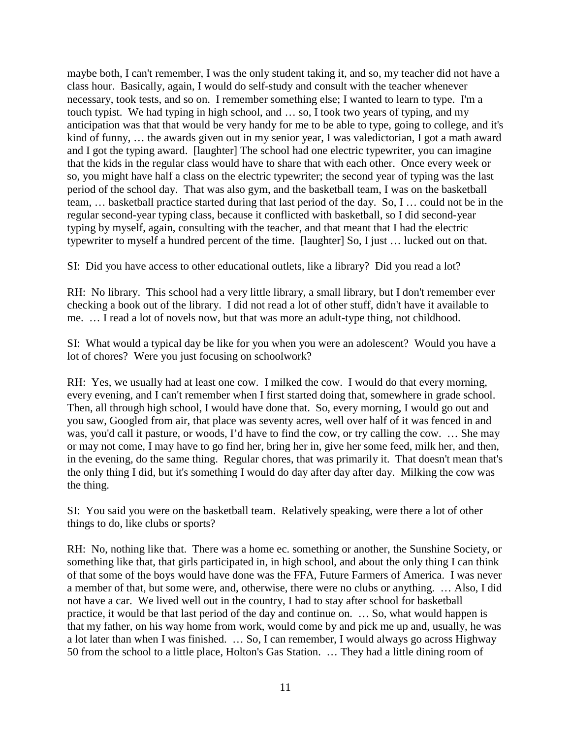maybe both, I can't remember, I was the only student taking it, and so, my teacher did not have a class hour. Basically, again, I would do self-study and consult with the teacher whenever necessary, took tests, and so on. I remember something else; I wanted to learn to type. I'm a touch typist. We had typing in high school, and … so, I took two years of typing, and my anticipation was that that would be very handy for me to be able to type, going to college, and it's kind of funny, … the awards given out in my senior year, I was valedictorian, I got a math award and I got the typing award. [laughter] The school had one electric typewriter, you can imagine that the kids in the regular class would have to share that with each other. Once every week or so, you might have half a class on the electric typewriter; the second year of typing was the last period of the school day. That was also gym, and the basketball team, I was on the basketball team, … basketball practice started during that last period of the day. So, I … could not be in the regular second-year typing class, because it conflicted with basketball, so I did second-year typing by myself, again, consulting with the teacher, and that meant that I had the electric typewriter to myself a hundred percent of the time. [laughter] So, I just … lucked out on that.

SI: Did you have access to other educational outlets, like a library? Did you read a lot?

RH: No library. This school had a very little library, a small library, but I don't remember ever checking a book out of the library. I did not read a lot of other stuff, didn't have it available to me. … I read a lot of novels now, but that was more an adult-type thing, not childhood.

SI: What would a typical day be like for you when you were an adolescent? Would you have a lot of chores? Were you just focusing on schoolwork?

RH: Yes, we usually had at least one cow. I milked the cow. I would do that every morning, every evening, and I can't remember when I first started doing that, somewhere in grade school. Then, all through high school, I would have done that. So, every morning, I would go out and you saw, Googled from air, that place was seventy acres, well over half of it was fenced in and was, you'd call it pasture, or woods, I'd have to find the cow, or try calling the cow. … She may or may not come, I may have to go find her, bring her in, give her some feed, milk her, and then, in the evening, do the same thing. Regular chores, that was primarily it. That doesn't mean that's the only thing I did, but it's something I would do day after day after day. Milking the cow was the thing.

SI: You said you were on the basketball team. Relatively speaking, were there a lot of other things to do, like clubs or sports?

RH: No, nothing like that. There was a home ec. something or another, the Sunshine Society, or something like that, that girls participated in, in high school, and about the only thing I can think of that some of the boys would have done was the FFA, Future Farmers of America. I was never a member of that, but some were, and, otherwise, there were no clubs or anything. … Also, I did not have a car. We lived well out in the country, I had to stay after school for basketball practice, it would be that last period of the day and continue on. … So, what would happen is that my father, on his way home from work, would come by and pick me up and, usually, he was a lot later than when I was finished. … So, I can remember, I would always go across Highway 50 from the school to a little place, Holton's Gas Station. … They had a little dining room of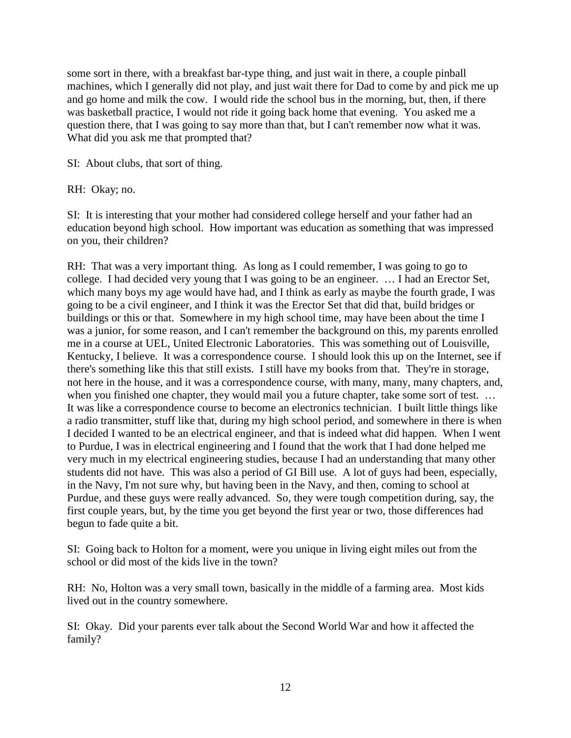some sort in there, with a breakfast bar-type thing, and just wait in there, a couple pinball machines, which I generally did not play, and just wait there for Dad to come by and pick me up and go home and milk the cow. I would ride the school bus in the morning, but, then, if there was basketball practice, I would not ride it going back home that evening. You asked me a question there, that I was going to say more than that, but I can't remember now what it was. What did you ask me that prompted that?

SI: About clubs, that sort of thing.

RH: Okay; no.

SI: It is interesting that your mother had considered college herself and your father had an education beyond high school. How important was education as something that was impressed on you, their children?

RH: That was a very important thing. As long as I could remember, I was going to go to college. I had decided very young that I was going to be an engineer. … I had an Erector Set, which many boys my age would have had, and I think as early as maybe the fourth grade, I was going to be a civil engineer, and I think it was the Erector Set that did that, build bridges or buildings or this or that. Somewhere in my high school time, may have been about the time I was a junior, for some reason, and I can't remember the background on this, my parents enrolled me in a course at UEL, United Electronic Laboratories. This was something out of Louisville, Kentucky, I believe. It was a correspondence course. I should look this up on the Internet, see if there's something like this that still exists. I still have my books from that. They're in storage, not here in the house, and it was a correspondence course, with many, many, many chapters, and, when you finished one chapter, they would mail you a future chapter, take some sort of test. ... It was like a correspondence course to become an electronics technician. I built little things like a radio transmitter, stuff like that, during my high school period, and somewhere in there is when I decided I wanted to be an electrical engineer, and that is indeed what did happen. When I went to Purdue, I was in electrical engineering and I found that the work that I had done helped me very much in my electrical engineering studies, because I had an understanding that many other students did not have. This was also a period of GI Bill use. A lot of guys had been, especially, in the Navy, I'm not sure why, but having been in the Navy, and then, coming to school at Purdue, and these guys were really advanced. So, they were tough competition during, say, the first couple years, but, by the time you get beyond the first year or two, those differences had begun to fade quite a bit.

SI: Going back to Holton for a moment, were you unique in living eight miles out from the school or did most of the kids live in the town?

RH: No, Holton was a very small town, basically in the middle of a farming area. Most kids lived out in the country somewhere.

SI: Okay. Did your parents ever talk about the Second World War and how it affected the family?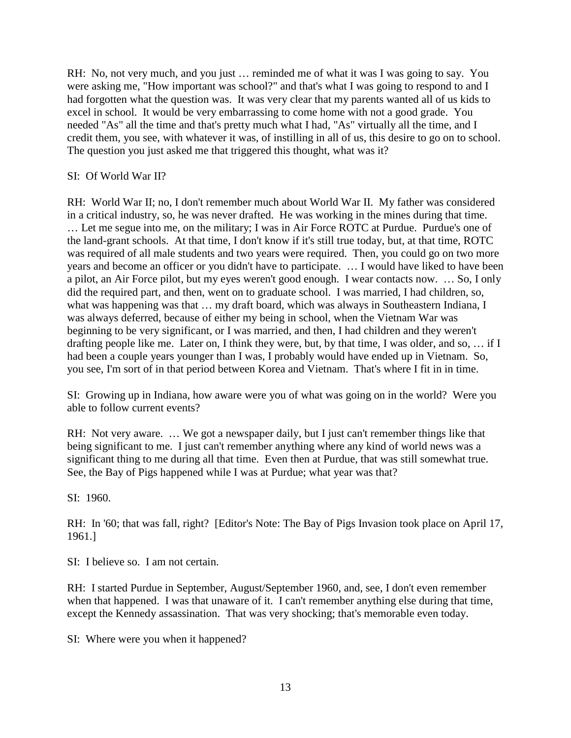RH: No, not very much, and you just ... reminded me of what it was I was going to say. You were asking me, "How important was school?" and that's what I was going to respond to and I had forgotten what the question was. It was very clear that my parents wanted all of us kids to excel in school. It would be very embarrassing to come home with not a good grade. You needed "As" all the time and that's pretty much what I had, "As" virtually all the time, and I credit them, you see, with whatever it was, of instilling in all of us, this desire to go on to school. The question you just asked me that triggered this thought, what was it?

SI: Of World War II?

RH: World War II; no, I don't remember much about World War II. My father was considered in a critical industry, so, he was never drafted. He was working in the mines during that time. … Let me segue into me, on the military; I was in Air Force ROTC at Purdue. Purdue's one of the land-grant schools. At that time, I don't know if it's still true today, but, at that time, ROTC was required of all male students and two years were required. Then, you could go on two more years and become an officer or you didn't have to participate. … I would have liked to have been a pilot, an Air Force pilot, but my eyes weren't good enough. I wear contacts now. … So, I only did the required part, and then, went on to graduate school. I was married, I had children, so, what was happening was that ... my draft board, which was always in Southeastern Indiana, I was always deferred, because of either my being in school, when the Vietnam War was beginning to be very significant, or I was married, and then, I had children and they weren't drafting people like me. Later on, I think they were, but, by that time, I was older, and so, … if I had been a couple years younger than I was, I probably would have ended up in Vietnam. So, you see, I'm sort of in that period between Korea and Vietnam. That's where I fit in in time.

SI: Growing up in Indiana, how aware were you of what was going on in the world? Were you able to follow current events?

RH: Not very aware. … We got a newspaper daily, but I just can't remember things like that being significant to me. I just can't remember anything where any kind of world news was a significant thing to me during all that time. Even then at Purdue, that was still somewhat true. See, the Bay of Pigs happened while I was at Purdue; what year was that?

SI: 1960.

RH: In '60; that was fall, right? [Editor's Note: The Bay of Pigs Invasion took place on April 17, 1961.]

SI: I believe so. I am not certain.

RH: I started Purdue in September, August/September 1960, and, see, I don't even remember when that happened. I was that unaware of it. I can't remember anything else during that time, except the Kennedy assassination. That was very shocking; that's memorable even today.

SI: Where were you when it happened?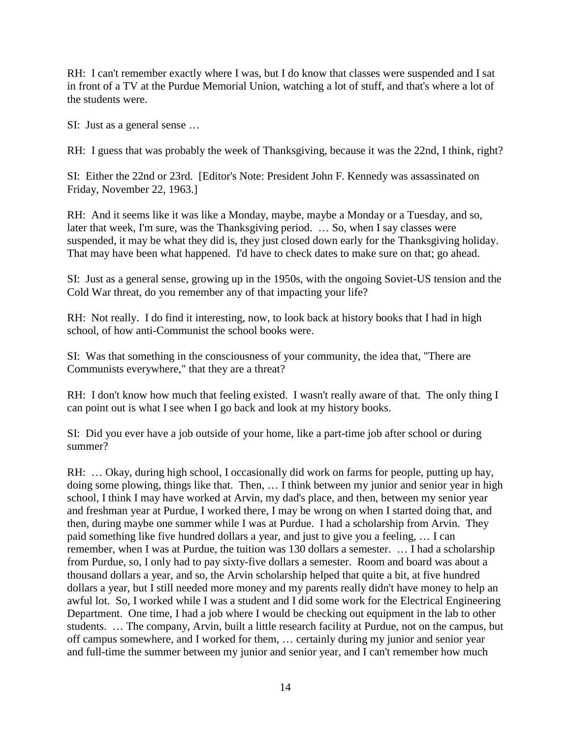RH: I can't remember exactly where I was, but I do know that classes were suspended and I sat in front of a TV at the Purdue Memorial Union, watching a lot of stuff, and that's where a lot of the students were.

SI: Just as a general sense …

RH: I guess that was probably the week of Thanksgiving, because it was the 22nd, I think, right?

SI: Either the 22nd or 23rd. [Editor's Note: President John F. Kennedy was assassinated on Friday, November 22, 1963.]

RH: And it seems like it was like a Monday, maybe, maybe a Monday or a Tuesday, and so, later that week, I'm sure, was the Thanksgiving period. … So, when I say classes were suspended, it may be what they did is, they just closed down early for the Thanksgiving holiday. That may have been what happened. I'd have to check dates to make sure on that; go ahead.

SI: Just as a general sense, growing up in the 1950s, with the ongoing Soviet-US tension and the Cold War threat, do you remember any of that impacting your life?

RH: Not really. I do find it interesting, now, to look back at history books that I had in high school, of how anti-Communist the school books were.

SI: Was that something in the consciousness of your community, the idea that, "There are Communists everywhere," that they are a threat?

RH: I don't know how much that feeling existed. I wasn't really aware of that. The only thing I can point out is what I see when I go back and look at my history books.

SI: Did you ever have a job outside of your home, like a part-time job after school or during summer?

RH: ... Okay, during high school, I occasionally did work on farms for people, putting up hay, doing some plowing, things like that. Then, … I think between my junior and senior year in high school, I think I may have worked at Arvin, my dad's place, and then, between my senior year and freshman year at Purdue, I worked there, I may be wrong on when I started doing that, and then, during maybe one summer while I was at Purdue. I had a scholarship from Arvin. They paid something like five hundred dollars a year, and just to give you a feeling, … I can remember, when I was at Purdue, the tuition was 130 dollars a semester. … I had a scholarship from Purdue, so, I only had to pay sixty-five dollars a semester. Room and board was about a thousand dollars a year, and so, the Arvin scholarship helped that quite a bit, at five hundred dollars a year, but I still needed more money and my parents really didn't have money to help an awful lot. So, I worked while I was a student and I did some work for the Electrical Engineering Department. One time, I had a job where I would be checking out equipment in the lab to other students. … The company, Arvin, built a little research facility at Purdue, not on the campus, but off campus somewhere, and I worked for them, … certainly during my junior and senior year and full-time the summer between my junior and senior year, and I can't remember how much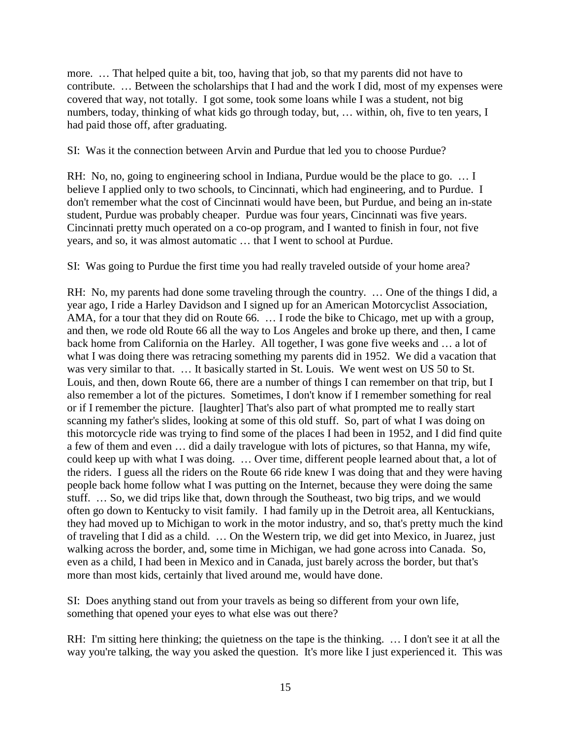more. … That helped quite a bit, too, having that job, so that my parents did not have to contribute. … Between the scholarships that I had and the work I did, most of my expenses were covered that way, not totally. I got some, took some loans while I was a student, not big numbers, today, thinking of what kids go through today, but, … within, oh, five to ten years, I had paid those off, after graduating.

SI: Was it the connection between Arvin and Purdue that led you to choose Purdue?

RH: No, no, going to engineering school in Indiana, Purdue would be the place to go. ... I believe I applied only to two schools, to Cincinnati, which had engineering, and to Purdue. I don't remember what the cost of Cincinnati would have been, but Purdue, and being an in-state student, Purdue was probably cheaper. Purdue was four years, Cincinnati was five years. Cincinnati pretty much operated on a co-op program, and I wanted to finish in four, not five years, and so, it was almost automatic … that I went to school at Purdue.

SI: Was going to Purdue the first time you had really traveled outside of your home area?

RH: No, my parents had done some traveling through the country. … One of the things I did, a year ago, I ride a Harley Davidson and I signed up for an American Motorcyclist Association, AMA, for a tour that they did on Route 66. … I rode the bike to Chicago, met up with a group, and then, we rode old Route 66 all the way to Los Angeles and broke up there, and then, I came back home from California on the Harley. All together, I was gone five weeks and … a lot of what I was doing there was retracing something my parents did in 1952. We did a vacation that was very similar to that. … It basically started in St. Louis. We went west on US 50 to St. Louis, and then, down Route 66, there are a number of things I can remember on that trip, but I also remember a lot of the pictures. Sometimes, I don't know if I remember something for real or if I remember the picture. [laughter] That's also part of what prompted me to really start scanning my father's slides, looking at some of this old stuff. So, part of what I was doing on this motorcycle ride was trying to find some of the places I had been in 1952, and I did find quite a few of them and even … did a daily travelogue with lots of pictures, so that Hanna, my wife, could keep up with what I was doing. … Over time, different people learned about that, a lot of the riders. I guess all the riders on the Route 66 ride knew I was doing that and they were having people back home follow what I was putting on the Internet, because they were doing the same stuff. … So, we did trips like that, down through the Southeast, two big trips, and we would often go down to Kentucky to visit family. I had family up in the Detroit area, all Kentuckians, they had moved up to Michigan to work in the motor industry, and so, that's pretty much the kind of traveling that I did as a child. … On the Western trip, we did get into Mexico, in Juarez, just walking across the border, and, some time in Michigan, we had gone across into Canada. So, even as a child, I had been in Mexico and in Canada, just barely across the border, but that's more than most kids, certainly that lived around me, would have done.

SI: Does anything stand out from your travels as being so different from your own life, something that opened your eyes to what else was out there?

RH: I'm sitting here thinking; the quietness on the tape is the thinking. … I don't see it at all the way you're talking, the way you asked the question. It's more like I just experienced it. This was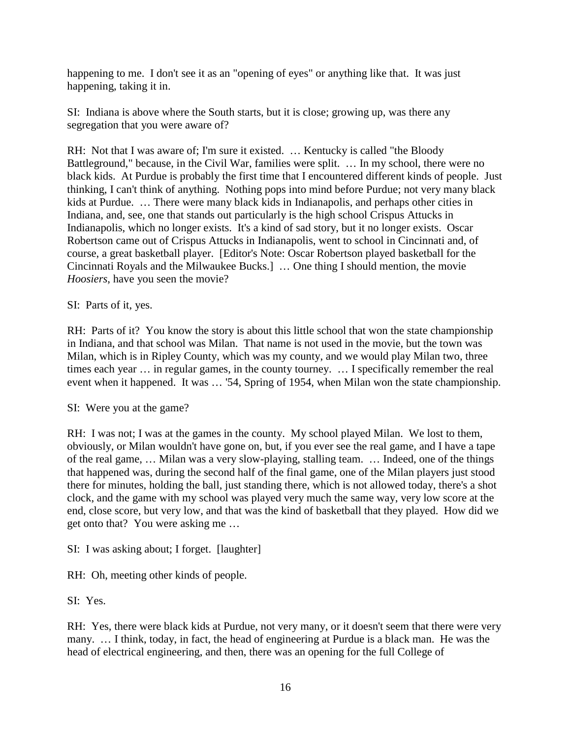happening to me. I don't see it as an "opening of eyes" or anything like that. It was just happening, taking it in.

SI: Indiana is above where the South starts, but it is close; growing up, was there any segregation that you were aware of?

RH: Not that I was aware of; I'm sure it existed. … Kentucky is called "the Bloody Battleground," because, in the Civil War, families were split. … In my school, there were no black kids. At Purdue is probably the first time that I encountered different kinds of people. Just thinking, I can't think of anything. Nothing pops into mind before Purdue; not very many black kids at Purdue. … There were many black kids in Indianapolis, and perhaps other cities in Indiana, and, see, one that stands out particularly is the high school Crispus Attucks in Indianapolis, which no longer exists. It's a kind of sad story, but it no longer exists. Oscar Robertson came out of Crispus Attucks in Indianapolis, went to school in Cincinnati and, of course, a great basketball player. [Editor's Note: Oscar Robertson played basketball for the Cincinnati Royals and the Milwaukee Bucks.] … One thing I should mention, the movie *Hoosiers*, have you seen the movie?

### SI: Parts of it, yes.

RH: Parts of it? You know the story is about this little school that won the state championship in Indiana, and that school was Milan. That name is not used in the movie, but the town was Milan, which is in Ripley County, which was my county, and we would play Milan two, three times each year … in regular games, in the county tourney. … I specifically remember the real event when it happened. It was … '54, Spring of 1954, when Milan won the state championship.

### SI: Were you at the game?

RH: I was not; I was at the games in the county. My school played Milan. We lost to them, obviously, or Milan wouldn't have gone on, but, if you ever see the real game, and I have a tape of the real game, … Milan was a very slow-playing, stalling team. … Indeed, one of the things that happened was, during the second half of the final game, one of the Milan players just stood there for minutes, holding the ball, just standing there, which is not allowed today, there's a shot clock, and the game with my school was played very much the same way, very low score at the end, close score, but very low, and that was the kind of basketball that they played. How did we get onto that? You were asking me …

SI: I was asking about; I forget. [laughter]

RH: Oh, meeting other kinds of people.

SI: Yes.

RH: Yes, there were black kids at Purdue, not very many, or it doesn't seem that there were very many. … I think, today, in fact, the head of engineering at Purdue is a black man. He was the head of electrical engineering, and then, there was an opening for the full College of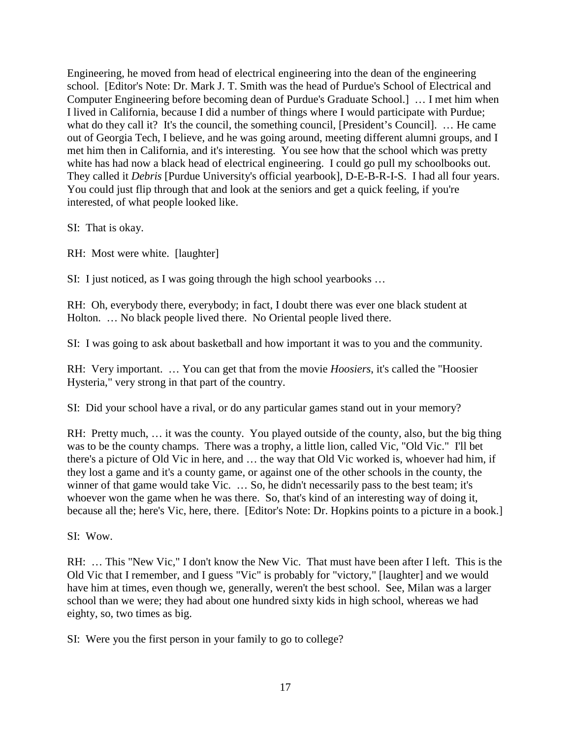Engineering, he moved from head of electrical engineering into the dean of the engineering school. [Editor's Note: Dr. Mark J. T. Smith was the head of Purdue's School of Electrical and Computer Engineering before becoming dean of Purdue's Graduate School.] … I met him when I lived in California, because I did a number of things where I would participate with Purdue; what do they call it? It's the council, the something council, [President's Council]. ... He came out of Georgia Tech, I believe, and he was going around, meeting different alumni groups, and I met him then in California, and it's interesting. You see how that the school which was pretty white has had now a black head of electrical engineering. I could go pull my schoolbooks out. They called it *Debris* [Purdue University's official yearbook], D-E-B-R-I-S. I had all four years. You could just flip through that and look at the seniors and get a quick feeling, if you're interested, of what people looked like.

SI: That is okay.

RH: Most were white. [laughter]

SI: I just noticed, as I was going through the high school yearbooks …

RH: Oh, everybody there, everybody; in fact, I doubt there was ever one black student at Holton. … No black people lived there. No Oriental people lived there.

SI: I was going to ask about basketball and how important it was to you and the community.

RH: Very important. … You can get that from the movie *Hoosiers*, it's called the "Hoosier Hysteria," very strong in that part of the country.

SI: Did your school have a rival, or do any particular games stand out in your memory?

RH: Pretty much, … it was the county. You played outside of the county, also, but the big thing was to be the county champs. There was a trophy, a little lion, called Vic, "Old Vic." I'll bet there's a picture of Old Vic in here, and … the way that Old Vic worked is, whoever had him, if they lost a game and it's a county game, or against one of the other schools in the county, the winner of that game would take Vic. ... So, he didn't necessarily pass to the best team; it's whoever won the game when he was there. So, that's kind of an interesting way of doing it, because all the; here's Vic, here, there. [Editor's Note: Dr. Hopkins points to a picture in a book.]

SI: Wow.

RH: … This "New Vic," I don't know the New Vic. That must have been after I left. This is the Old Vic that I remember, and I guess "Vic" is probably for "victory," [laughter] and we would have him at times, even though we, generally, weren't the best school. See, Milan was a larger school than we were; they had about one hundred sixty kids in high school, whereas we had eighty, so, two times as big.

SI: Were you the first person in your family to go to college?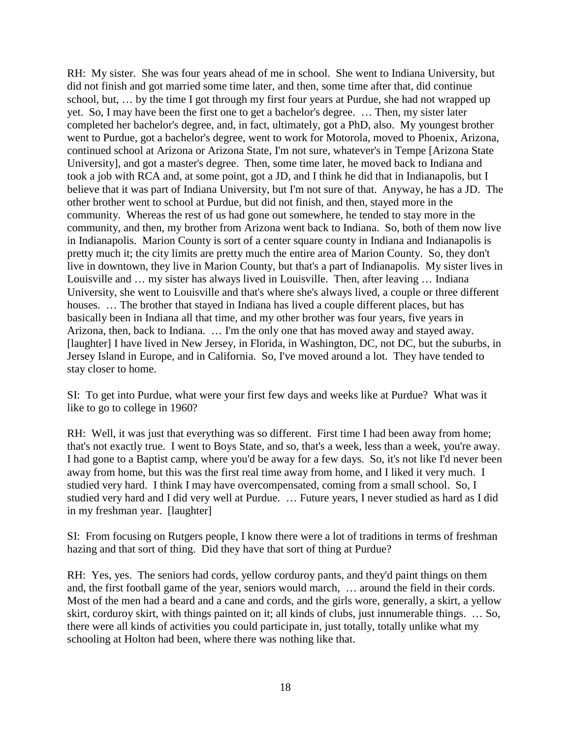RH: My sister. She was four years ahead of me in school. She went to Indiana University, but did not finish and got married some time later, and then, some time after that, did continue school, but, … by the time I got through my first four years at Purdue, she had not wrapped up yet. So, I may have been the first one to get a bachelor's degree. … Then, my sister later completed her bachelor's degree, and, in fact, ultimately, got a PhD, also. My youngest brother went to Purdue, got a bachelor's degree, went to work for Motorola, moved to Phoenix, Arizona, continued school at Arizona or Arizona State, I'm not sure, whatever's in Tempe [Arizona State University], and got a master's degree. Then, some time later, he moved back to Indiana and took a job with RCA and, at some point, got a JD, and I think he did that in Indianapolis, but I believe that it was part of Indiana University, but I'm not sure of that. Anyway, he has a JD. The other brother went to school at Purdue, but did not finish, and then, stayed more in the community. Whereas the rest of us had gone out somewhere, he tended to stay more in the community, and then, my brother from Arizona went back to Indiana. So, both of them now live in Indianapolis. Marion County is sort of a center square county in Indiana and Indianapolis is pretty much it; the city limits are pretty much the entire area of Marion County. So, they don't live in downtown, they live in Marion County, but that's a part of Indianapolis. My sister lives in Louisville and … my sister has always lived in Louisville. Then, after leaving … Indiana University, she went to Louisville and that's where she's always lived, a couple or three different houses. ... The brother that stayed in Indiana has lived a couple different places, but has basically been in Indiana all that time, and my other brother was four years, five years in Arizona, then, back to Indiana. … I'm the only one that has moved away and stayed away. [laughter] I have lived in New Jersey, in Florida, in Washington, DC, not DC, but the suburbs, in Jersey Island in Europe, and in California. So, I've moved around a lot. They have tended to stay closer to home.

SI: To get into Purdue, what were your first few days and weeks like at Purdue? What was it like to go to college in 1960?

RH: Well, it was just that everything was so different. First time I had been away from home; that's not exactly true. I went to Boys State, and so, that's a week, less than a week, you're away. I had gone to a Baptist camp, where you'd be away for a few days. So, it's not like I'd never been away from home, but this was the first real time away from home, and I liked it very much. I studied very hard. I think I may have overcompensated, coming from a small school. So, I studied very hard and I did very well at Purdue. … Future years, I never studied as hard as I did in my freshman year. [laughter]

SI: From focusing on Rutgers people, I know there were a lot of traditions in terms of freshman hazing and that sort of thing. Did they have that sort of thing at Purdue?

RH: Yes, yes. The seniors had cords, yellow corduroy pants, and they'd paint things on them and, the first football game of the year, seniors would march, … around the field in their cords. Most of the men had a beard and a cane and cords, and the girls wore, generally, a skirt, a yellow skirt, corduroy skirt, with things painted on it; all kinds of clubs, just innumerable things. … So, there were all kinds of activities you could participate in, just totally, totally unlike what my schooling at Holton had been, where there was nothing like that.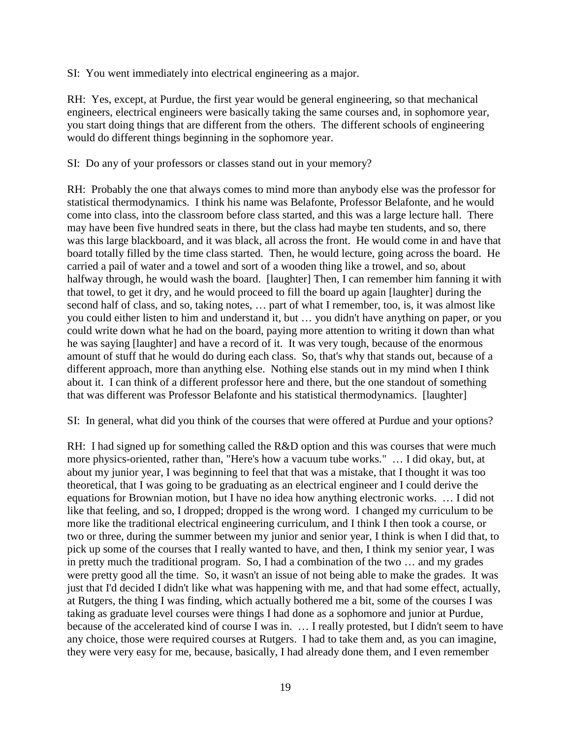SI: You went immediately into electrical engineering as a major.

RH: Yes, except, at Purdue, the first year would be general engineering, so that mechanical engineers, electrical engineers were basically taking the same courses and, in sophomore year, you start doing things that are different from the others. The different schools of engineering would do different things beginning in the sophomore year.

SI: Do any of your professors or classes stand out in your memory?

RH: Probably the one that always comes to mind more than anybody else was the professor for statistical thermodynamics. I think his name was Belafonte, Professor Belafonte, and he would come into class, into the classroom before class started, and this was a large lecture hall. There may have been five hundred seats in there, but the class had maybe ten students, and so, there was this large blackboard, and it was black, all across the front. He would come in and have that board totally filled by the time class started. Then, he would lecture, going across the board. He carried a pail of water and a towel and sort of a wooden thing like a trowel, and so, about halfway through, he would wash the board. [laughter] Then, I can remember him fanning it with that towel, to get it dry, and he would proceed to fill the board up again [laughter] during the second half of class, and so, taking notes, … part of what I remember, too, is, it was almost like you could either listen to him and understand it, but … you didn't have anything on paper, or you could write down what he had on the board, paying more attention to writing it down than what he was saying [laughter] and have a record of it. It was very tough, because of the enormous amount of stuff that he would do during each class. So, that's why that stands out, because of a different approach, more than anything else. Nothing else stands out in my mind when I think about it. I can think of a different professor here and there, but the one standout of something that was different was Professor Belafonte and his statistical thermodynamics. [laughter]

SI: In general, what did you think of the courses that were offered at Purdue and your options?

RH: I had signed up for something called the R&D option and this was courses that were much more physics-oriented, rather than, "Here's how a vacuum tube works." … I did okay, but, at about my junior year, I was beginning to feel that that was a mistake, that I thought it was too theoretical, that I was going to be graduating as an electrical engineer and I could derive the equations for Brownian motion, but I have no idea how anything electronic works. … I did not like that feeling, and so, I dropped; dropped is the wrong word. I changed my curriculum to be more like the traditional electrical engineering curriculum, and I think I then took a course, or two or three, during the summer between my junior and senior year, I think is when I did that, to pick up some of the courses that I really wanted to have, and then, I think my senior year, I was in pretty much the traditional program. So, I had a combination of the two … and my grades were pretty good all the time. So, it wasn't an issue of not being able to make the grades. It was just that I'd decided I didn't like what was happening with me, and that had some effect, actually, at Rutgers, the thing I was finding, which actually bothered me a bit, some of the courses I was taking as graduate level courses were things I had done as a sophomore and junior at Purdue, because of the accelerated kind of course I was in. … I really protested, but I didn't seem to have any choice, those were required courses at Rutgers. I had to take them and, as you can imagine, they were very easy for me, because, basically, I had already done them, and I even remember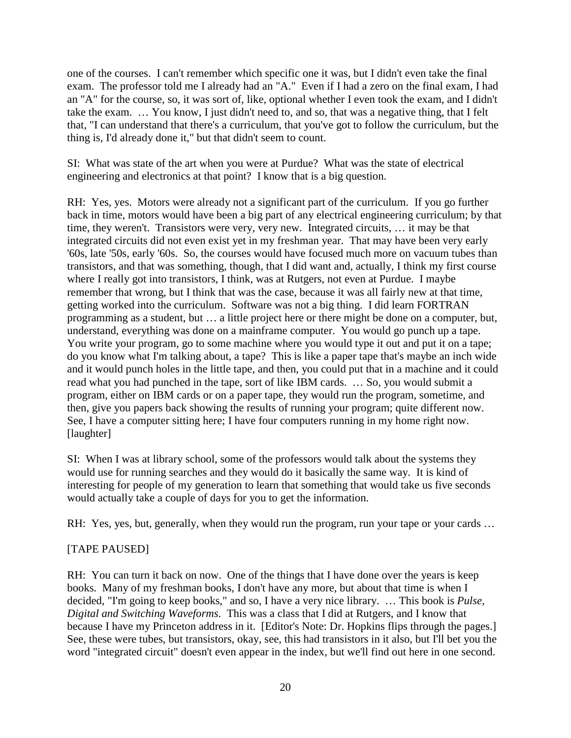one of the courses. I can't remember which specific one it was, but I didn't even take the final exam. The professor told me I already had an "A." Even if I had a zero on the final exam, I had an "A" for the course, so, it was sort of, like, optional whether I even took the exam, and I didn't take the exam. … You know, I just didn't need to, and so, that was a negative thing, that I felt that, "I can understand that there's a curriculum, that you've got to follow the curriculum, but the thing is, I'd already done it," but that didn't seem to count.

SI: What was state of the art when you were at Purdue? What was the state of electrical engineering and electronics at that point? I know that is a big question.

RH: Yes, yes. Motors were already not a significant part of the curriculum. If you go further back in time, motors would have been a big part of any electrical engineering curriculum; by that time, they weren't. Transistors were very, very new. Integrated circuits, … it may be that integrated circuits did not even exist yet in my freshman year. That may have been very early '60s, late '50s, early '60s. So, the courses would have focused much more on vacuum tubes than transistors, and that was something, though, that I did want and, actually, I think my first course where I really got into transistors, I think, was at Rutgers, not even at Purdue. I maybe remember that wrong, but I think that was the case, because it was all fairly new at that time, getting worked into the curriculum. Software was not a big thing. I did learn FORTRAN programming as a student, but … a little project here or there might be done on a computer, but, understand, everything was done on a mainframe computer. You would go punch up a tape. You write your program, go to some machine where you would type it out and put it on a tape; do you know what I'm talking about, a tape? This is like a paper tape that's maybe an inch wide and it would punch holes in the little tape, and then, you could put that in a machine and it could read what you had punched in the tape, sort of like IBM cards. … So, you would submit a program, either on IBM cards or on a paper tape, they would run the program, sometime, and then, give you papers back showing the results of running your program; quite different now. See, I have a computer sitting here; I have four computers running in my home right now. [laughter]

SI: When I was at library school, some of the professors would talk about the systems they would use for running searches and they would do it basically the same way. It is kind of interesting for people of my generation to learn that something that would take us five seconds would actually take a couple of days for you to get the information.

RH: Yes, yes, but, generally, when they would run the program, run your tape or your cards ...

# [TAPE PAUSED]

RH: You can turn it back on now. One of the things that I have done over the years is keep books. Many of my freshman books, I don't have any more, but about that time is when I decided, "I'm going to keep books," and so, I have a very nice library. … This book is *Pulse, Digital and Switching Waveforms*. This was a class that I did at Rutgers, and I know that because I have my Princeton address in it. [Editor's Note: Dr. Hopkins flips through the pages.] See, these were tubes, but transistors, okay, see, this had transistors in it also, but I'll bet you the word "integrated circuit" doesn't even appear in the index, but we'll find out here in one second.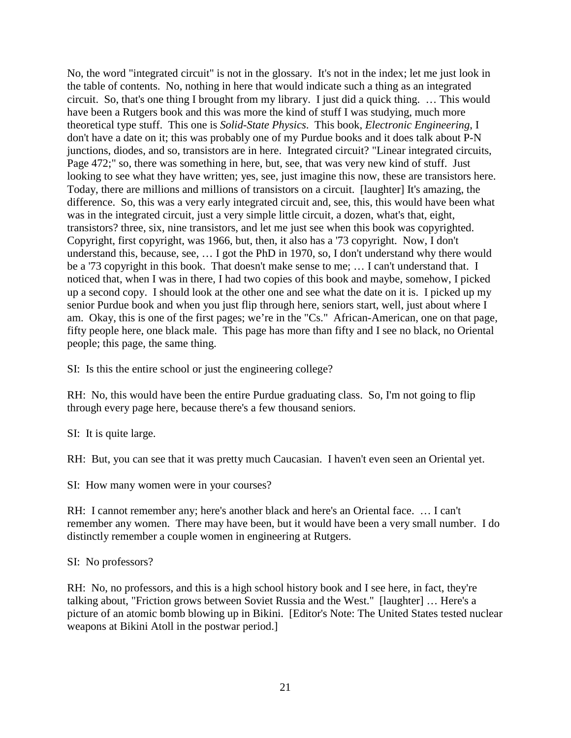No, the word "integrated circuit" is not in the glossary. It's not in the index; let me just look in the table of contents. No, nothing in here that would indicate such a thing as an integrated circuit. So, that's one thing I brought from my library. I just did a quick thing. … This would have been a Rutgers book and this was more the kind of stuff I was studying, much more theoretical type stuff. This one is *Solid-State Physics*. This book, *Electronic Engineering*, I don't have a date on it; this was probably one of my Purdue books and it does talk about P-N junctions, diodes, and so, transistors are in here. Integrated circuit? "Linear integrated circuits, Page 472;" so, there was something in here, but, see, that was very new kind of stuff. Just looking to see what they have written; yes, see, just imagine this now, these are transistors here. Today, there are millions and millions of transistors on a circuit. [laughter] It's amazing, the difference. So, this was a very early integrated circuit and, see, this, this would have been what was in the integrated circuit, just a very simple little circuit, a dozen, what's that, eight, transistors? three, six, nine transistors, and let me just see when this book was copyrighted. Copyright, first copyright, was 1966, but, then, it also has a '73 copyright. Now, I don't understand this, because, see, … I got the PhD in 1970, so, I don't understand why there would be a '73 copyright in this book. That doesn't make sense to me; … I can't understand that. I noticed that, when I was in there, I had two copies of this book and maybe, somehow, I picked up a second copy. I should look at the other one and see what the date on it is. I picked up my senior Purdue book and when you just flip through here, seniors start, well, just about where I am. Okay, this is one of the first pages; we're in the "Cs." African-American, one on that page, fifty people here, one black male. This page has more than fifty and I see no black, no Oriental people; this page, the same thing.

SI: Is this the entire school or just the engineering college?

RH: No, this would have been the entire Purdue graduating class. So, I'm not going to flip through every page here, because there's a few thousand seniors.

SI: It is quite large.

RH: But, you can see that it was pretty much Caucasian. I haven't even seen an Oriental yet.

SI: How many women were in your courses?

RH: I cannot remember any; here's another black and here's an Oriental face. … I can't remember any women. There may have been, but it would have been a very small number. I do distinctly remember a couple women in engineering at Rutgers.

#### SI: No professors?

RH: No, no professors, and this is a high school history book and I see here, in fact, they're talking about, "Friction grows between Soviet Russia and the West." [laughter] … Here's a picture of an atomic bomb blowing up in Bikini. [Editor's Note: The United States tested nuclear weapons at Bikini Atoll in the postwar period.]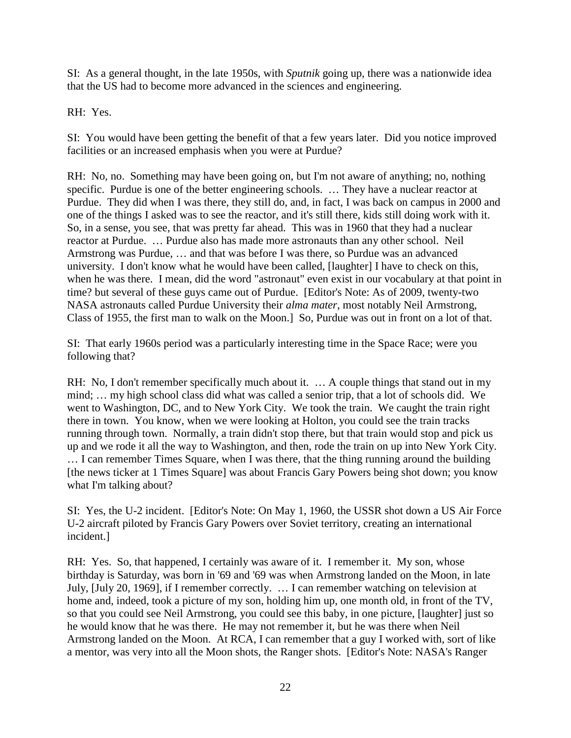SI: As a general thought, in the late 1950s, with *Sputnik* going up, there was a nationwide idea that the US had to become more advanced in the sciences and engineering.

RH: Yes.

SI: You would have been getting the benefit of that a few years later. Did you notice improved facilities or an increased emphasis when you were at Purdue?

RH: No, no. Something may have been going on, but I'm not aware of anything; no, nothing specific. Purdue is one of the better engineering schools. ... They have a nuclear reactor at Purdue. They did when I was there, they still do, and, in fact, I was back on campus in 2000 and one of the things I asked was to see the reactor, and it's still there, kids still doing work with it. So, in a sense, you see, that was pretty far ahead. This was in 1960 that they had a nuclear reactor at Purdue. … Purdue also has made more astronauts than any other school. Neil Armstrong was Purdue, … and that was before I was there, so Purdue was an advanced university. I don't know what he would have been called, [laughter] I have to check on this, when he was there. I mean, did the word "astronaut" even exist in our vocabulary at that point in time? but several of these guys came out of Purdue. [Editor's Note: As of 2009, twenty-two NASA astronauts called Purdue University their *alma mater*, most notably Neil Armstrong, Class of 1955, the first man to walk on the Moon.] So, Purdue was out in front on a lot of that.

SI: That early 1960s period was a particularly interesting time in the Space Race; were you following that?

RH: No, I don't remember specifically much about it. ... A couple things that stand out in my mind; … my high school class did what was called a senior trip, that a lot of schools did. We went to Washington, DC, and to New York City. We took the train. We caught the train right there in town. You know, when we were looking at Holton, you could see the train tracks running through town. Normally, a train didn't stop there, but that train would stop and pick us up and we rode it all the way to Washington, and then, rode the train on up into New York City. … I can remember Times Square, when I was there, that the thing running around the building [the news ticker at 1 Times Square] was about Francis Gary Powers being shot down; you know what I'm talking about?

SI: Yes, the U-2 incident. [Editor's Note: On May 1, 1960, the USSR shot down a US Air Force U-2 aircraft piloted by Francis Gary Powers over Soviet territory, creating an international incident.]

RH: Yes. So, that happened, I certainly was aware of it. I remember it. My son, whose birthday is Saturday, was born in '69 and '69 was when Armstrong landed on the Moon, in late July, [July 20, 1969], if I remember correctly. … I can remember watching on television at home and, indeed, took a picture of my son, holding him up, one month old, in front of the TV, so that you could see Neil Armstrong, you could see this baby, in one picture, [laughter] just so he would know that he was there. He may not remember it, but he was there when Neil Armstrong landed on the Moon. At RCA, I can remember that a guy I worked with, sort of like a mentor, was very into all the Moon shots, the Ranger shots. [Editor's Note: NASA's Ranger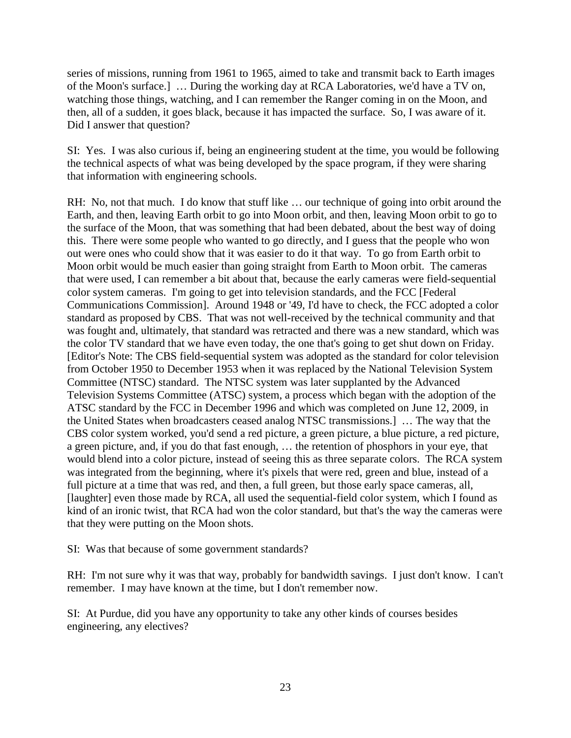series of missions, running from 1961 to 1965, aimed to take and transmit back to Earth images of the Moon's surface.] … During the working day at RCA Laboratories, we'd have a TV on, watching those things, watching, and I can remember the Ranger coming in on the Moon, and then, all of a sudden, it goes black, because it has impacted the surface. So, I was aware of it. Did I answer that question?

SI: Yes. I was also curious if, being an engineering student at the time, you would be following the technical aspects of what was being developed by the space program, if they were sharing that information with engineering schools.

RH: No, not that much. I do know that stuff like … our technique of going into orbit around the Earth, and then, leaving Earth orbit to go into Moon orbit, and then, leaving Moon orbit to go to the surface of the Moon, that was something that had been debated, about the best way of doing this. There were some people who wanted to go directly, and I guess that the people who won out were ones who could show that it was easier to do it that way. To go from Earth orbit to Moon orbit would be much easier than going straight from Earth to Moon orbit. The cameras that were used, I can remember a bit about that, because the early cameras were field-sequential color system cameras. I'm going to get into television standards, and the FCC [Federal Communications Commission]. Around 1948 or '49, I'd have to check, the FCC adopted a color standard as proposed by CBS. That was not well-received by the technical community and that was fought and, ultimately, that standard was retracted and there was a new standard, which was the color TV standard that we have even today, the one that's going to get shut down on Friday. [Editor's Note: The CBS field-sequential system was adopted as the standard for color television from October 1950 to December 1953 when it was replaced by the National Television System Committee (NTSC) standard. The NTSC system was later supplanted by the Advanced Television Systems Committee (ATSC) system, a process which began with the adoption of the ATSC standard by the FCC in December 1996 and which was completed on June 12, 2009, in the United States when broadcasters ceased analog NTSC transmissions.] … The way that the CBS color system worked, you'd send a red picture, a green picture, a blue picture, a red picture, a green picture, and, if you do that fast enough, … the retention of phosphors in your eye, that would blend into a color picture, instead of seeing this as three separate colors. The RCA system was integrated from the beginning, where it's pixels that were red, green and blue, instead of a full picture at a time that was red, and then, a full green, but those early space cameras, all, [laughter] even those made by RCA, all used the sequential-field color system, which I found as kind of an ironic twist, that RCA had won the color standard, but that's the way the cameras were that they were putting on the Moon shots.

SI: Was that because of some government standards?

RH: I'm not sure why it was that way, probably for bandwidth savings. I just don't know. I can't remember. I may have known at the time, but I don't remember now.

SI: At Purdue, did you have any opportunity to take any other kinds of courses besides engineering, any electives?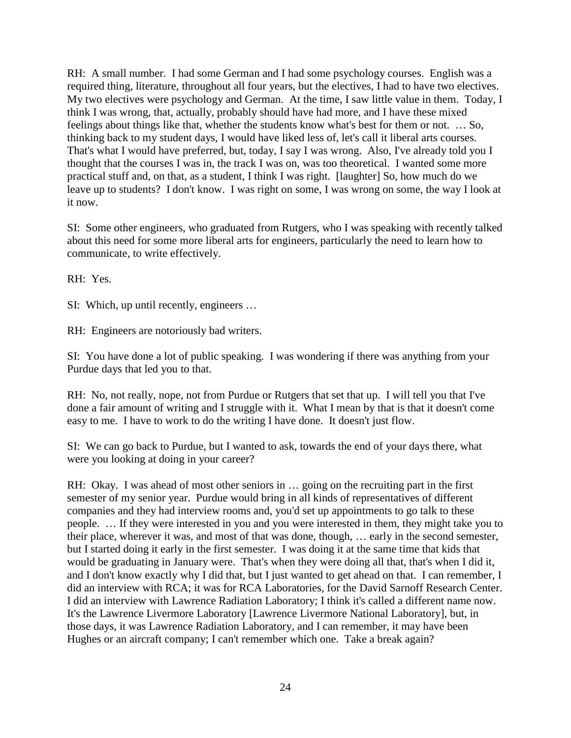RH: A small number. I had some German and I had some psychology courses. English was a required thing, literature, throughout all four years, but the electives, I had to have two electives. My two electives were psychology and German. At the time, I saw little value in them. Today, I think I was wrong, that, actually, probably should have had more, and I have these mixed feelings about things like that, whether the students know what's best for them or not. … So, thinking back to my student days, I would have liked less of, let's call it liberal arts courses. That's what I would have preferred, but, today, I say I was wrong. Also, I've already told you I thought that the courses I was in, the track I was on, was too theoretical. I wanted some more practical stuff and, on that, as a student, I think I was right. [laughter] So, how much do we leave up to students? I don't know. I was right on some, I was wrong on some, the way I look at it now.

SI: Some other engineers, who graduated from Rutgers, who I was speaking with recently talked about this need for some more liberal arts for engineers, particularly the need to learn how to communicate, to write effectively.

RH: Yes.

SI: Which, up until recently, engineers …

RH: Engineers are notoriously bad writers.

SI: You have done a lot of public speaking. I was wondering if there was anything from your Purdue days that led you to that.

RH: No, not really, nope, not from Purdue or Rutgers that set that up. I will tell you that I've done a fair amount of writing and I struggle with it. What I mean by that is that it doesn't come easy to me. I have to work to do the writing I have done. It doesn't just flow.

SI: We can go back to Purdue, but I wanted to ask, towards the end of your days there, what were you looking at doing in your career?

RH: Okay. I was ahead of most other seniors in … going on the recruiting part in the first semester of my senior year. Purdue would bring in all kinds of representatives of different companies and they had interview rooms and, you'd set up appointments to go talk to these people. … If they were interested in you and you were interested in them, they might take you to their place, wherever it was, and most of that was done, though, … early in the second semester, but I started doing it early in the first semester. I was doing it at the same time that kids that would be graduating in January were. That's when they were doing all that, that's when I did it, and I don't know exactly why I did that, but I just wanted to get ahead on that. I can remember, I did an interview with RCA; it was for RCA Laboratories, for the David Sarnoff Research Center. I did an interview with Lawrence Radiation Laboratory; I think it's called a different name now. It's the Lawrence Livermore Laboratory [Lawrence Livermore National Laboratory], but, in those days, it was Lawrence Radiation Laboratory, and I can remember, it may have been Hughes or an aircraft company; I can't remember which one. Take a break again?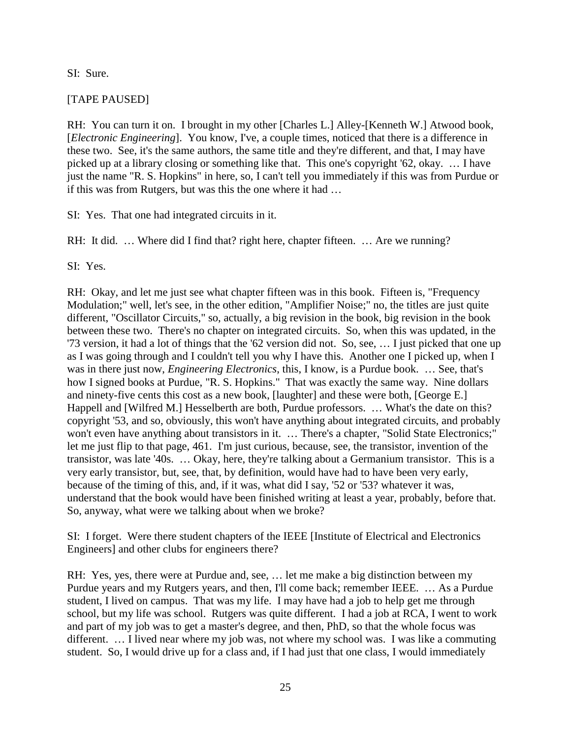### SI: Sure.

# [TAPE PAUSED]

RH: You can turn it on. I brought in my other [Charles L.] Alley-[Kenneth W.] Atwood book, [*Electronic Engineering*]. You know, I've, a couple times, noticed that there is a difference in these two. See, it's the same authors, the same title and they're different, and that, I may have picked up at a library closing or something like that. This one's copyright '62, okay. … I have just the name "R. S. Hopkins" in here, so, I can't tell you immediately if this was from Purdue or if this was from Rutgers, but was this the one where it had …

SI: Yes. That one had integrated circuits in it.

RH: It did. ... Where did I find that? right here, chapter fifteen. ... Are we running?

SI: Yes.

RH: Okay, and let me just see what chapter fifteen was in this book. Fifteen is, "Frequency Modulation;" well, let's see, in the other edition, "Amplifier Noise;" no, the titles are just quite different, "Oscillator Circuits," so, actually, a big revision in the book, big revision in the book between these two. There's no chapter on integrated circuits. So, when this was updated, in the '73 version, it had a lot of things that the '62 version did not. So, see, … I just picked that one up as I was going through and I couldn't tell you why I have this. Another one I picked up, when I was in there just now, *Engineering Electronics*, this, I know, is a Purdue book. … See, that's how I signed books at Purdue, "R. S. Hopkins." That was exactly the same way. Nine dollars and ninety-five cents this cost as a new book, [laughter] and these were both, [George E.] Happell and [Wilfred M.] Hesselberth are both, Purdue professors. ... What's the date on this? copyright '53, and so, obviously, this won't have anything about integrated circuits, and probably won't even have anything about transistors in it. … There's a chapter, "Solid State Electronics;" let me just flip to that page, 461. I'm just curious, because, see, the transistor, invention of the transistor, was late '40s. … Okay, here, they're talking about a Germanium transistor. This is a very early transistor, but, see, that, by definition, would have had to have been very early, because of the timing of this, and, if it was, what did I say, '52 or '53? whatever it was, understand that the book would have been finished writing at least a year, probably, before that. So, anyway, what were we talking about when we broke?

SI: I forget. Were there student chapters of the IEEE [Institute of Electrical and Electronics Engineers] and other clubs for engineers there?

RH: Yes, yes, there were at Purdue and, see, … let me make a big distinction between my Purdue years and my Rutgers years, and then, I'll come back; remember IEEE. … As a Purdue student, I lived on campus. That was my life. I may have had a job to help get me through school, but my life was school. Rutgers was quite different. I had a job at RCA, I went to work and part of my job was to get a master's degree, and then, PhD, so that the whole focus was different. … I lived near where my job was, not where my school was. I was like a commuting student. So, I would drive up for a class and, if I had just that one class, I would immediately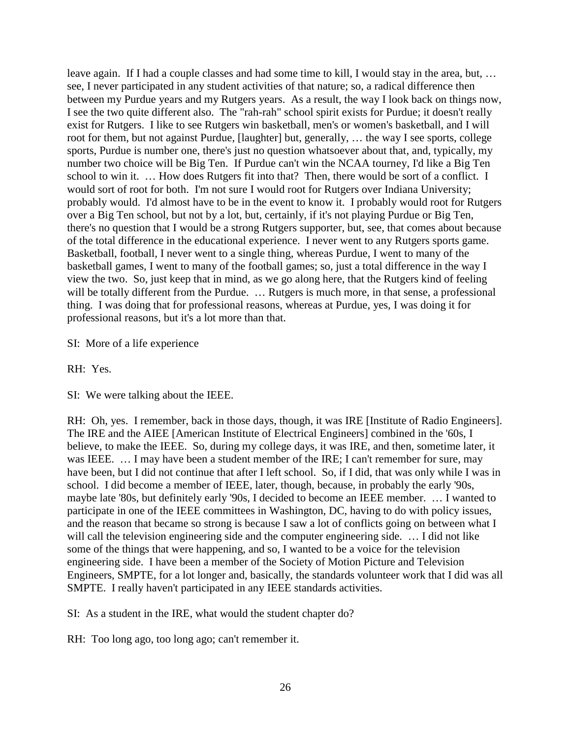leave again. If I had a couple classes and had some time to kill, I would stay in the area, but, … see, I never participated in any student activities of that nature; so, a radical difference then between my Purdue years and my Rutgers years. As a result, the way I look back on things now, I see the two quite different also. The "rah-rah" school spirit exists for Purdue; it doesn't really exist for Rutgers. I like to see Rutgers win basketball, men's or women's basketball, and I will root for them, but not against Purdue, [laughter] but, generally, … the way I see sports, college sports, Purdue is number one, there's just no question whatsoever about that, and, typically, my number two choice will be Big Ten. If Purdue can't win the NCAA tourney, I'd like a Big Ten school to win it. … How does Rutgers fit into that? Then, there would be sort of a conflict. I would sort of root for both. I'm not sure I would root for Rutgers over Indiana University; probably would. I'd almost have to be in the event to know it. I probably would root for Rutgers over a Big Ten school, but not by a lot, but, certainly, if it's not playing Purdue or Big Ten, there's no question that I would be a strong Rutgers supporter, but, see, that comes about because of the total difference in the educational experience. I never went to any Rutgers sports game. Basketball, football, I never went to a single thing, whereas Purdue, I went to many of the basketball games, I went to many of the football games; so, just a total difference in the way I view the two. So, just keep that in mind, as we go along here, that the Rutgers kind of feeling will be totally different from the Purdue. ... Rutgers is much more, in that sense, a professional thing. I was doing that for professional reasons, whereas at Purdue, yes, I was doing it for professional reasons, but it's a lot more than that.

SI: More of a life experience

RH: Yes.

SI: We were talking about the IEEE.

RH: Oh, yes. I remember, back in those days, though, it was IRE [Institute of Radio Engineers]. The IRE and the AIEE [American Institute of Electrical Engineers] combined in the '60s, I believe, to make the IEEE. So, during my college days, it was IRE, and then, sometime later, it was IEEE. ... I may have been a student member of the IRE; I can't remember for sure, may have been, but I did not continue that after I left school. So, if I did, that was only while I was in school. I did become a member of IEEE, later, though, because, in probably the early '90s, maybe late '80s, but definitely early '90s, I decided to become an IEEE member. … I wanted to participate in one of the IEEE committees in Washington, DC, having to do with policy issues, and the reason that became so strong is because I saw a lot of conflicts going on between what I will call the television engineering side and the computer engineering side. ... I did not like some of the things that were happening, and so, I wanted to be a voice for the television engineering side. I have been a member of the Society of Motion Picture and Television Engineers, SMPTE, for a lot longer and, basically, the standards volunteer work that I did was all SMPTE. I really haven't participated in any IEEE standards activities.

SI: As a student in the IRE, what would the student chapter do?

RH: Too long ago, too long ago; can't remember it.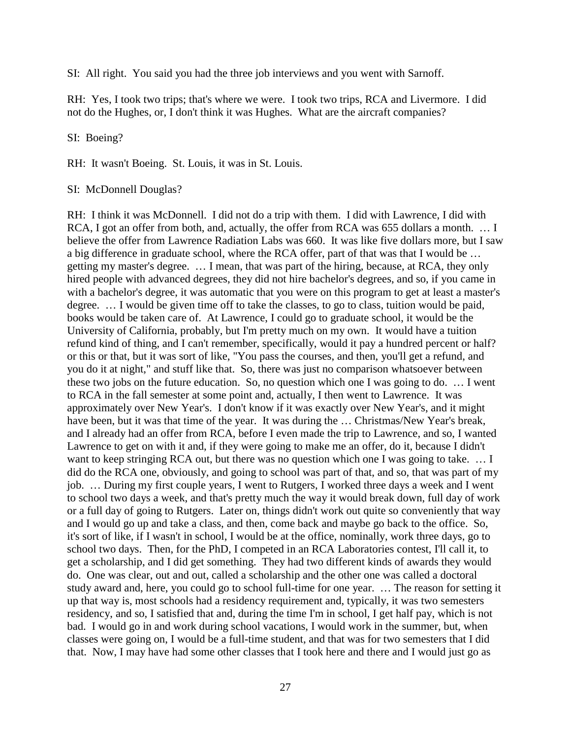SI: All right. You said you had the three job interviews and you went with Sarnoff.

RH: Yes, I took two trips; that's where we were. I took two trips, RCA and Livermore. I did not do the Hughes, or, I don't think it was Hughes. What are the aircraft companies?

SI: Boeing?

RH: It wasn't Boeing. St. Louis, it was in St. Louis.

#### SI: McDonnell Douglas?

RH: I think it was McDonnell. I did not do a trip with them. I did with Lawrence, I did with RCA, I got an offer from both, and, actually, the offer from RCA was 655 dollars a month. ... I believe the offer from Lawrence Radiation Labs was 660. It was like five dollars more, but I saw a big difference in graduate school, where the RCA offer, part of that was that I would be … getting my master's degree. … I mean, that was part of the hiring, because, at RCA, they only hired people with advanced degrees, they did not hire bachelor's degrees, and so, if you came in with a bachelor's degree, it was automatic that you were on this program to get at least a master's degree. … I would be given time off to take the classes, to go to class, tuition would be paid, books would be taken care of. At Lawrence, I could go to graduate school, it would be the University of California, probably, but I'm pretty much on my own. It would have a tuition refund kind of thing, and I can't remember, specifically, would it pay a hundred percent or half? or this or that, but it was sort of like, "You pass the courses, and then, you'll get a refund, and you do it at night," and stuff like that. So, there was just no comparison whatsoever between these two jobs on the future education. So, no question which one I was going to do. … I went to RCA in the fall semester at some point and, actually, I then went to Lawrence. It was approximately over New Year's. I don't know if it was exactly over New Year's, and it might have been, but it was that time of the year. It was during the ... Christmas/New Year's break, and I already had an offer from RCA, before I even made the trip to Lawrence, and so, I wanted Lawrence to get on with it and, if they were going to make me an offer, do it, because I didn't want to keep stringing RCA out, but there was no question which one I was going to take. ... I did do the RCA one, obviously, and going to school was part of that, and so, that was part of my job. … During my first couple years, I went to Rutgers, I worked three days a week and I went to school two days a week, and that's pretty much the way it would break down, full day of work or a full day of going to Rutgers. Later on, things didn't work out quite so conveniently that way and I would go up and take a class, and then, come back and maybe go back to the office. So, it's sort of like, if I wasn't in school, I would be at the office, nominally, work three days, go to school two days. Then, for the PhD, I competed in an RCA Laboratories contest, I'll call it, to get a scholarship, and I did get something. They had two different kinds of awards they would do. One was clear, out and out, called a scholarship and the other one was called a doctoral study award and, here, you could go to school full-time for one year. … The reason for setting it up that way is, most schools had a residency requirement and, typically, it was two semesters residency, and so, I satisfied that and, during the time I'm in school, I get half pay, which is not bad. I would go in and work during school vacations, I would work in the summer, but, when classes were going on, I would be a full-time student, and that was for two semesters that I did that. Now, I may have had some other classes that I took here and there and I would just go as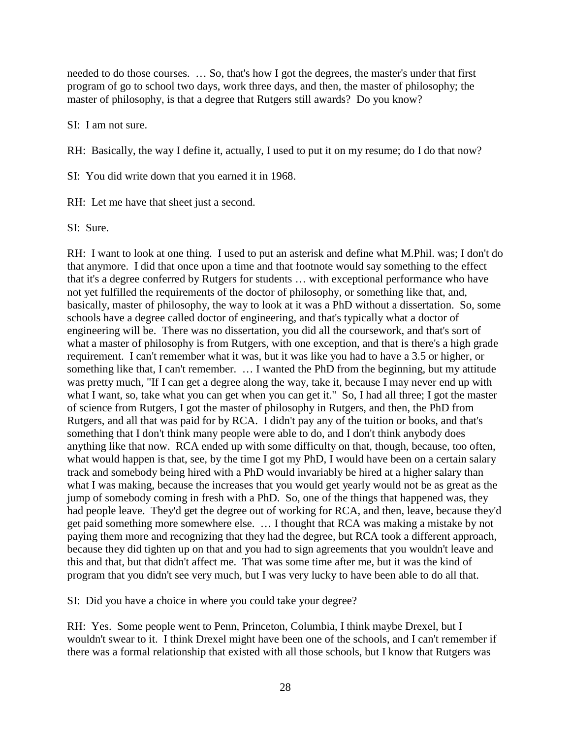needed to do those courses. … So, that's how I got the degrees, the master's under that first program of go to school two days, work three days, and then, the master of philosophy; the master of philosophy, is that a degree that Rutgers still awards? Do you know?

SI: I am not sure.

RH: Basically, the way I define it, actually, I used to put it on my resume; do I do that now?

SI: You did write down that you earned it in 1968.

RH: Let me have that sheet just a second.

SI: Sure.

RH: I want to look at one thing. I used to put an asterisk and define what M.Phil. was; I don't do that anymore. I did that once upon a time and that footnote would say something to the effect that it's a degree conferred by Rutgers for students … with exceptional performance who have not yet fulfilled the requirements of the doctor of philosophy, or something like that, and, basically, master of philosophy, the way to look at it was a PhD without a dissertation. So, some schools have a degree called doctor of engineering, and that's typically what a doctor of engineering will be. There was no dissertation, you did all the coursework, and that's sort of what a master of philosophy is from Rutgers, with one exception, and that is there's a high grade requirement. I can't remember what it was, but it was like you had to have a 3.5 or higher, or something like that, I can't remember. … I wanted the PhD from the beginning, but my attitude was pretty much, "If I can get a degree along the way, take it, because I may never end up with what I want, so, take what you can get when you can get it." So, I had all three; I got the master of science from Rutgers, I got the master of philosophy in Rutgers, and then, the PhD from Rutgers, and all that was paid for by RCA. I didn't pay any of the tuition or books, and that's something that I don't think many people were able to do, and I don't think anybody does anything like that now. RCA ended up with some difficulty on that, though, because, too often, what would happen is that, see, by the time I got my PhD, I would have been on a certain salary track and somebody being hired with a PhD would invariably be hired at a higher salary than what I was making, because the increases that you would get yearly would not be as great as the jump of somebody coming in fresh with a PhD. So, one of the things that happened was, they had people leave. They'd get the degree out of working for RCA, and then, leave, because they'd get paid something more somewhere else. … I thought that RCA was making a mistake by not paying them more and recognizing that they had the degree, but RCA took a different approach, because they did tighten up on that and you had to sign agreements that you wouldn't leave and this and that, but that didn't affect me. That was some time after me, but it was the kind of program that you didn't see very much, but I was very lucky to have been able to do all that.

SI: Did you have a choice in where you could take your degree?

RH: Yes. Some people went to Penn, Princeton, Columbia, I think maybe Drexel, but I wouldn't swear to it. I think Drexel might have been one of the schools, and I can't remember if there was a formal relationship that existed with all those schools, but I know that Rutgers was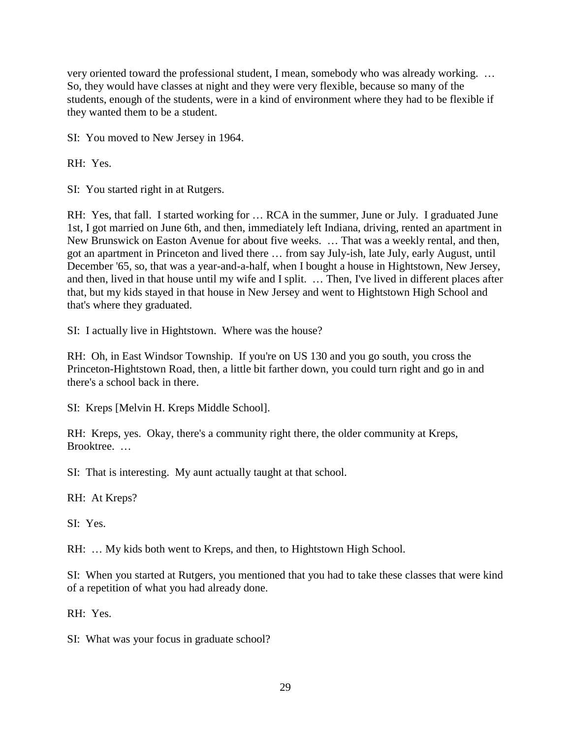very oriented toward the professional student, I mean, somebody who was already working. … So, they would have classes at night and they were very flexible, because so many of the students, enough of the students, were in a kind of environment where they had to be flexible if they wanted them to be a student.

SI: You moved to New Jersey in 1964.

RH: Yes.

SI: You started right in at Rutgers.

RH: Yes, that fall. I started working for … RCA in the summer, June or July. I graduated June 1st, I got married on June 6th, and then, immediately left Indiana, driving, rented an apartment in New Brunswick on Easton Avenue for about five weeks. … That was a weekly rental, and then, got an apartment in Princeton and lived there … from say July-ish, late July, early August, until December '65, so, that was a year-and-a-half, when I bought a house in Hightstown, New Jersey, and then, lived in that house until my wife and I split. … Then, I've lived in different places after that, but my kids stayed in that house in New Jersey and went to Hightstown High School and that's where they graduated.

SI: I actually live in Hightstown. Where was the house?

RH: Oh, in East Windsor Township. If you're on US 130 and you go south, you cross the Princeton-Hightstown Road, then, a little bit farther down, you could turn right and go in and there's a school back in there.

SI: Kreps [Melvin H. Kreps Middle School].

RH: Kreps, yes. Okay, there's a community right there, the older community at Kreps, Brooktree. …

SI: That is interesting. My aunt actually taught at that school.

RH: At Kreps?

SI: Yes.

RH: … My kids both went to Kreps, and then, to Hightstown High School.

SI: When you started at Rutgers, you mentioned that you had to take these classes that were kind of a repetition of what you had already done.

RH: Yes.

SI: What was your focus in graduate school?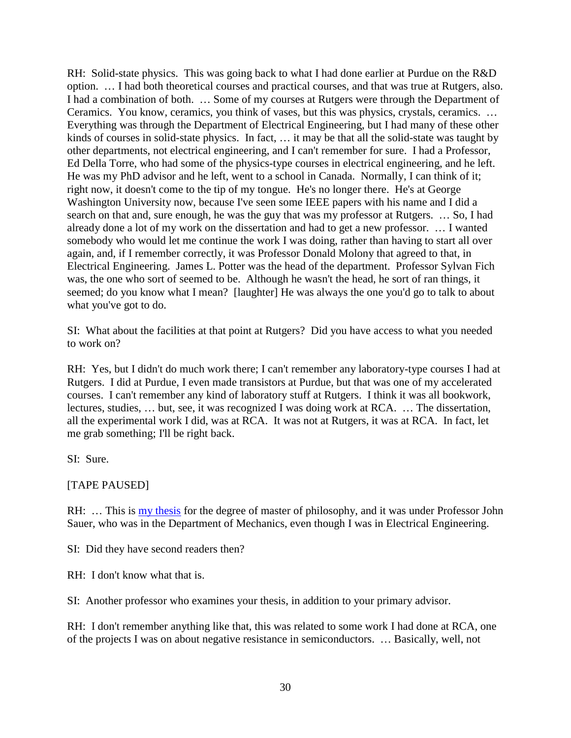RH: Solid-state physics. This was going back to what I had done earlier at Purdue on the R&D option. … I had both theoretical courses and practical courses, and that was true at Rutgers, also. I had a combination of both. … Some of my courses at Rutgers were through the Department of Ceramics. You know, ceramics, you think of vases, but this was physics, crystals, ceramics. … Everything was through the Department of Electrical Engineering, but I had many of these other kinds of courses in solid-state physics. In fact, … it may be that all the solid-state was taught by other departments, not electrical engineering, and I can't remember for sure. I had a Professor, Ed Della Torre, who had some of the physics-type courses in electrical engineering, and he left. He was my PhD advisor and he left, went to a school in Canada. Normally, I can think of it; right now, it doesn't come to the tip of my tongue. He's no longer there. He's at George Washington University now, because I've seen some IEEE papers with his name and I did a search on that and, sure enough, he was the guy that was my professor at Rutgers. … So, I had already done a lot of my work on the dissertation and had to get a new professor. … I wanted somebody who would let me continue the work I was doing, rather than having to start all over again, and, if I remember correctly, it was Professor Donald Molony that agreed to that, in Electrical Engineering. James L. Potter was the head of the department. Professor Sylvan Fich was, the one who sort of seemed to be. Although he wasn't the head, he sort of ran things, it seemed; do you know what I mean? [laughter] He was always the one you'd go to talk to about what you've got to do.

SI: What about the facilities at that point at Rutgers? Did you have access to what you needed to work on?

RH: Yes, but I didn't do much work there; I can't remember any laboratory-type courses I had at Rutgers. I did at Purdue, I even made transistors at Purdue, but that was one of my accelerated courses. I can't remember any kind of laboratory stuff at Rutgers. I think it was all bookwork, lectures, studies, … but, see, it was recognized I was doing work at RCA. … The dissertation, all the experimental work I did, was at RCA. It was not at Rutgers, it was at RCA. In fact, let me grab something; I'll be right back.

SI: Sure.

[TAPE PAUSED]

RH: … This is [my thesis](http://rhopkins.us/drbob.tv/documents/MPhil_Thesis.pdf) for the degree of master of philosophy, and it was under Professor John Sauer, who was in the Department of Mechanics, even though I was in Electrical Engineering.

SI: Did they have second readers then?

RH: I don't know what that is.

SI: Another professor who examines your thesis, in addition to your primary advisor.

RH: I don't remember anything like that, this was related to some work I had done at RCA, one of the projects I was on about negative resistance in semiconductors. … Basically, well, not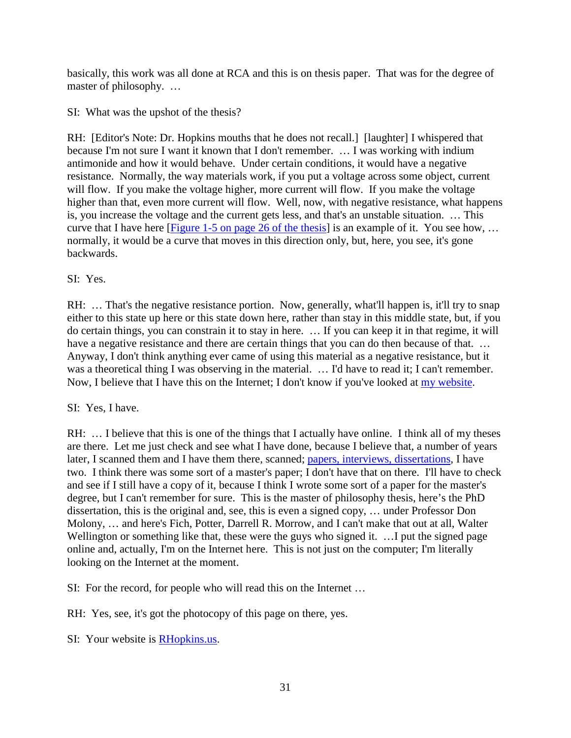basically, this work was all done at RCA and this is on thesis paper. That was for the degree of master of philosophy. …

SI: What was the upshot of the thesis?

RH: [Editor's Note: Dr. Hopkins mouths that he does not recall.] [laughter] I whispered that because I'm not sure I want it known that I don't remember. … I was working with indium antimonide and how it would behave. Under certain conditions, it would have a negative resistance. Normally, the way materials work, if you put a voltage across some object, current will flow. If you make the voltage higher, more current will flow. If you make the voltage higher than that, even more current will flow. Well, now, with negative resistance, what happens is, you increase the voltage and the current gets less, and that's an unstable situation. … This curve that I have here [\[Figure 1-5 on page 26 of the thesis\]](http://rhopkins.us/drbob.tv/documents/MPhil_Thesis.pdf) is an example of it. You see how, … normally, it would be a curve that moves in this direction only, but, here, you see, it's gone backwards.

SI: Yes.

RH: ... That's the negative resistance portion. Now, generally, what'll happen is, it'll try to snap either to this state up here or this state down here, rather than stay in this middle state, but, if you do certain things, you can constrain it to stay in here. … If you can keep it in that regime, it will have a negative resistance and there are certain things that you can do then because of that. ... Anyway, I don't think anything ever came of using this material as a negative resistance, but it was a theoretical thing I was observing in the material. ... I'd have to read it; I can't remember. Now, I believe that I have this on the Internet; I don't know if you've looked at [my website.](http://rhopkins.us/)

# SI: Yes, I have.

RH: ... I believe that this is one of the things that I actually have online. I think all of my theses are there. Let me just check and see what I have done, because I believe that, a number of years later, I scanned them and I have them there, scanned; [papers, interviews, dissertations,](http://rhopkins.us/drbob.tv/documents/Robert_Hopkins_Publications.htm) I have two. I think there was some sort of a master's paper; I don't have that on there. I'll have to check and see if I still have a copy of it, because I think I wrote some sort of a paper for the master's degree, but I can't remember for sure. This is the master of philosophy thesis, here's the PhD dissertation, this is the original and, see, this is even a signed copy, … under Professor Don Molony, … and here's Fich, Potter, Darrell R. Morrow, and I can't make that out at all, Walter Wellington or something like that, these were the guys who signed it. ... I put the signed page online and, actually, I'm on the Internet here. This is not just on the computer; I'm literally looking on the Internet at the moment.

SI: For the record, for people who will read this on the Internet …

RH: Yes, see, it's got the photocopy of this page on there, yes.

SI: Your website is **RHopkins.us.**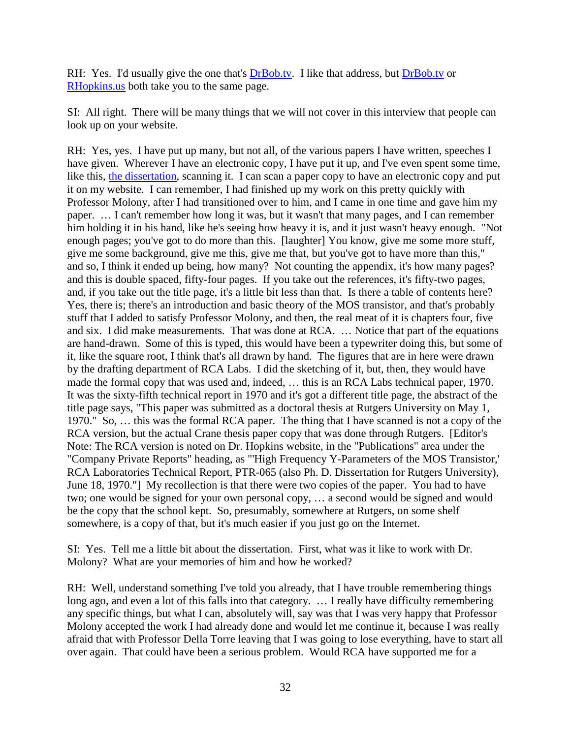RH: Yes. I'd usually give the one that's [DrBob.tv.](http://drbob.tv/) I like that address, but [DrBob.tv](http://drbob.tv/) or [RHopkins.us](http://rhopkins.us/) both take you to the same page.

SI: All right. There will be many things that we will not cover in this interview that people can look up on your website.

RH: Yes, yes. I have put up many, but not all, of the various papers I have written, speeches I have given. Wherever I have an electronic copy, I have put it up, and I've even spent some time, like this, [the dissertation,](http://rhopkins.us/drbob.tv/documents/PhD_Thesis.pdf) scanning it. I can scan a paper copy to have an electronic copy and put it on my website. I can remember, I had finished up my work on this pretty quickly with Professor Molony, after I had transitioned over to him, and I came in one time and gave him my paper. … I can't remember how long it was, but it wasn't that many pages, and I can remember him holding it in his hand, like he's seeing how heavy it is, and it just wasn't heavy enough. "Not enough pages; you've got to do more than this. [laughter] You know, give me some more stuff, give me some background, give me this, give me that, but you've got to have more than this," and so, I think it ended up being, how many? Not counting the appendix, it's how many pages? and this is double spaced, fifty-four pages. If you take out the references, it's fifty-two pages, and, if you take out the title page, it's a little bit less than that. Is there a table of contents here? Yes, there is; there's an introduction and basic theory of the MOS transistor, and that's probably stuff that I added to satisfy Professor Molony, and then, the real meat of it is chapters four, five and six. I did make measurements. That was done at RCA. … Notice that part of the equations are hand-drawn. Some of this is typed, this would have been a typewriter doing this, but some of it, like the square root, I think that's all drawn by hand. The figures that are in here were drawn by the drafting department of RCA Labs. I did the sketching of it, but, then, they would have made the formal copy that was used and, indeed, … this is an RCA Labs technical paper, 1970. It was the sixty-fifth technical report in 1970 and it's got a different title page, the abstract of the title page says, "This paper was submitted as a doctoral thesis at Rutgers University on May 1, 1970." So, … this was the formal RCA paper. The thing that I have scanned is not a copy of the RCA version, but the actual Crane thesis paper copy that was done through Rutgers. [Editor's Note: The RCA version is noted on Dr. Hopkins website, in the "Publications" area under the "Company Private Reports" heading, as "'High Frequency Y-Parameters of the MOS Transistor,' RCA Laboratories Technical Report, PTR-065 (also Ph. D. Dissertation for Rutgers University), June 18, 1970."] My recollection is that there were two copies of the paper. You had to have two; one would be signed for your own personal copy, … a second would be signed and would be the copy that the school kept. So, presumably, somewhere at Rutgers, on some shelf somewhere, is a copy of that, but it's much easier if you just go on the Internet.

SI: Yes. Tell me a little bit about the dissertation. First, what was it like to work with Dr. Molony? What are your memories of him and how he worked?

RH: Well, understand something I've told you already, that I have trouble remembering things long ago, and even a lot of this falls into that category. … I really have difficulty remembering any specific things, but what I can, absolutely will, say was that I was very happy that Professor Molony accepted the work I had already done and would let me continue it, because I was really afraid that with Professor Della Torre leaving that I was going to lose everything, have to start all over again. That could have been a serious problem. Would RCA have supported me for a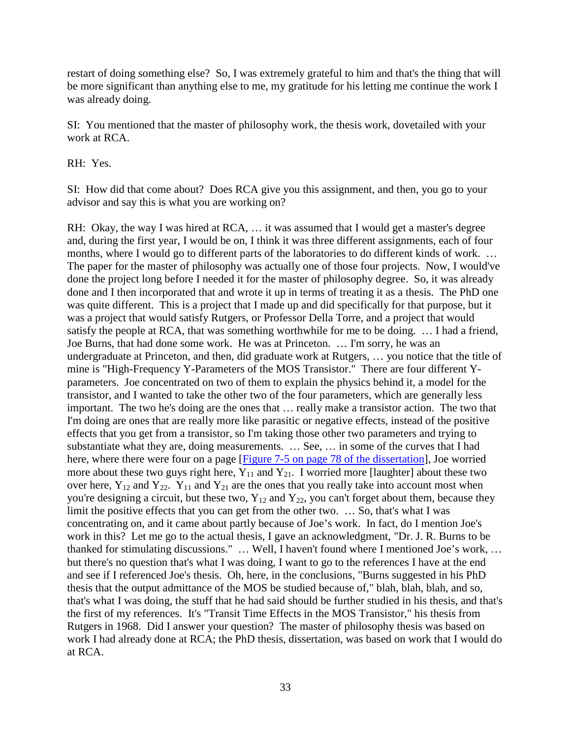restart of doing something else? So, I was extremely grateful to him and that's the thing that will be more significant than anything else to me, my gratitude for his letting me continue the work I was already doing.

SI: You mentioned that the master of philosophy work, the thesis work, dovetailed with your work at RCA.

RH: Yes.

SI: How did that come about? Does RCA give you this assignment, and then, you go to your advisor and say this is what you are working on?

RH: Okay, the way I was hired at RCA, … it was assumed that I would get a master's degree and, during the first year, I would be on, I think it was three different assignments, each of four months, where I would go to different parts of the laboratories to do different kinds of work. … The paper for the master of philosophy was actually one of those four projects. Now, I would've done the project long before I needed it for the master of philosophy degree. So, it was already done and I then incorporated that and wrote it up in terms of treating it as a thesis. The PhD one was quite different. This is a project that I made up and did specifically for that purpose, but it was a project that would satisfy Rutgers, or Professor Della Torre, and a project that would satisfy the people at RCA, that was something worthwhile for me to be doing. … I had a friend, Joe Burns, that had done some work. He was at Princeton. … I'm sorry, he was an undergraduate at Princeton, and then, did graduate work at Rutgers, … you notice that the title of mine is "High-Frequency Y-Parameters of the MOS Transistor." There are four different Yparameters. Joe concentrated on two of them to explain the physics behind it, a model for the transistor, and I wanted to take the other two of the four parameters, which are generally less important. The two he's doing are the ones that … really make a transistor action. The two that I'm doing are ones that are really more like parasitic or negative effects, instead of the positive effects that you get from a transistor, so I'm taking those other two parameters and trying to substantiate what they are, doing measurements. … See, … in some of the curves that I had here, where there were four on a page [\[Figure 7-5 on page 78 of the dissertation\]](http://rhopkins.us/drbob.tv/documents/PhD_Thesis.pdf), Joe worried more about these two guys right here,  $Y_{11}$  and  $Y_{21}$ . I worried more [laughter] about these two over here,  $Y_{12}$  and  $Y_{22}$ .  $Y_{11}$  and  $Y_{21}$  are the ones that you really take into account most when you're designing a circuit, but these two,  $Y_{12}$  and  $Y_{22}$ , you can't forget about them, because they limit the positive effects that you can get from the other two. … So, that's what I was concentrating on, and it came about partly because of Joe's work. In fact, do I mention Joe's work in this? Let me go to the actual thesis, I gave an acknowledgment, "Dr. J. R. Burns to be thanked for stimulating discussions." … Well, I haven't found where I mentioned Joe's work, … but there's no question that's what I was doing, I want to go to the references I have at the end and see if I referenced Joe's thesis. Oh, here, in the conclusions, "Burns suggested in his PhD thesis that the output admittance of the MOS be studied because of," blah, blah, blah, and so, that's what I was doing, the stuff that he had said should be further studied in his thesis, and that's the first of my references. It's "Transit Time Effects in the MOS Transistor," his thesis from Rutgers in 1968. Did I answer your question? The master of philosophy thesis was based on work I had already done at RCA; the PhD thesis, dissertation, was based on work that I would do at RCA.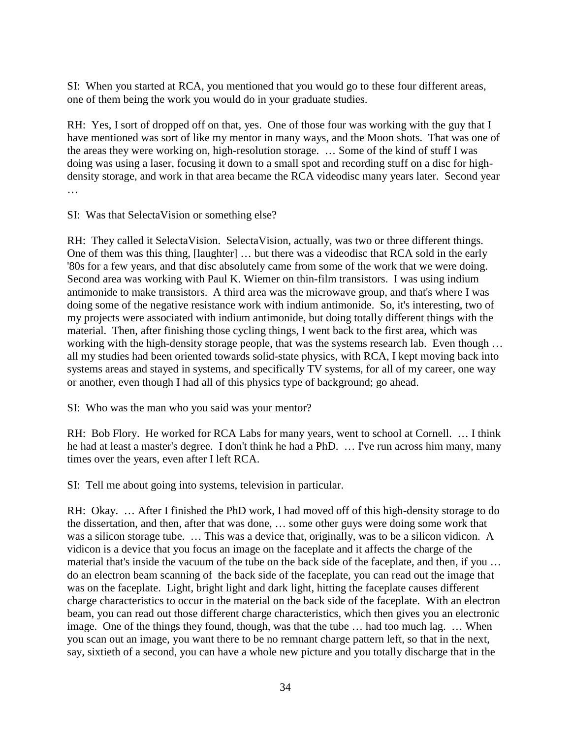SI: When you started at RCA, you mentioned that you would go to these four different areas, one of them being the work you would do in your graduate studies.

RH: Yes, I sort of dropped off on that, yes. One of those four was working with the guy that I have mentioned was sort of like my mentor in many ways, and the Moon shots. That was one of the areas they were working on, high-resolution storage. … Some of the kind of stuff I was doing was using a laser, focusing it down to a small spot and recording stuff on a disc for highdensity storage, and work in that area became the RCA videodisc many years later. Second year …

SI: Was that SelectaVision or something else?

RH: They called it SelectaVision. SelectaVision, actually, was two or three different things. One of them was this thing, [laughter] … but there was a videodisc that RCA sold in the early '80s for a few years, and that disc absolutely came from some of the work that we were doing. Second area was working with Paul K. Wiemer on thin-film transistors. I was using indium antimonide to make transistors. A third area was the microwave group, and that's where I was doing some of the negative resistance work with indium antimonide. So, it's interesting, two of my projects were associated with indium antimonide, but doing totally different things with the material. Then, after finishing those cycling things, I went back to the first area, which was working with the high-density storage people, that was the systems research lab. Even though … all my studies had been oriented towards solid-state physics, with RCA, I kept moving back into systems areas and stayed in systems, and specifically TV systems, for all of my career, one way or another, even though I had all of this physics type of background; go ahead.

SI: Who was the man who you said was your mentor?

RH: Bob Flory. He worked for RCA Labs for many years, went to school at Cornell. … I think he had at least a master's degree. I don't think he had a PhD. … I've run across him many, many times over the years, even after I left RCA.

SI: Tell me about going into systems, television in particular.

RH: Okay. … After I finished the PhD work, I had moved off of this high-density storage to do the dissertation, and then, after that was done, … some other guys were doing some work that was a silicon storage tube. … This was a device that, originally, was to be a silicon vidicon. A vidicon is a device that you focus an image on the faceplate and it affects the charge of the material that's inside the vacuum of the tube on the back side of the faceplate, and then, if you … do an electron beam scanning of the back side of the faceplate, you can read out the image that was on the faceplate. Light, bright light and dark light, hitting the faceplate causes different charge characteristics to occur in the material on the back side of the faceplate. With an electron beam, you can read out those different charge characteristics, which then gives you an electronic image. One of the things they found, though, was that the tube … had too much lag. … When you scan out an image, you want there to be no remnant charge pattern left, so that in the next, say, sixtieth of a second, you can have a whole new picture and you totally discharge that in the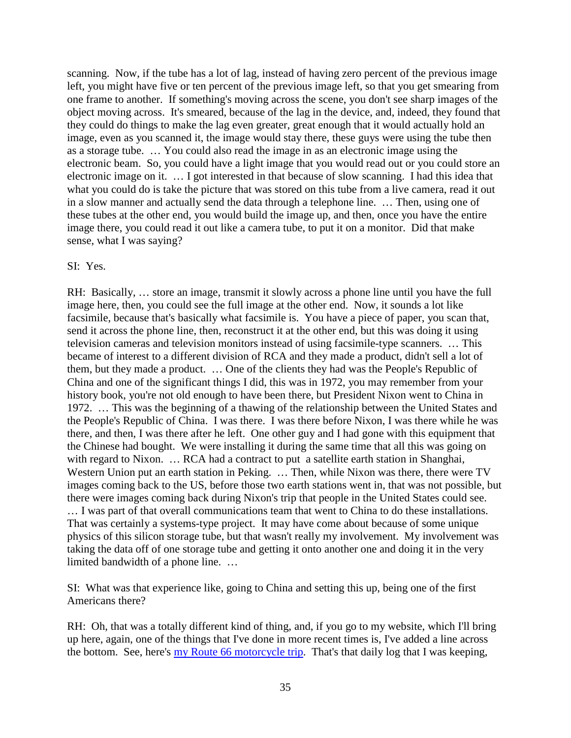scanning. Now, if the tube has a lot of lag, instead of having zero percent of the previous image left, you might have five or ten percent of the previous image left, so that you get smearing from one frame to another. If something's moving across the scene, you don't see sharp images of the object moving across. It's smeared, because of the lag in the device, and, indeed, they found that they could do things to make the lag even greater, great enough that it would actually hold an image, even as you scanned it, the image would stay there, these guys were using the tube then as a storage tube. … You could also read the image in as an electronic image using the electronic beam. So, you could have a light image that you would read out or you could store an electronic image on it. … I got interested in that because of slow scanning. I had this idea that what you could do is take the picture that was stored on this tube from a live camera, read it out in a slow manner and actually send the data through a telephone line. … Then, using one of these tubes at the other end, you would build the image up, and then, once you have the entire image there, you could read it out like a camera tube, to put it on a monitor. Did that make sense, what I was saying?

#### SI: Yes.

RH: Basically, … store an image, transmit it slowly across a phone line until you have the full image here, then, you could see the full image at the other end. Now, it sounds a lot like facsimile, because that's basically what facsimile is. You have a piece of paper, you scan that, send it across the phone line, then, reconstruct it at the other end, but this was doing it using television cameras and television monitors instead of using facsimile-type scanners. … This became of interest to a different division of RCA and they made a product, didn't sell a lot of them, but they made a product. … One of the clients they had was the People's Republic of China and one of the significant things I did, this was in 1972, you may remember from your history book, you're not old enough to have been there, but President Nixon went to China in 1972. … This was the beginning of a thawing of the relationship between the United States and the People's Republic of China. I was there. I was there before Nixon, I was there while he was there, and then, I was there after he left. One other guy and I had gone with this equipment that the Chinese had bought. We were installing it during the same time that all this was going on with regard to Nixon. ... RCA had a contract to put a satellite earth station in Shanghai, Western Union put an earth station in Peking. … Then, while Nixon was there, there were TV images coming back to the US, before those two earth stations went in, that was not possible, but there were images coming back during Nixon's trip that people in the United States could see. … I was part of that overall communications team that went to China to do these installations. That was certainly a systems-type project. It may have come about because of some unique physics of this silicon storage tube, but that wasn't really my involvement. My involvement was taking the data off of one storage tube and getting it onto another one and doing it in the very limited bandwidth of a phone line. …

SI: What was that experience like, going to China and setting this up, being one of the first Americans there?

RH: Oh, that was a totally different kind of thing, and, if you go to my website, which I'll bring up here, again, one of the things that I've done in more recent times is, I've added a line across the bottom. See, here's <u>[my Route 66 motorcycle trip](http://rhopkins.us/Route66/)</u>. That's that daily log that I was keeping,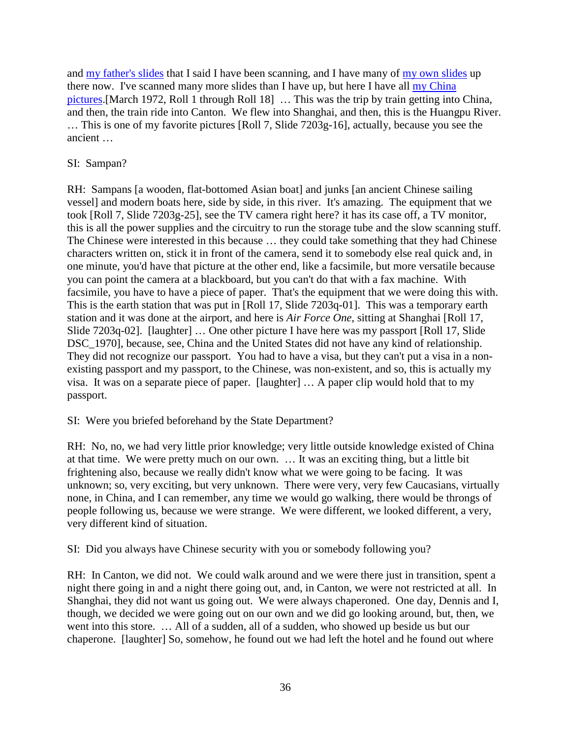and [my father's slides](http://rhopkins.us/slides/) that I said I have been scanning, and I have many of [my own slides](http://rhopkins.us/mypix/) up there now. I've scanned many more slides than I have up, but here I have all [my China](http://rhopkins.us/mypix/disk02/)  [pictures.](http://rhopkins.us/mypix/disk02/)[March 1972, Roll 1 through Roll 18] … This was the trip by train getting into China, and then, the train ride into Canton. We flew into Shanghai, and then, this is the Huangpu River. … This is one of my favorite pictures [Roll 7, Slide 7203g-16], actually, because you see the ancient …

### SI: Sampan?

RH: Sampans [a wooden, flat-bottomed Asian boat] and junks [an ancient Chinese sailing vessel] and modern boats here, side by side, in this river. It's amazing. The equipment that we took [Roll 7, Slide 7203g-25], see the TV camera right here? it has its case off, a TV monitor, this is all the power supplies and the circuitry to run the storage tube and the slow scanning stuff. The Chinese were interested in this because … they could take something that they had Chinese characters written on, stick it in front of the camera, send it to somebody else real quick and, in one minute, you'd have that picture at the other end, like a facsimile, but more versatile because you can point the camera at a blackboard, but you can't do that with a fax machine. With facsimile, you have to have a piece of paper. That's the equipment that we were doing this with. This is the earth station that was put in [Roll 17, Slide 7203q-01]. This was a temporary earth station and it was done at the airport, and here is *Air Force One*, sitting at Shanghai [Roll 17, Slide 7203q-02]. [laughter] … One other picture I have here was my passport [Roll 17, Slide DSC 1970], because, see, China and the United States did not have any kind of relationship. They did not recognize our passport. You had to have a visa, but they can't put a visa in a nonexisting passport and my passport, to the Chinese, was non-existent, and so, this is actually my visa. It was on a separate piece of paper. [laughter] … A paper clip would hold that to my passport.

SI: Were you briefed beforehand by the State Department?

RH: No, no, we had very little prior knowledge; very little outside knowledge existed of China at that time. We were pretty much on our own. … It was an exciting thing, but a little bit frightening also, because we really didn't know what we were going to be facing. It was unknown; so, very exciting, but very unknown. There were very, very few Caucasians, virtually none, in China, and I can remember, any time we would go walking, there would be throngs of people following us, because we were strange. We were different, we looked different, a very, very different kind of situation.

SI: Did you always have Chinese security with you or somebody following you?

RH: In Canton, we did not. We could walk around and we were there just in transition, spent a night there going in and a night there going out, and, in Canton, we were not restricted at all. In Shanghai, they did not want us going out. We were always chaperoned. One day, Dennis and I, though, we decided we were going out on our own and we did go looking around, but, then, we went into this store. … All of a sudden, all of a sudden, who showed up beside us but our chaperone. [laughter] So, somehow, he found out we had left the hotel and he found out where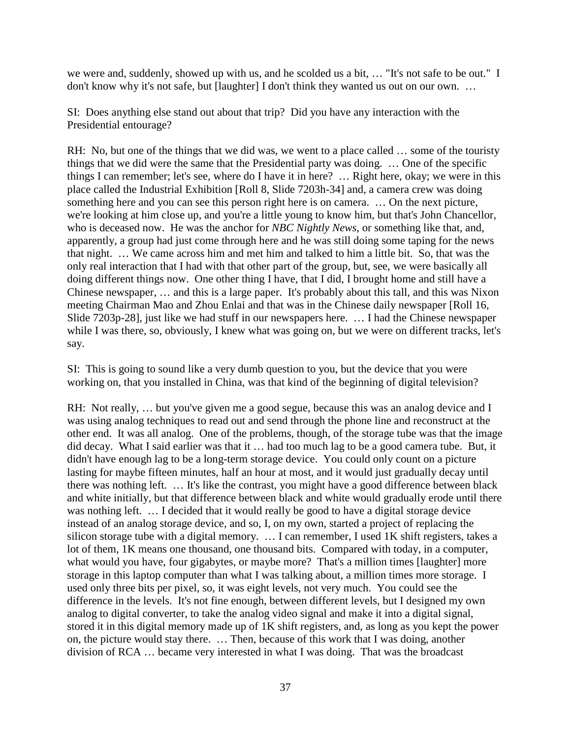we were and, suddenly, showed up with us, and he scolded us a bit, … "It's not safe to be out." I don't know why it's not safe, but [laughter] I don't think they wanted us out on our own. …

SI: Does anything else stand out about that trip? Did you have any interaction with the Presidential entourage?

RH: No, but one of the things that we did was, we went to a place called … some of the touristy things that we did were the same that the Presidential party was doing. … One of the specific things I can remember; let's see, where do I have it in here? … Right here, okay; we were in this place called the Industrial Exhibition [Roll 8, Slide 7203h-34] and, a camera crew was doing something here and you can see this person right here is on camera. … On the next picture, we're looking at him close up, and you're a little young to know him, but that's John Chancellor, who is deceased now. He was the anchor for *NBC Nightly News*, or something like that, and, apparently, a group had just come through here and he was still doing some taping for the news that night. … We came across him and met him and talked to him a little bit. So, that was the only real interaction that I had with that other part of the group, but, see, we were basically all doing different things now. One other thing I have, that I did, I brought home and still have a Chinese newspaper, … and this is a large paper. It's probably about this tall, and this was Nixon meeting Chairman Mao and Zhou Enlai and that was in the Chinese daily newspaper [Roll 16, Slide 7203p-28], just like we had stuff in our newspapers here. … I had the Chinese newspaper while I was there, so, obviously, I knew what was going on, but we were on different tracks, let's say.

SI: This is going to sound like a very dumb question to you, but the device that you were working on, that you installed in China, was that kind of the beginning of digital television?

RH: Not really, ... but you've given me a good segue, because this was an analog device and I was using analog techniques to read out and send through the phone line and reconstruct at the other end. It was all analog. One of the problems, though, of the storage tube was that the image did decay. What I said earlier was that it … had too much lag to be a good camera tube. But, it didn't have enough lag to be a long-term storage device. You could only count on a picture lasting for maybe fifteen minutes, half an hour at most, and it would just gradually decay until there was nothing left. … It's like the contrast, you might have a good difference between black and white initially, but that difference between black and white would gradually erode until there was nothing left. … I decided that it would really be good to have a digital storage device instead of an analog storage device, and so, I, on my own, started a project of replacing the silicon storage tube with a digital memory. … I can remember, I used 1K shift registers, takes a lot of them, 1K means one thousand, one thousand bits. Compared with today, in a computer, what would you have, four gigabytes, or maybe more? That's a million times [laughter] more storage in this laptop computer than what I was talking about, a million times more storage. I used only three bits per pixel, so, it was eight levels, not very much. You could see the difference in the levels. It's not fine enough, between different levels, but I designed my own analog to digital converter, to take the analog video signal and make it into a digital signal, stored it in this digital memory made up of 1K shift registers, and, as long as you kept the power on, the picture would stay there. … Then, because of this work that I was doing, another division of RCA … became very interested in what I was doing. That was the broadcast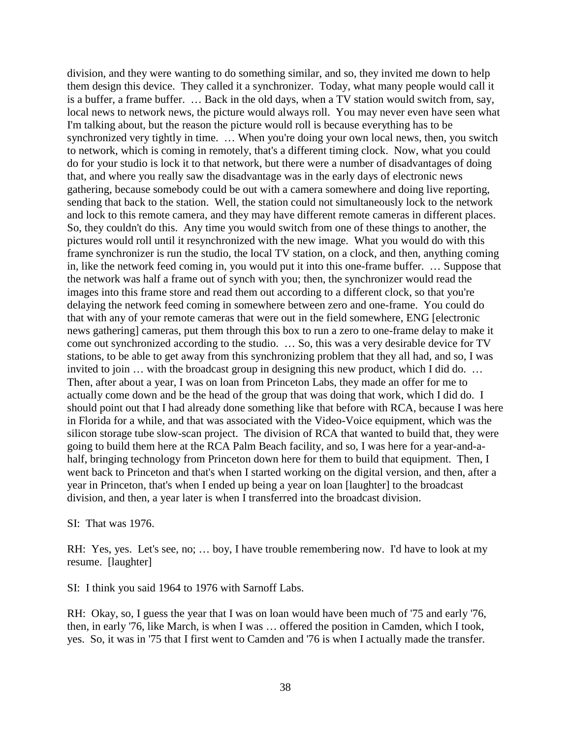division, and they were wanting to do something similar, and so, they invited me down to help them design this device. They called it a synchronizer. Today, what many people would call it is a buffer, a frame buffer. … Back in the old days, when a TV station would switch from, say, local news to network news, the picture would always roll. You may never even have seen what I'm talking about, but the reason the picture would roll is because everything has to be synchronized very tightly in time. ... When you're doing your own local news, then, you switch to network, which is coming in remotely, that's a different timing clock. Now, what you could do for your studio is lock it to that network, but there were a number of disadvantages of doing that, and where you really saw the disadvantage was in the early days of electronic news gathering, because somebody could be out with a camera somewhere and doing live reporting, sending that back to the station. Well, the station could not simultaneously lock to the network and lock to this remote camera, and they may have different remote cameras in different places. So, they couldn't do this. Any time you would switch from one of these things to another, the pictures would roll until it resynchronized with the new image. What you would do with this frame synchronizer is run the studio, the local TV station, on a clock, and then, anything coming in, like the network feed coming in, you would put it into this one-frame buffer. … Suppose that the network was half a frame out of synch with you; then, the synchronizer would read the images into this frame store and read them out according to a different clock, so that you're delaying the network feed coming in somewhere between zero and one-frame. You could do that with any of your remote cameras that were out in the field somewhere, ENG [electronic news gathering] cameras, put them through this box to run a zero to one-frame delay to make it come out synchronized according to the studio. … So, this was a very desirable device for TV stations, to be able to get away from this synchronizing problem that they all had, and so, I was invited to join … with the broadcast group in designing this new product, which I did do. … Then, after about a year, I was on loan from Princeton Labs, they made an offer for me to actually come down and be the head of the group that was doing that work, which I did do. I should point out that I had already done something like that before with RCA, because I was here in Florida for a while, and that was associated with the Video-Voice equipment, which was the silicon storage tube slow-scan project. The division of RCA that wanted to build that, they were going to build them here at the RCA Palm Beach facility, and so, I was here for a year-and-ahalf, bringing technology from Princeton down here for them to build that equipment. Then, I went back to Princeton and that's when I started working on the digital version, and then, after a year in Princeton, that's when I ended up being a year on loan [laughter] to the broadcast division, and then, a year later is when I transferred into the broadcast division.

SI: That was 1976.

RH: Yes, yes. Let's see, no; … boy, I have trouble remembering now. I'd have to look at my resume. [laughter]

SI: I think you said 1964 to 1976 with Sarnoff Labs.

RH: Okay, so, I guess the year that I was on loan would have been much of '75 and early '76, then, in early '76, like March, is when I was … offered the position in Camden, which I took, yes. So, it was in '75 that I first went to Camden and '76 is when I actually made the transfer.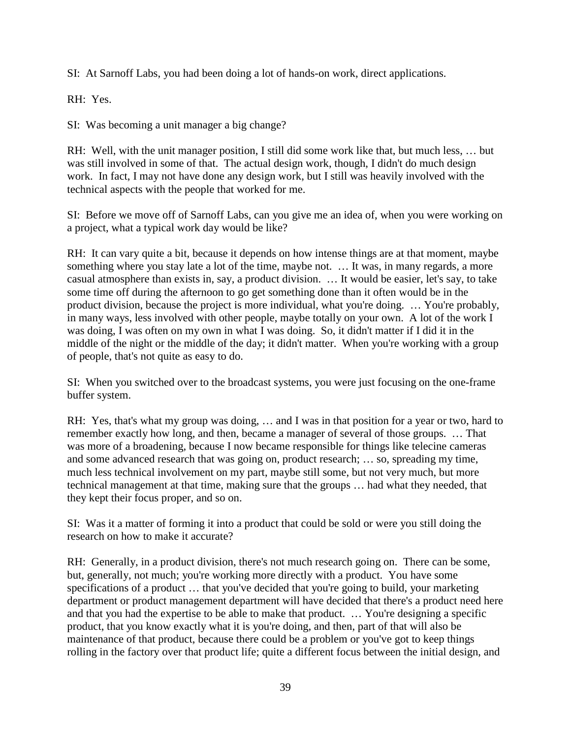SI: At Sarnoff Labs, you had been doing a lot of hands-on work, direct applications.

RH: Yes.

SI: Was becoming a unit manager a big change?

RH: Well, with the unit manager position, I still did some work like that, but much less, … but was still involved in some of that. The actual design work, though, I didn't do much design work. In fact, I may not have done any design work, but I still was heavily involved with the technical aspects with the people that worked for me.

SI: Before we move off of Sarnoff Labs, can you give me an idea of, when you were working on a project, what a typical work day would be like?

RH: It can vary quite a bit, because it depends on how intense things are at that moment, maybe something where you stay late a lot of the time, maybe not. … It was, in many regards, a more casual atmosphere than exists in, say, a product division. … It would be easier, let's say, to take some time off during the afternoon to go get something done than it often would be in the product division, because the project is more individual, what you're doing. … You're probably, in many ways, less involved with other people, maybe totally on your own. A lot of the work I was doing, I was often on my own in what I was doing. So, it didn't matter if I did it in the middle of the night or the middle of the day; it didn't matter. When you're working with a group of people, that's not quite as easy to do.

SI: When you switched over to the broadcast systems, you were just focusing on the one-frame buffer system.

RH: Yes, that's what my group was doing, … and I was in that position for a year or two, hard to remember exactly how long, and then, became a manager of several of those groups. … That was more of a broadening, because I now became responsible for things like telecine cameras and some advanced research that was going on, product research; … so, spreading my time, much less technical involvement on my part, maybe still some, but not very much, but more technical management at that time, making sure that the groups … had what they needed, that they kept their focus proper, and so on.

SI: Was it a matter of forming it into a product that could be sold or were you still doing the research on how to make it accurate?

RH: Generally, in a product division, there's not much research going on. There can be some, but, generally, not much; you're working more directly with a product. You have some specifications of a product … that you've decided that you're going to build, your marketing department or product management department will have decided that there's a product need here and that you had the expertise to be able to make that product. … You're designing a specific product, that you know exactly what it is you're doing, and then, part of that will also be maintenance of that product, because there could be a problem or you've got to keep things rolling in the factory over that product life; quite a different focus between the initial design, and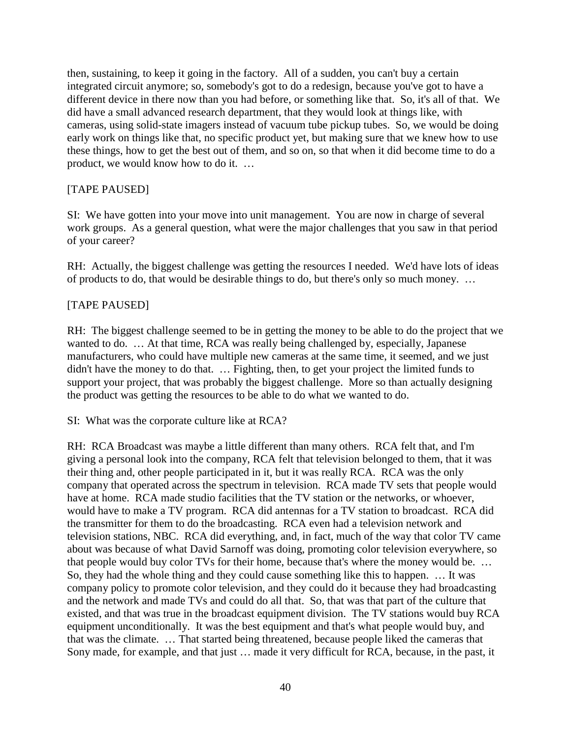then, sustaining, to keep it going in the factory. All of a sudden, you can't buy a certain integrated circuit anymore; so, somebody's got to do a redesign, because you've got to have a different device in there now than you had before, or something like that. So, it's all of that. We did have a small advanced research department, that they would look at things like, with cameras, using solid-state imagers instead of vacuum tube pickup tubes. So, we would be doing early work on things like that, no specific product yet, but making sure that we knew how to use these things, how to get the best out of them, and so on, so that when it did become time to do a product, we would know how to do it. …

### [TAPE PAUSED]

SI: We have gotten into your move into unit management. You are now in charge of several work groups. As a general question, what were the major challenges that you saw in that period of your career?

RH: Actually, the biggest challenge was getting the resources I needed. We'd have lots of ideas of products to do, that would be desirable things to do, but there's only so much money. …

### [TAPE PAUSED]

RH: The biggest challenge seemed to be in getting the money to be able to do the project that we wanted to do. … At that time, RCA was really being challenged by, especially, Japanese manufacturers, who could have multiple new cameras at the same time, it seemed, and we just didn't have the money to do that. … Fighting, then, to get your project the limited funds to support your project, that was probably the biggest challenge. More so than actually designing the product was getting the resources to be able to do what we wanted to do.

SI: What was the corporate culture like at RCA?

RH: RCA Broadcast was maybe a little different than many others. RCA felt that, and I'm giving a personal look into the company, RCA felt that television belonged to them, that it was their thing and, other people participated in it, but it was really RCA. RCA was the only company that operated across the spectrum in television. RCA made TV sets that people would have at home. RCA made studio facilities that the TV station or the networks, or whoever, would have to make a TV program. RCA did antennas for a TV station to broadcast. RCA did the transmitter for them to do the broadcasting. RCA even had a television network and television stations, NBC. RCA did everything, and, in fact, much of the way that color TV came about was because of what David Sarnoff was doing, promoting color television everywhere, so that people would buy color TVs for their home, because that's where the money would be. … So, they had the whole thing and they could cause something like this to happen. … It was company policy to promote color television, and they could do it because they had broadcasting and the network and made TVs and could do all that. So, that was that part of the culture that existed, and that was true in the broadcast equipment division. The TV stations would buy RCA equipment unconditionally. It was the best equipment and that's what people would buy, and that was the climate. … That started being threatened, because people liked the cameras that Sony made, for example, and that just … made it very difficult for RCA, because, in the past, it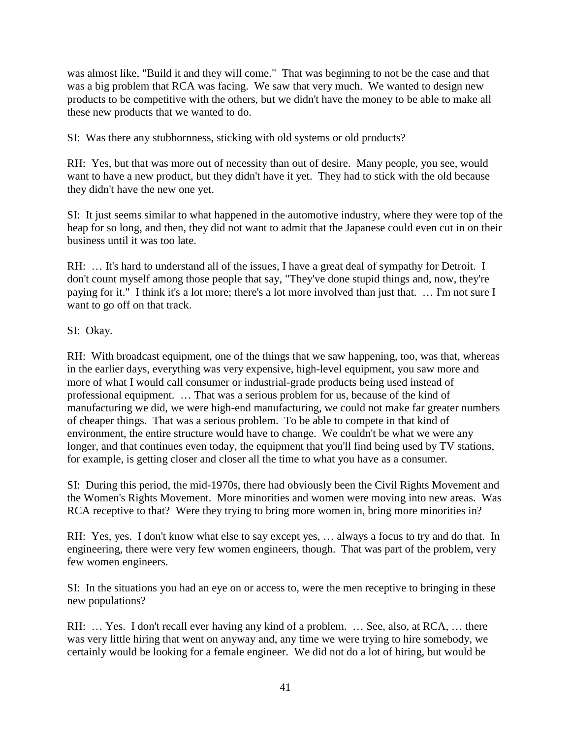was almost like, "Build it and they will come." That was beginning to not be the case and that was a big problem that RCA was facing. We saw that very much. We wanted to design new products to be competitive with the others, but we didn't have the money to be able to make all these new products that we wanted to do.

SI: Was there any stubbornness, sticking with old systems or old products?

RH: Yes, but that was more out of necessity than out of desire. Many people, you see, would want to have a new product, but they didn't have it yet. They had to stick with the old because they didn't have the new one yet.

SI: It just seems similar to what happened in the automotive industry, where they were top of the heap for so long, and then, they did not want to admit that the Japanese could even cut in on their business until it was too late.

RH: ... It's hard to understand all of the issues, I have a great deal of sympathy for Detroit. I don't count myself among those people that say, "They've done stupid things and, now, they're paying for it." I think it's a lot more; there's a lot more involved than just that. … I'm not sure I want to go off on that track.

### SI: Okay.

RH: With broadcast equipment, one of the things that we saw happening, too, was that, whereas in the earlier days, everything was very expensive, high-level equipment, you saw more and more of what I would call consumer or industrial-grade products being used instead of professional equipment. … That was a serious problem for us, because of the kind of manufacturing we did, we were high-end manufacturing, we could not make far greater numbers of cheaper things. That was a serious problem. To be able to compete in that kind of environment, the entire structure would have to change. We couldn't be what we were any longer, and that continues even today, the equipment that you'll find being used by TV stations, for example, is getting closer and closer all the time to what you have as a consumer.

SI: During this period, the mid-1970s, there had obviously been the Civil Rights Movement and the Women's Rights Movement. More minorities and women were moving into new areas. Was RCA receptive to that? Were they trying to bring more women in, bring more minorities in?

RH: Yes, yes. I don't know what else to say except yes, … always a focus to try and do that. In engineering, there were very few women engineers, though. That was part of the problem, very few women engineers.

SI: In the situations you had an eye on or access to, were the men receptive to bringing in these new populations?

RH: ... Yes. I don't recall ever having any kind of a problem. ... See, also, at RCA, ... there was very little hiring that went on anyway and, any time we were trying to hire somebody, we certainly would be looking for a female engineer. We did not do a lot of hiring, but would be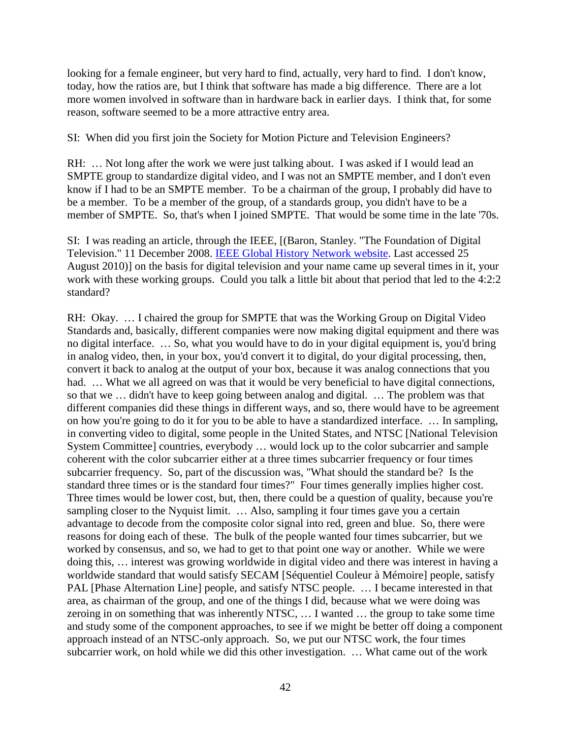looking for a female engineer, but very hard to find, actually, very hard to find. I don't know, today, how the ratios are, but I think that software has made a big difference. There are a lot more women involved in software than in hardware back in earlier days. I think that, for some reason, software seemed to be a more attractive entry area.

SI: When did you first join the Society for Motion Picture and Television Engineers?

RH: … Not long after the work we were just talking about. I was asked if I would lead an SMPTE group to standardize digital video, and I was not an SMPTE member, and I don't even know if I had to be an SMPTE member. To be a chairman of the group, I probably did have to be a member. To be a member of the group, of a standards group, you didn't have to be a member of SMPTE. So, that's when I joined SMPTE. That would be some time in the late '70s.

SI: I was reading an article, through the IEEE, [(Baron, Stanley. "The Foundation of Digital Television." 11 December 2008. [IEEE Global History Network website.](http://www.ieeeghn.org/wiki/index.php/First-Hand:The_Foundation_of_Digital_Television:_the_origins_of_the_4:2:2_component_digital_standard) Last accessed 25 August 2010)] on the basis for digital television and your name came up several times in it, your work with these working groups. Could you talk a little bit about that period that led to the 4:2:2 standard?

RH: Okay. … I chaired the group for SMPTE that was the Working Group on Digital Video Standards and, basically, different companies were now making digital equipment and there was no digital interface. … So, what you would have to do in your digital equipment is, you'd bring in analog video, then, in your box, you'd convert it to digital, do your digital processing, then, convert it back to analog at the output of your box, because it was analog connections that you had. ... What we all agreed on was that it would be very beneficial to have digital connections, so that we … didn't have to keep going between analog and digital. … The problem was that different companies did these things in different ways, and so, there would have to be agreement on how you're going to do it for you to be able to have a standardized interface. … In sampling, in converting video to digital, some people in the United States, and NTSC [National Television System Committee] countries, everybody … would lock up to the color subcarrier and sample coherent with the color subcarrier either at a three times subcarrier frequency or four times subcarrier frequency. So, part of the discussion was, "What should the standard be? Is the standard three times or is the standard four times?" Four times generally implies higher cost. Three times would be lower cost, but, then, there could be a question of quality, because you're sampling closer to the Nyquist limit. ... Also, sampling it four times gave you a certain advantage to decode from the composite color signal into red, green and blue. So, there were reasons for doing each of these. The bulk of the people wanted four times subcarrier, but we worked by consensus, and so, we had to get to that point one way or another. While we were doing this, … interest was growing worldwide in digital video and there was interest in having a worldwide standard that would satisfy SECAM [Séquentiel Couleur à Mémoire] people, satisfy PAL [Phase Alternation Line] people, and satisfy NTSC people. … I became interested in that area, as chairman of the group, and one of the things I did, because what we were doing was zeroing in on something that was inherently NTSC, … I wanted … the group to take some time and study some of the component approaches, to see if we might be better off doing a component approach instead of an NTSC-only approach. So, we put our NTSC work, the four times subcarrier work, on hold while we did this other investigation. … What came out of the work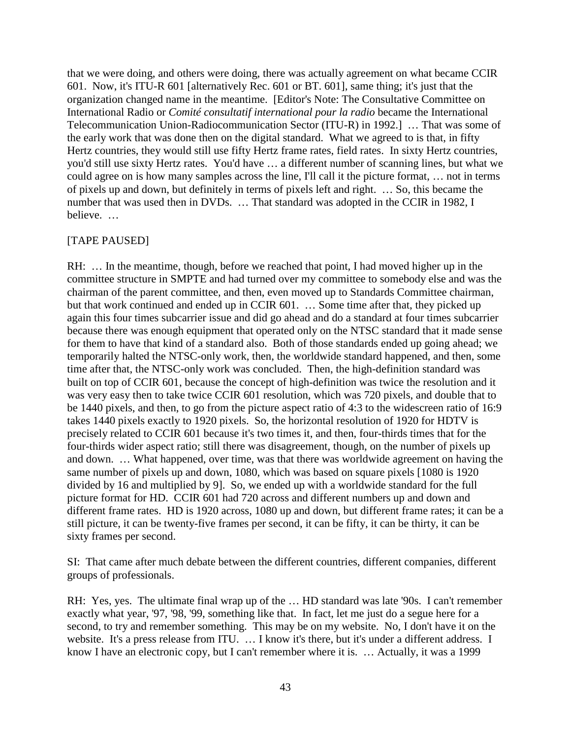that we were doing, and others were doing, there was actually agreement on what became CCIR 601. Now, it's ITU-R 601 [alternatively Rec. 601 or BT. 601], same thing; it's just that the organization changed name in the meantime. [Editor's Note: The Consultative Committee on International Radio or *Comité consultatif international pour la radio* became the International Telecommunication Union-Radiocommunication Sector (ITU-R) in 1992.] … That was some of the early work that was done then on the digital standard. What we agreed to is that, in fifty Hertz countries, they would still use fifty Hertz frame rates, field rates. In sixty Hertz countries, you'd still use sixty Hertz rates. You'd have … a different number of scanning lines, but what we could agree on is how many samples across the line, I'll call it the picture format, … not in terms of pixels up and down, but definitely in terms of pixels left and right. … So, this became the number that was used then in DVDs. ... That standard was adopted in the CCIR in 1982, I believe. …

### [TAPE PAUSED]

RH: … In the meantime, though, before we reached that point, I had moved higher up in the committee structure in SMPTE and had turned over my committee to somebody else and was the chairman of the parent committee, and then, even moved up to Standards Committee chairman, but that work continued and ended up in CCIR 601. … Some time after that, they picked up again this four times subcarrier issue and did go ahead and do a standard at four times subcarrier because there was enough equipment that operated only on the NTSC standard that it made sense for them to have that kind of a standard also. Both of those standards ended up going ahead; we temporarily halted the NTSC-only work, then, the worldwide standard happened, and then, some time after that, the NTSC-only work was concluded. Then, the high-definition standard was built on top of CCIR 601, because the concept of high-definition was twice the resolution and it was very easy then to take twice CCIR 601 resolution, which was 720 pixels, and double that to be 1440 pixels, and then, to go from the picture aspect ratio of 4:3 to the widescreen ratio of 16:9 takes 1440 pixels exactly to 1920 pixels. So, the horizontal resolution of 1920 for HDTV is precisely related to CCIR 601 because it's two times it, and then, four-thirds times that for the four-thirds wider aspect ratio; still there was disagreement, though, on the number of pixels up and down. … What happened, over time, was that there was worldwide agreement on having the same number of pixels up and down, 1080, which was based on square pixels [1080 is 1920 divided by 16 and multiplied by 9]. So, we ended up with a worldwide standard for the full picture format for HD. CCIR 601 had 720 across and different numbers up and down and different frame rates. HD is 1920 across, 1080 up and down, but different frame rates; it can be a still picture, it can be twenty-five frames per second, it can be fifty, it can be thirty, it can be sixty frames per second.

SI: That came after much debate between the different countries, different companies, different groups of professionals.

RH: Yes, yes. The ultimate final wrap up of the … HD standard was late '90s. I can't remember exactly what year, '97, '98, '99, something like that. In fact, let me just do a segue here for a second, to try and remember something. This may be on my website. No, I don't have it on the website. It's a press release from ITU. ... I know it's there, but it's under a different address. I know I have an electronic copy, but I can't remember where it is. … Actually, it was a 1999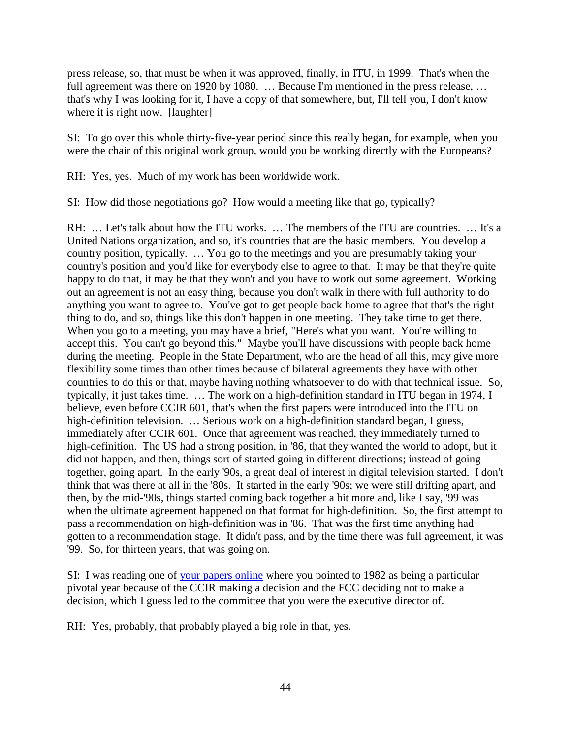press release, so, that must be when it was approved, finally, in ITU, in 1999. That's when the full agreement was there on 1920 by 1080. ... Because I'm mentioned in the press release, ... that's why I was looking for it, I have a copy of that somewhere, but, I'll tell you, I don't know where it is right now. [laughter]

SI: To go over this whole thirty-five-year period since this really began, for example, when you were the chair of this original work group, would you be working directly with the Europeans?

RH: Yes, yes. Much of my work has been worldwide work.

SI: How did those negotiations go? How would a meeting like that go, typically?

RH: … Let's talk about how the ITU works. … The members of the ITU are countries. … It's a United Nations organization, and so, it's countries that are the basic members. You develop a country position, typically. … You go to the meetings and you are presumably taking your country's position and you'd like for everybody else to agree to that. It may be that they're quite happy to do that, it may be that they won't and you have to work out some agreement. Working out an agreement is not an easy thing, because you don't walk in there with full authority to do anything you want to agree to. You've got to get people back home to agree that that's the right thing to do, and so, things like this don't happen in one meeting. They take time to get there. When you go to a meeting, you may have a brief, "Here's what you want. You're willing to accept this. You can't go beyond this." Maybe you'll have discussions with people back home during the meeting. People in the State Department, who are the head of all this, may give more flexibility some times than other times because of bilateral agreements they have with other countries to do this or that, maybe having nothing whatsoever to do with that technical issue. So, typically, it just takes time. … The work on a high-definition standard in ITU began in 1974, I believe, even before CCIR 601, that's when the first papers were introduced into the ITU on high-definition television. ... Serious work on a high-definition standard began, I guess, immediately after CCIR 601. Once that agreement was reached, they immediately turned to high-definition. The US had a strong position, in '86, that they wanted the world to adopt, but it did not happen, and then, things sort of started going in different directions; instead of going together, going apart. In the early '90s, a great deal of interest in digital television started. I don't think that was there at all in the '80s. It started in the early '90s; we were still drifting apart, and then, by the mid-'90s, things started coming back together a bit more and, like I say, '99 was when the ultimate agreement happened on that format for high-definition. So, the first attempt to pass a recommendation on high-definition was in '86. That was the first time anything had gotten to a recommendation stage. It didn't pass, and by the time there was full agreement, it was '99. So, for thirteen years, that was going on.

SI: I was reading one of [your papers online](http://rhopkins.us/drbob.tv/documents/NAB_1988.pdf) where you pointed to 1982 as being a particular pivotal year because of the CCIR making a decision and the FCC deciding not to make a decision, which I guess led to the committee that you were the executive director of.

RH: Yes, probably, that probably played a big role in that, yes.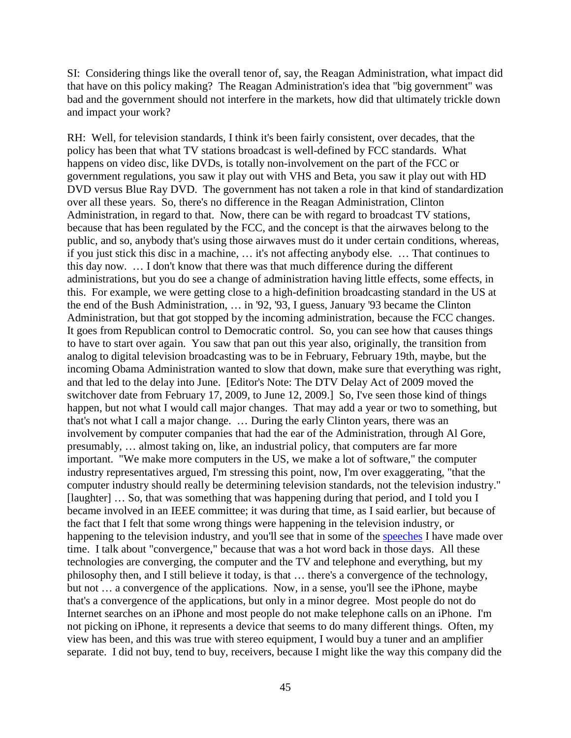SI: Considering things like the overall tenor of, say, the Reagan Administration, what impact did that have on this policy making? The Reagan Administration's idea that "big government" was bad and the government should not interfere in the markets, how did that ultimately trickle down and impact your work?

RH: Well, for television standards, I think it's been fairly consistent, over decades, that the policy has been that what TV stations broadcast is well-defined by FCC standards. What happens on video disc, like DVDs, is totally non-involvement on the part of the FCC or government regulations, you saw it play out with VHS and Beta, you saw it play out with HD DVD versus Blue Ray DVD. The government has not taken a role in that kind of standardization over all these years. So, there's no difference in the Reagan Administration, Clinton Administration, in regard to that. Now, there can be with regard to broadcast TV stations, because that has been regulated by the FCC, and the concept is that the airwaves belong to the public, and so, anybody that's using those airwaves must do it under certain conditions, whereas, if you just stick this disc in a machine, … it's not affecting anybody else. … That continues to this day now. … I don't know that there was that much difference during the different administrations, but you do see a change of administration having little effects, some effects, in this. For example, we were getting close to a high-definition broadcasting standard in the US at the end of the Bush Administration, … in '92, '93, I guess, January '93 became the Clinton Administration, but that got stopped by the incoming administration, because the FCC changes. It goes from Republican control to Democratic control. So, you can see how that causes things to have to start over again. You saw that pan out this year also, originally, the transition from analog to digital television broadcasting was to be in February, February 19th, maybe, but the incoming Obama Administration wanted to slow that down, make sure that everything was right, and that led to the delay into June. [Editor's Note: The DTV Delay Act of 2009 moved the switchover date from February 17, 2009, to June 12, 2009.] So, I've seen those kind of things happen, but not what I would call major changes. That may add a year or two to something, but that's not what I call a major change. … During the early Clinton years, there was an involvement by computer companies that had the ear of the Administration, through Al Gore, presumably, … almost taking on, like, an industrial policy, that computers are far more important. "We make more computers in the US, we make a lot of software," the computer industry representatives argued, I'm stressing this point, now, I'm over exaggerating, "that the computer industry should really be determining television standards, not the television industry." [laughter] … So, that was something that was happening during that period, and I told you I became involved in an IEEE committee; it was during that time, as I said earlier, but because of the fact that I felt that some wrong things were happening in the television industry, or happening to the television industry, and you'll see that in some of the [speeches](http://rhopkins.us/drbob.tv/documents/Robert_Hopkins_Publications.htm) I have made over time. I talk about "convergence," because that was a hot word back in those days. All these technologies are converging, the computer and the TV and telephone and everything, but my philosophy then, and I still believe it today, is that … there's a convergence of the technology, but not ... a convergence of the applications. Now, in a sense, you'll see the iPhone, maybe that's a convergence of the applications, but only in a minor degree. Most people do not do Internet searches on an iPhone and most people do not make telephone calls on an iPhone. I'm not picking on iPhone, it represents a device that seems to do many different things. Often, my view has been, and this was true with stereo equipment, I would buy a tuner and an amplifier separate. I did not buy, tend to buy, receivers, because I might like the way this company did the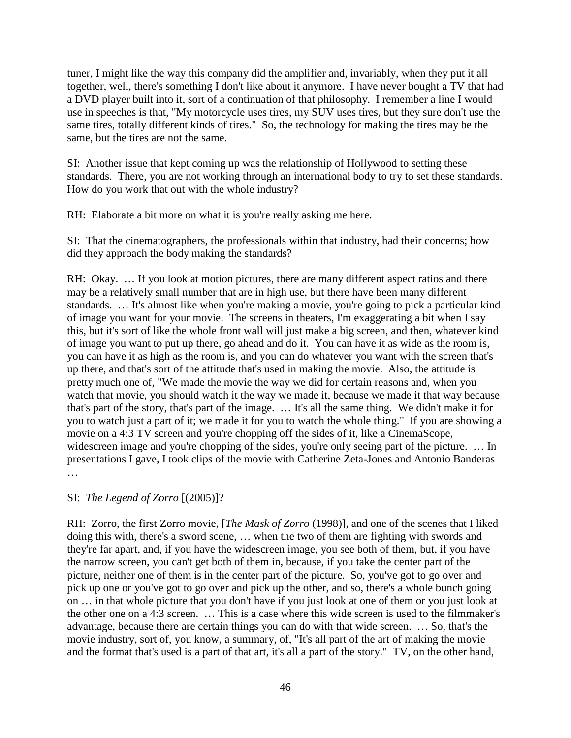tuner, I might like the way this company did the amplifier and, invariably, when they put it all together, well, there's something I don't like about it anymore. I have never bought a TV that had a DVD player built into it, sort of a continuation of that philosophy. I remember a line I would use in speeches is that, "My motorcycle uses tires, my SUV uses tires, but they sure don't use the same tires, totally different kinds of tires." So, the technology for making the tires may be the same, but the tires are not the same.

SI: Another issue that kept coming up was the relationship of Hollywood to setting these standards. There, you are not working through an international body to try to set these standards. How do you work that out with the whole industry?

RH: Elaborate a bit more on what it is you're really asking me here.

SI: That the cinematographers, the professionals within that industry, had their concerns; how did they approach the body making the standards?

RH: Okay. … If you look at motion pictures, there are many different aspect ratios and there may be a relatively small number that are in high use, but there have been many different standards. … It's almost like when you're making a movie, you're going to pick a particular kind of image you want for your movie. The screens in theaters, I'm exaggerating a bit when I say this, but it's sort of like the whole front wall will just make a big screen, and then, whatever kind of image you want to put up there, go ahead and do it. You can have it as wide as the room is, you can have it as high as the room is, and you can do whatever you want with the screen that's up there, and that's sort of the attitude that's used in making the movie. Also, the attitude is pretty much one of, "We made the movie the way we did for certain reasons and, when you watch that movie, you should watch it the way we made it, because we made it that way because that's part of the story, that's part of the image. … It's all the same thing. We didn't make it for you to watch just a part of it; we made it for you to watch the whole thing." If you are showing a movie on a 4:3 TV screen and you're chopping off the sides of it, like a CinemaScope, widescreen image and you're chopping of the sides, you're only seeing part of the picture. ... In presentations I gave, I took clips of the movie with Catherine Zeta-Jones and Antonio Banderas …

# SI: *The Legend of Zorro* [(2005)]?

RH: Zorro, the first Zorro movie, [*The Mask of Zorro* (1998)], and one of the scenes that I liked doing this with, there's a sword scene, … when the two of them are fighting with swords and they're far apart, and, if you have the widescreen image, you see both of them, but, if you have the narrow screen, you can't get both of them in, because, if you take the center part of the picture, neither one of them is in the center part of the picture. So, you've got to go over and pick up one or you've got to go over and pick up the other, and so, there's a whole bunch going on … in that whole picture that you don't have if you just look at one of them or you just look at the other one on a 4:3 screen. … This is a case where this wide screen is used to the filmmaker's advantage, because there are certain things you can do with that wide screen. … So, that's the movie industry, sort of, you know, a summary, of, "It's all part of the art of making the movie and the format that's used is a part of that art, it's all a part of the story." TV, on the other hand,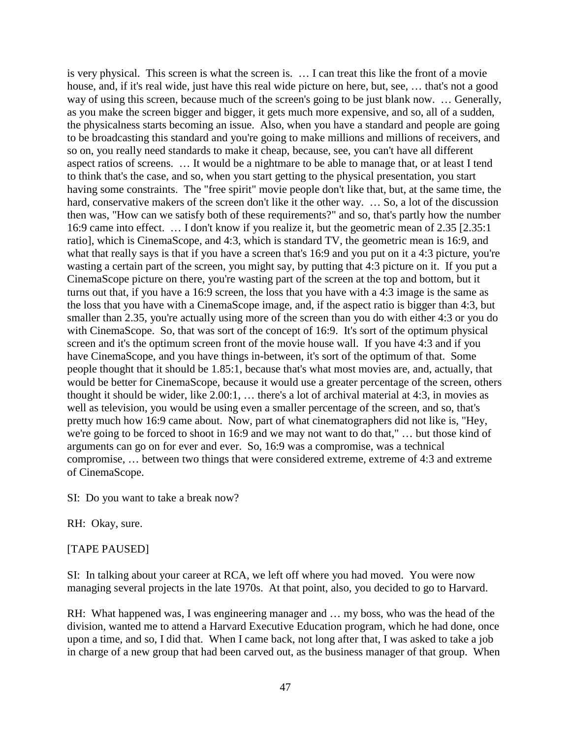is very physical. This screen is what the screen is. … I can treat this like the front of a movie house, and, if it's real wide, just have this real wide picture on here, but, see, … that's not a good way of using this screen, because much of the screen's going to be just blank now. … Generally, as you make the screen bigger and bigger, it gets much more expensive, and so, all of a sudden, the physicalness starts becoming an issue. Also, when you have a standard and people are going to be broadcasting this standard and you're going to make millions and millions of receivers, and so on, you really need standards to make it cheap, because, see, you can't have all different aspect ratios of screens. … It would be a nightmare to be able to manage that, or at least I tend to think that's the case, and so, when you start getting to the physical presentation, you start having some constraints. The "free spirit" movie people don't like that, but, at the same time, the hard, conservative makers of the screen don't like it the other way. ... So, a lot of the discussion then was, "How can we satisfy both of these requirements?" and so, that's partly how the number 16:9 came into effect. … I don't know if you realize it, but the geometric mean of 2.35 [2.35:1 ratio], which is CinemaScope, and 4:3, which is standard TV, the geometric mean is 16:9, and what that really says is that if you have a screen that's 16:9 and you put on it a 4:3 picture, you're wasting a certain part of the screen, you might say, by putting that 4:3 picture on it. If you put a CinemaScope picture on there, you're wasting part of the screen at the top and bottom, but it turns out that, if you have a 16:9 screen, the loss that you have with a 4:3 image is the same as the loss that you have with a CinemaScope image, and, if the aspect ratio is bigger than 4:3, but smaller than 2.35, you're actually using more of the screen than you do with either 4:3 or you do with CinemaScope. So, that was sort of the concept of 16:9. It's sort of the optimum physical screen and it's the optimum screen front of the movie house wall. If you have 4:3 and if you have CinemaScope, and you have things in-between, it's sort of the optimum of that. Some people thought that it should be 1.85:1, because that's what most movies are, and, actually, that would be better for CinemaScope, because it would use a greater percentage of the screen, others thought it should be wider, like 2.00:1, … there's a lot of archival material at 4:3, in movies as well as television, you would be using even a smaller percentage of the screen, and so, that's pretty much how 16:9 came about. Now, part of what cinematographers did not like is, "Hey, we're going to be forced to shoot in 16:9 and we may not want to do that," … but those kind of arguments can go on for ever and ever. So, 16:9 was a compromise, was a technical compromise, … between two things that were considered extreme, extreme of 4:3 and extreme of CinemaScope.

SI: Do you want to take a break now?

RH: Okay, sure.

#### [TAPE PAUSED]

SI: In talking about your career at RCA, we left off where you had moved. You were now managing several projects in the late 1970s. At that point, also, you decided to go to Harvard.

RH: What happened was, I was engineering manager and … my boss, who was the head of the division, wanted me to attend a Harvard Executive Education program, which he had done, once upon a time, and so, I did that. When I came back, not long after that, I was asked to take a job in charge of a new group that had been carved out, as the business manager of that group. When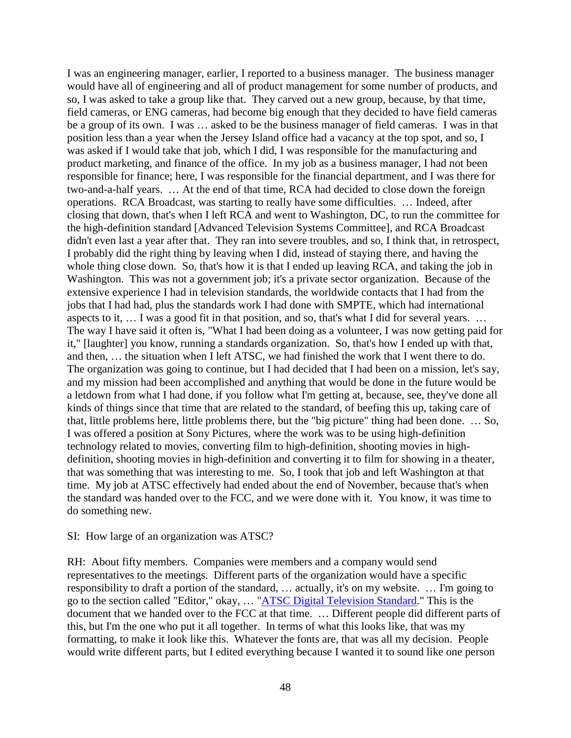I was an engineering manager, earlier, I reported to a business manager. The business manager would have all of engineering and all of product management for some number of products, and so, I was asked to take a group like that. They carved out a new group, because, by that time, field cameras, or ENG cameras, had become big enough that they decided to have field cameras be a group of its own. I was … asked to be the business manager of field cameras. I was in that position less than a year when the Jersey Island office had a vacancy at the top spot, and so, I was asked if I would take that job, which I did, I was responsible for the manufacturing and product marketing, and finance of the office. In my job as a business manager, I had not been responsible for finance; here, I was responsible for the financial department, and I was there for two-and-a-half years. … At the end of that time, RCA had decided to close down the foreign operations. RCA Broadcast, was starting to really have some difficulties. … Indeed, after closing that down, that's when I left RCA and went to Washington, DC, to run the committee for the high-definition standard [Advanced Television Systems Committee], and RCA Broadcast didn't even last a year after that. They ran into severe troubles, and so, I think that, in retrospect, I probably did the right thing by leaving when I did, instead of staying there, and having the whole thing close down. So, that's how it is that I ended up leaving RCA, and taking the job in Washington. This was not a government job; it's a private sector organization. Because of the extensive experience I had in television standards, the worldwide contacts that I had from the jobs that I had had, plus the standards work I had done with SMPTE, which had international aspects to it, … I was a good fit in that position, and so, that's what I did for several years. … The way I have said it often is, "What I had been doing as a volunteer, I was now getting paid for it," [laughter] you know, running a standards organization. So, that's how I ended up with that, and then, … the situation when I left ATSC, we had finished the work that I went there to do. The organization was going to continue, but I had decided that I had been on a mission, let's say, and my mission had been accomplished and anything that would be done in the future would be a letdown from what I had done, if you follow what I'm getting at, because, see, they've done all kinds of things since that time that are related to the standard, of beefing this up, taking care of that, little problems here, little problems there, but the "big picture" thing had been done. … So, I was offered a position at Sony Pictures, where the work was to be using high-definition technology related to movies, converting film to high-definition, shooting movies in highdefinition, shooting movies in high-definition and converting it to film for showing in a theater, that was something that was interesting to me. So, I took that job and left Washington at that time. My job at ATSC effectively had ended about the end of November, because that's when the standard was handed over to the FCC, and we were done with it. You know, it was time to do something new.

#### SI: How large of an organization was ATSC?

RH: About fifty members. Companies were members and a company would send representatives to the meetings. Different parts of the organization would have a specific responsibility to draft a portion of the standard, … actually, it's on my website. … I'm going to go to the section called "Editor," okay, … "[ATSC Digital Television Standard.](http://rhopkins.us/drbob.tv/documents/a_53r1.pdf)" This is the document that we handed over to the FCC at that time. … Different people did different parts of this, but I'm the one who put it all together. In terms of what this looks like, that was my formatting, to make it look like this. Whatever the fonts are, that was all my decision. People would write different parts, but I edited everything because I wanted it to sound like one person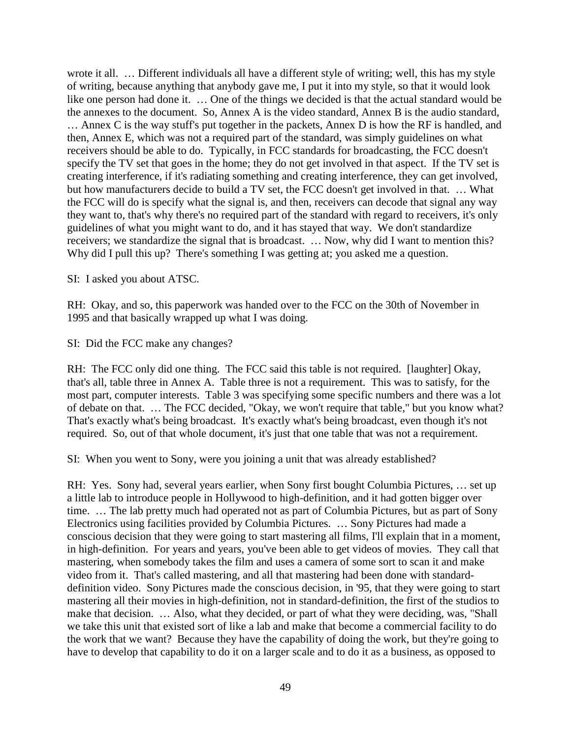wrote it all. … Different individuals all have a different style of writing; well, this has my style of writing, because anything that anybody gave me, I put it into my style, so that it would look like one person had done it. … One of the things we decided is that the actual standard would be the annexes to the document. So, Annex A is the video standard, Annex B is the audio standard, … Annex C is the way stuff's put together in the packets, Annex D is how the RF is handled, and then, Annex E, which was not a required part of the standard, was simply guidelines on what receivers should be able to do. Typically, in FCC standards for broadcasting, the FCC doesn't specify the TV set that goes in the home; they do not get involved in that aspect. If the TV set is creating interference, if it's radiating something and creating interference, they can get involved, but how manufacturers decide to build a TV set, the FCC doesn't get involved in that. … What the FCC will do is specify what the signal is, and then, receivers can decode that signal any way they want to, that's why there's no required part of the standard with regard to receivers, it's only guidelines of what you might want to do, and it has stayed that way. We don't standardize receivers; we standardize the signal that is broadcast. … Now, why did I want to mention this? Why did I pull this up? There's something I was getting at; you asked me a question.

SI: I asked you about ATSC.

RH: Okay, and so, this paperwork was handed over to the FCC on the 30th of November in 1995 and that basically wrapped up what I was doing.

SI: Did the FCC make any changes?

RH: The FCC only did one thing. The FCC said this table is not required. [laughter] Okay, that's all, table three in Annex A. Table three is not a requirement. This was to satisfy, for the most part, computer interests. Table 3 was specifying some specific numbers and there was a lot of debate on that. … The FCC decided, "Okay, we won't require that table," but you know what? That's exactly what's being broadcast. It's exactly what's being broadcast, even though it's not required. So, out of that whole document, it's just that one table that was not a requirement.

SI: When you went to Sony, were you joining a unit that was already established?

RH: Yes. Sony had, several years earlier, when Sony first bought Columbia Pictures, … set up a little lab to introduce people in Hollywood to high-definition, and it had gotten bigger over time. … The lab pretty much had operated not as part of Columbia Pictures, but as part of Sony Electronics using facilities provided by Columbia Pictures. … Sony Pictures had made a conscious decision that they were going to start mastering all films, I'll explain that in a moment, in high-definition. For years and years, you've been able to get videos of movies. They call that mastering, when somebody takes the film and uses a camera of some sort to scan it and make video from it. That's called mastering, and all that mastering had been done with standarddefinition video. Sony Pictures made the conscious decision, in '95, that they were going to start mastering all their movies in high-definition, not in standard-definition, the first of the studios to make that decision. … Also, what they decided, or part of what they were deciding, was, "Shall we take this unit that existed sort of like a lab and make that become a commercial facility to do the work that we want? Because they have the capability of doing the work, but they're going to have to develop that capability to do it on a larger scale and to do it as a business, as opposed to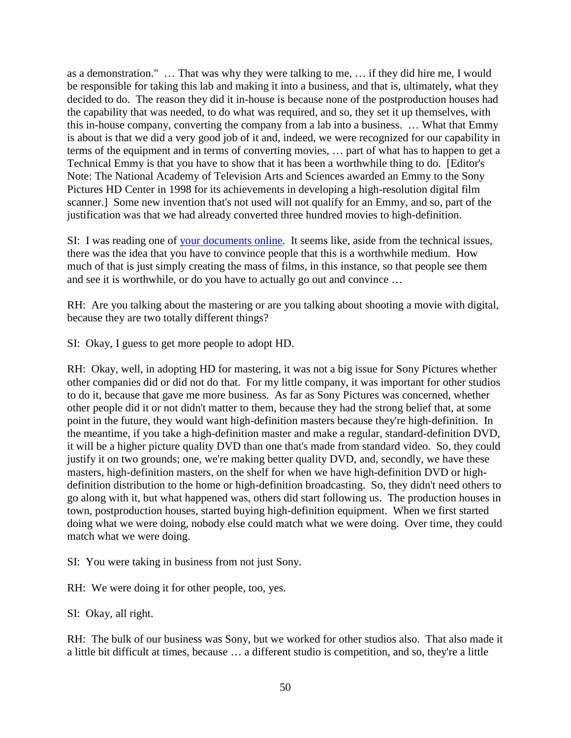as a demonstration." … That was why they were talking to me, … if they did hire me, I would be responsible for taking this lab and making it into a business, and that is, ultimately, what they decided to do. The reason they did it in-house is because none of the postproduction houses had the capability that was needed, to do what was required, and so, they set it up themselves, with this in-house company, converting the company from a lab into a business. … What that Emmy is about is that we did a very good job of it and, indeed, we were recognized for our capability in terms of the equipment and in terms of converting movies, … part of what has to happen to get a Technical Emmy is that you have to show that it has been a worthwhile thing to do. [Editor's Note: The National Academy of Television Arts and Sciences awarded an Emmy to the Sony Pictures HD Center in 1998 for its achievements in developing a high-resolution digital film scanner.] Some new invention that's not used will not qualify for an Emmy, and so, part of the justification was that we had already converted three hundred movies to high-definition.

SI: I was reading one of [your documents online.](http://rhopkins.us/drbob.tv/documents/Robert_Hopkins_Publications.htm) It seems like, aside from the technical issues, there was the idea that you have to convince people that this is a worthwhile medium. How much of that is just simply creating the mass of films, in this instance, so that people see them and see it is worthwhile, or do you have to actually go out and convince …

RH: Are you talking about the mastering or are you talking about shooting a movie with digital, because they are two totally different things?

SI: Okay, I guess to get more people to adopt HD.

RH: Okay, well, in adopting HD for mastering, it was not a big issue for Sony Pictures whether other companies did or did not do that. For my little company, it was important for other studios to do it, because that gave me more business. As far as Sony Pictures was concerned, whether other people did it or not didn't matter to them, because they had the strong belief that, at some point in the future, they would want high-definition masters because they're high-definition. In the meantime, if you take a high-definition master and make a regular, standard-definition DVD, it will be a higher picture quality DVD than one that's made from standard video. So, they could justify it on two grounds; one, we're making better quality DVD, and, secondly, we have these masters, high-definition masters, on the shelf for when we have high-definition DVD or highdefinition distribution to the home or high-definition broadcasting. So, they didn't need others to go along with it, but what happened was, others did start following us. The production houses in town, postproduction houses, started buying high-definition equipment. When we first started doing what we were doing, nobody else could match what we were doing. Over time, they could match what we were doing.

SI: You were taking in business from not just Sony.

RH: We were doing it for other people, too, yes.

SI: Okay, all right.

RH: The bulk of our business was Sony, but we worked for other studios also. That also made it a little bit difficult at times, because … a different studio is competition, and so, they're a little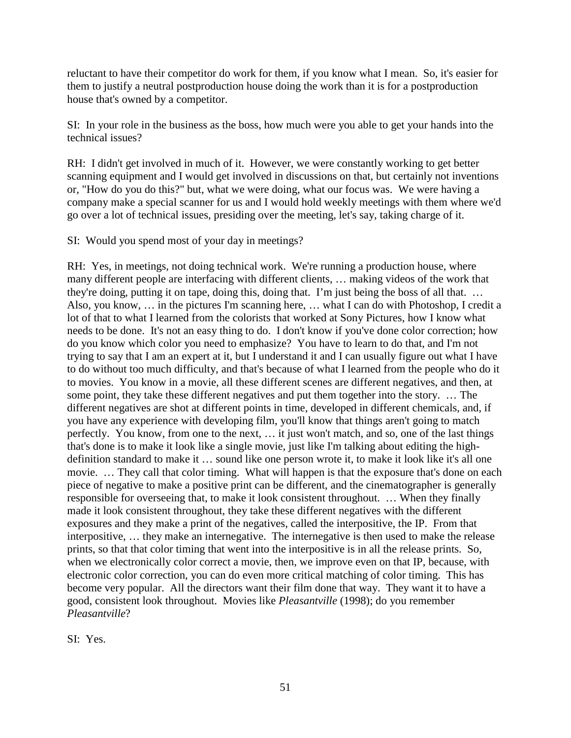reluctant to have their competitor do work for them, if you know what I mean. So, it's easier for them to justify a neutral postproduction house doing the work than it is for a postproduction house that's owned by a competitor.

SI: In your role in the business as the boss, how much were you able to get your hands into the technical issues?

RH: I didn't get involved in much of it. However, we were constantly working to get better scanning equipment and I would get involved in discussions on that, but certainly not inventions or, "How do you do this?" but, what we were doing, what our focus was. We were having a company make a special scanner for us and I would hold weekly meetings with them where we'd go over a lot of technical issues, presiding over the meeting, let's say, taking charge of it.

SI: Would you spend most of your day in meetings?

RH: Yes, in meetings, not doing technical work. We're running a production house, where many different people are interfacing with different clients, … making videos of the work that they're doing, putting it on tape, doing this, doing that. I'm just being the boss of all that. … Also, you know, … in the pictures I'm scanning here, … what I can do with Photoshop, I credit a lot of that to what I learned from the colorists that worked at Sony Pictures, how I know what needs to be done. It's not an easy thing to do. I don't know if you've done color correction; how do you know which color you need to emphasize? You have to learn to do that, and I'm not trying to say that I am an expert at it, but I understand it and I can usually figure out what I have to do without too much difficulty, and that's because of what I learned from the people who do it to movies. You know in a movie, all these different scenes are different negatives, and then, at some point, they take these different negatives and put them together into the story. … The different negatives are shot at different points in time, developed in different chemicals, and, if you have any experience with developing film, you'll know that things aren't going to match perfectly. You know, from one to the next, … it just won't match, and so, one of the last things that's done is to make it look like a single movie, just like I'm talking about editing the highdefinition standard to make it … sound like one person wrote it, to make it look like it's all one movie. … They call that color timing. What will happen is that the exposure that's done on each piece of negative to make a positive print can be different, and the cinematographer is generally responsible for overseeing that, to make it look consistent throughout. … When they finally made it look consistent throughout, they take these different negatives with the different exposures and they make a print of the negatives, called the interpositive, the IP. From that interpositive, … they make an internegative. The internegative is then used to make the release prints, so that that color timing that went into the interpositive is in all the release prints. So, when we electronically color correct a movie, then, we improve even on that IP, because, with electronic color correction, you can do even more critical matching of color timing. This has become very popular. All the directors want their film done that way. They want it to have a good, consistent look throughout. Movies like *Pleasantville* (1998); do you remember *Pleasantville*?

SI: Yes.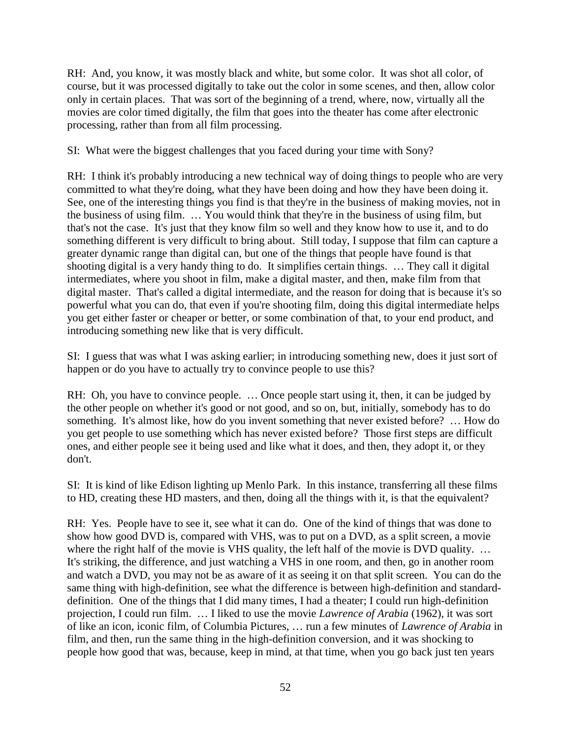RH: And, you know, it was mostly black and white, but some color. It was shot all color, of course, but it was processed digitally to take out the color in some scenes, and then, allow color only in certain places. That was sort of the beginning of a trend, where, now, virtually all the movies are color timed digitally, the film that goes into the theater has come after electronic processing, rather than from all film processing.

SI: What were the biggest challenges that you faced during your time with Sony?

RH: I think it's probably introducing a new technical way of doing things to people who are very committed to what they're doing, what they have been doing and how they have been doing it. See, one of the interesting things you find is that they're in the business of making movies, not in the business of using film. … You would think that they're in the business of using film, but that's not the case. It's just that they know film so well and they know how to use it, and to do something different is very difficult to bring about. Still today, I suppose that film can capture a greater dynamic range than digital can, but one of the things that people have found is that shooting digital is a very handy thing to do. It simplifies certain things. … They call it digital intermediates, where you shoot in film, make a digital master, and then, make film from that digital master. That's called a digital intermediate, and the reason for doing that is because it's so powerful what you can do, that even if you're shooting film, doing this digital intermediate helps you get either faster or cheaper or better, or some combination of that, to your end product, and introducing something new like that is very difficult.

SI: I guess that was what I was asking earlier; in introducing something new, does it just sort of happen or do you have to actually try to convince people to use this?

RH: Oh, you have to convince people. ... Once people start using it, then, it can be judged by the other people on whether it's good or not good, and so on, but, initially, somebody has to do something. It's almost like, how do you invent something that never existed before? … How do you get people to use something which has never existed before? Those first steps are difficult ones, and either people see it being used and like what it does, and then, they adopt it, or they don't.

SI: It is kind of like Edison lighting up Menlo Park. In this instance, transferring all these films to HD, creating these HD masters, and then, doing all the things with it, is that the equivalent?

RH: Yes. People have to see it, see what it can do. One of the kind of things that was done to show how good DVD is, compared with VHS, was to put on a DVD, as a split screen, a movie where the right half of the movie is VHS quality, the left half of the movie is DVD quality. ... It's striking, the difference, and just watching a VHS in one room, and then, go in another room and watch a DVD, you may not be as aware of it as seeing it on that split screen. You can do the same thing with high-definition, see what the difference is between high-definition and standarddefinition. One of the things that I did many times, I had a theater; I could run high-definition projection, I could run film. … I liked to use the movie *Lawrence of Arabia* (1962), it was sort of like an icon, iconic film, of Columbia Pictures, … run a few minutes of *Lawrence of Arabia* in film, and then, run the same thing in the high-definition conversion, and it was shocking to people how good that was, because, keep in mind, at that time, when you go back just ten years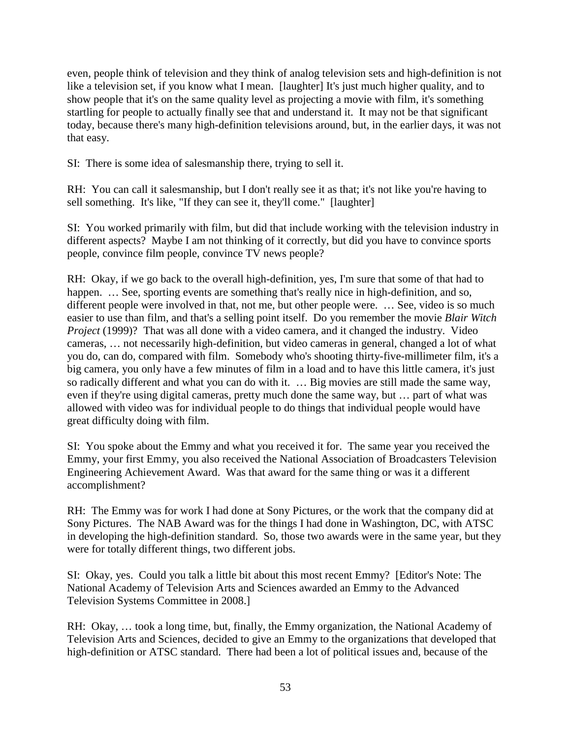even, people think of television and they think of analog television sets and high-definition is not like a television set, if you know what I mean. [laughter] It's just much higher quality, and to show people that it's on the same quality level as projecting a movie with film, it's something startling for people to actually finally see that and understand it. It may not be that significant today, because there's many high-definition televisions around, but, in the earlier days, it was not that easy.

SI: There is some idea of salesmanship there, trying to sell it.

RH: You can call it salesmanship, but I don't really see it as that; it's not like you're having to sell something. It's like, "If they can see it, they'll come." [laughter]

SI: You worked primarily with film, but did that include working with the television industry in different aspects? Maybe I am not thinking of it correctly, but did you have to convince sports people, convince film people, convince TV news people?

RH: Okay, if we go back to the overall high-definition, yes, I'm sure that some of that had to happen. ... See, sporting events are something that's really nice in high-definition, and so, different people were involved in that, not me, but other people were. ... See, video is so much easier to use than film, and that's a selling point itself. Do you remember the movie *Blair Witch Project* (1999)? That was all done with a video camera, and it changed the industry. Video cameras, … not necessarily high-definition, but video cameras in general, changed a lot of what you do, can do, compared with film. Somebody who's shooting thirty-five-millimeter film, it's a big camera, you only have a few minutes of film in a load and to have this little camera, it's just so radically different and what you can do with it. … Big movies are still made the same way, even if they're using digital cameras, pretty much done the same way, but … part of what was allowed with video was for individual people to do things that individual people would have great difficulty doing with film.

SI: You spoke about the Emmy and what you received it for. The same year you received the Emmy, your first Emmy, you also received the National Association of Broadcasters Television Engineering Achievement Award. Was that award for the same thing or was it a different accomplishment?

RH: The Emmy was for work I had done at Sony Pictures, or the work that the company did at Sony Pictures. The NAB Award was for the things I had done in Washington, DC, with ATSC in developing the high-definition standard. So, those two awards were in the same year, but they were for totally different things, two different jobs.

SI: Okay, yes. Could you talk a little bit about this most recent Emmy? [Editor's Note: The National Academy of Television Arts and Sciences awarded an Emmy to the Advanced Television Systems Committee in 2008.]

RH: Okay, … took a long time, but, finally, the Emmy organization, the National Academy of Television Arts and Sciences, decided to give an Emmy to the organizations that developed that high-definition or ATSC standard. There had been a lot of political issues and, because of the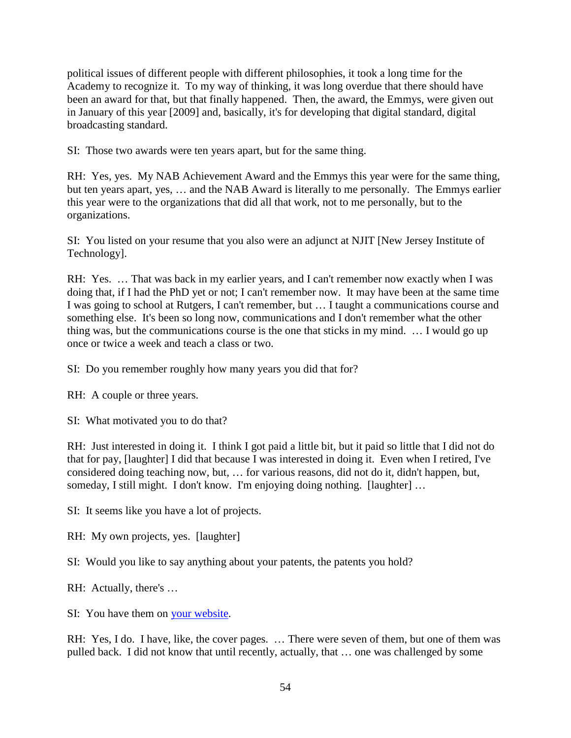political issues of different people with different philosophies, it took a long time for the Academy to recognize it. To my way of thinking, it was long overdue that there should have been an award for that, but that finally happened. Then, the award, the Emmys, were given out in January of this year [2009] and, basically, it's for developing that digital standard, digital broadcasting standard.

SI: Those two awards were ten years apart, but for the same thing.

RH: Yes, yes. My NAB Achievement Award and the Emmys this year were for the same thing, but ten years apart, yes, … and the NAB Award is literally to me personally. The Emmys earlier this year were to the organizations that did all that work, not to me personally, but to the organizations.

SI: You listed on your resume that you also were an adjunct at NJIT [New Jersey Institute of Technology].

RH: Yes. … That was back in my earlier years, and I can't remember now exactly when I was doing that, if I had the PhD yet or not; I can't remember now. It may have been at the same time I was going to school at Rutgers, I can't remember, but … I taught a communications course and something else. It's been so long now, communications and I don't remember what the other thing was, but the communications course is the one that sticks in my mind. … I would go up once or twice a week and teach a class or two.

SI: Do you remember roughly how many years you did that for?

RH: A couple or three years.

SI: What motivated you to do that?

RH: Just interested in doing it. I think I got paid a little bit, but it paid so little that I did not do that for pay, [laughter] I did that because I was interested in doing it. Even when I retired, I've considered doing teaching now, but, … for various reasons, did not do it, didn't happen, but, someday, I still might. I don't know. I'm enjoying doing nothing. [laughter] ...

SI: It seems like you have a lot of projects.

RH: My own projects, yes. [laughter]

SI: Would you like to say anything about your patents, the patents you hold?

RH: Actually, there's …

SI: You have them on [your website.](http://rhopkins.us/drbob.tv/documents/Robert_Hopkins_Publications.htm)

RH: Yes, I do. I have, like, the cover pages. ... There were seven of them, but one of them was pulled back. I did not know that until recently, actually, that … one was challenged by some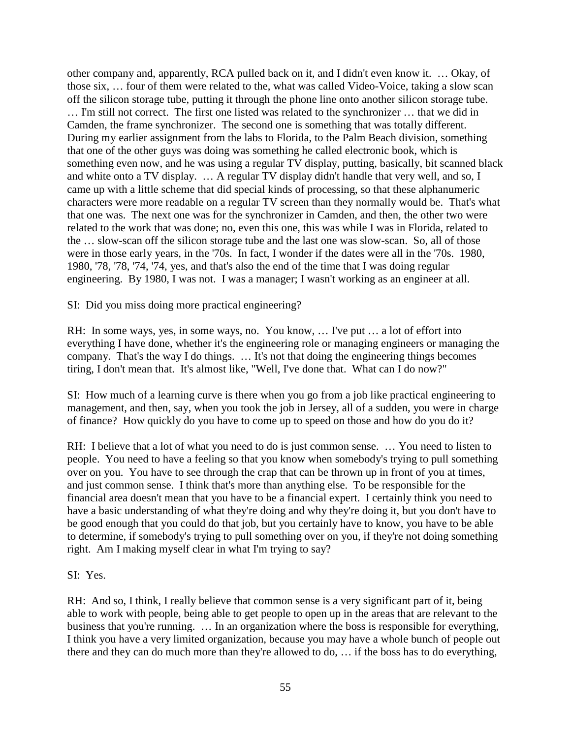other company and, apparently, RCA pulled back on it, and I didn't even know it. … Okay, of those six, … four of them were related to the, what was called Video-Voice, taking a slow scan off the silicon storage tube, putting it through the phone line onto another silicon storage tube. … I'm still not correct. The first one listed was related to the synchronizer … that we did in Camden, the frame synchronizer. The second one is something that was totally different. During my earlier assignment from the labs to Florida, to the Palm Beach division, something that one of the other guys was doing was something he called electronic book, which is something even now, and he was using a regular TV display, putting, basically, bit scanned black and white onto a TV display. … A regular TV display didn't handle that very well, and so, I came up with a little scheme that did special kinds of processing, so that these alphanumeric characters were more readable on a regular TV screen than they normally would be. That's what that one was. The next one was for the synchronizer in Camden, and then, the other two were related to the work that was done; no, even this one, this was while I was in Florida, related to the … slow-scan off the silicon storage tube and the last one was slow-scan. So, all of those were in those early years, in the '70s. In fact, I wonder if the dates were all in the '70s. 1980, 1980, '78, '78, '74, '74, yes, and that's also the end of the time that I was doing regular engineering. By 1980, I was not. I was a manager; I wasn't working as an engineer at all.

SI: Did you miss doing more practical engineering?

RH: In some ways, yes, in some ways, no. You know, … I've put … a lot of effort into everything I have done, whether it's the engineering role or managing engineers or managing the company. That's the way I do things. … It's not that doing the engineering things becomes tiring, I don't mean that. It's almost like, "Well, I've done that. What can I do now?"

SI: How much of a learning curve is there when you go from a job like practical engineering to management, and then, say, when you took the job in Jersey, all of a sudden, you were in charge of finance? How quickly do you have to come up to speed on those and how do you do it?

RH: I believe that a lot of what you need to do is just common sense. ... You need to listen to people. You need to have a feeling so that you know when somebody's trying to pull something over on you. You have to see through the crap that can be thrown up in front of you at times, and just common sense. I think that's more than anything else. To be responsible for the financial area doesn't mean that you have to be a financial expert. I certainly think you need to have a basic understanding of what they're doing and why they're doing it, but you don't have to be good enough that you could do that job, but you certainly have to know, you have to be able to determine, if somebody's trying to pull something over on you, if they're not doing something right. Am I making myself clear in what I'm trying to say?

### SI: Yes.

RH: And so, I think, I really believe that common sense is a very significant part of it, being able to work with people, being able to get people to open up in the areas that are relevant to the business that you're running. … In an organization where the boss is responsible for everything, I think you have a very limited organization, because you may have a whole bunch of people out there and they can do much more than they're allowed to do, … if the boss has to do everything,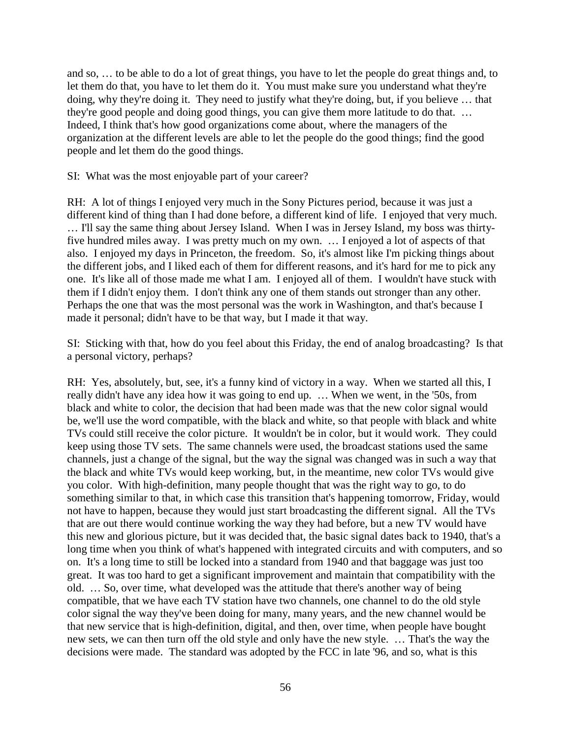and so, … to be able to do a lot of great things, you have to let the people do great things and, to let them do that, you have to let them do it. You must make sure you understand what they're doing, why they're doing it. They need to justify what they're doing, but, if you believe … that they're good people and doing good things, you can give them more latitude to do that. … Indeed, I think that's how good organizations come about, where the managers of the organization at the different levels are able to let the people do the good things; find the good people and let them do the good things.

SI: What was the most enjoyable part of your career?

RH: A lot of things I enjoyed very much in the Sony Pictures period, because it was just a different kind of thing than I had done before, a different kind of life. I enjoyed that very much. … I'll say the same thing about Jersey Island. When I was in Jersey Island, my boss was thirtyfive hundred miles away. I was pretty much on my own. … I enjoyed a lot of aspects of that also. I enjoyed my days in Princeton, the freedom. So, it's almost like I'm picking things about the different jobs, and I liked each of them for different reasons, and it's hard for me to pick any one. It's like all of those made me what I am. I enjoyed all of them. I wouldn't have stuck with them if I didn't enjoy them. I don't think any one of them stands out stronger than any other. Perhaps the one that was the most personal was the work in Washington, and that's because I made it personal; didn't have to be that way, but I made it that way.

SI: Sticking with that, how do you feel about this Friday, the end of analog broadcasting? Is that a personal victory, perhaps?

RH: Yes, absolutely, but, see, it's a funny kind of victory in a way. When we started all this, I really didn't have any idea how it was going to end up. … When we went, in the '50s, from black and white to color, the decision that had been made was that the new color signal would be, we'll use the word compatible, with the black and white, so that people with black and white TVs could still receive the color picture. It wouldn't be in color, but it would work. They could keep using those TV sets. The same channels were used, the broadcast stations used the same channels, just a change of the signal, but the way the signal was changed was in such a way that the black and white TVs would keep working, but, in the meantime, new color TVs would give you color. With high-definition, many people thought that was the right way to go, to do something similar to that, in which case this transition that's happening tomorrow, Friday, would not have to happen, because they would just start broadcasting the different signal. All the TVs that are out there would continue working the way they had before, but a new TV would have this new and glorious picture, but it was decided that, the basic signal dates back to 1940, that's a long time when you think of what's happened with integrated circuits and with computers, and so on. It's a long time to still be locked into a standard from 1940 and that baggage was just too great. It was too hard to get a significant improvement and maintain that compatibility with the old. … So, over time, what developed was the attitude that there's another way of being compatible, that we have each TV station have two channels, one channel to do the old style color signal the way they've been doing for many, many years, and the new channel would be that new service that is high-definition, digital, and then, over time, when people have bought new sets, we can then turn off the old style and only have the new style. … That's the way the decisions were made. The standard was adopted by the FCC in late '96, and so, what is this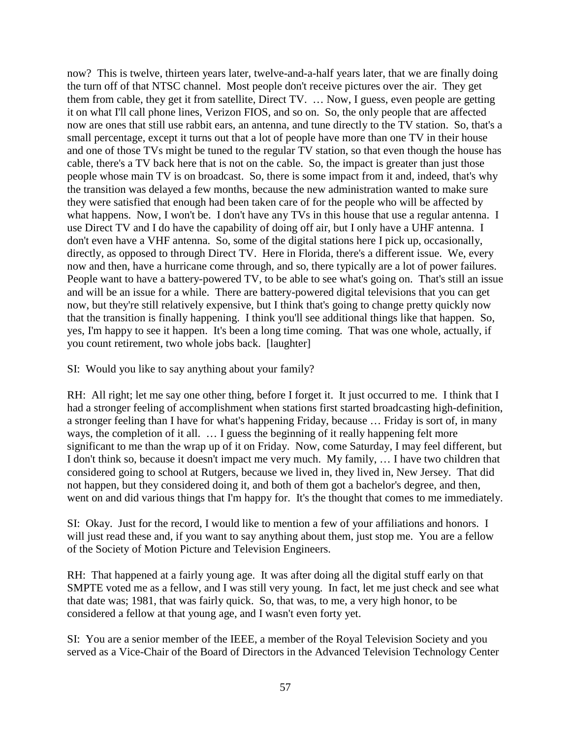now? This is twelve, thirteen years later, twelve-and-a-half years later, that we are finally doing the turn off of that NTSC channel. Most people don't receive pictures over the air. They get them from cable, they get it from satellite, Direct TV. … Now, I guess, even people are getting it on what I'll call phone lines, Verizon FIOS, and so on. So, the only people that are affected now are ones that still use rabbit ears, an antenna, and tune directly to the TV station. So, that's a small percentage, except it turns out that a lot of people have more than one TV in their house and one of those TVs might be tuned to the regular TV station, so that even though the house has cable, there's a TV back here that is not on the cable. So, the impact is greater than just those people whose main TV is on broadcast. So, there is some impact from it and, indeed, that's why the transition was delayed a few months, because the new administration wanted to make sure they were satisfied that enough had been taken care of for the people who will be affected by what happens. Now, I won't be. I don't have any TVs in this house that use a regular antenna. I use Direct TV and I do have the capability of doing off air, but I only have a UHF antenna. I don't even have a VHF antenna. So, some of the digital stations here I pick up, occasionally, directly, as opposed to through Direct TV. Here in Florida, there's a different issue. We, every now and then, have a hurricane come through, and so, there typically are a lot of power failures. People want to have a battery-powered TV, to be able to see what's going on. That's still an issue and will be an issue for a while. There are battery-powered digital televisions that you can get now, but they're still relatively expensive, but I think that's going to change pretty quickly now that the transition is finally happening. I think you'll see additional things like that happen. So, yes, I'm happy to see it happen. It's been a long time coming. That was one whole, actually, if you count retirement, two whole jobs back. [laughter]

SI: Would you like to say anything about your family?

RH: All right; let me say one other thing, before I forget it. It just occurred to me. I think that I had a stronger feeling of accomplishment when stations first started broadcasting high-definition, a stronger feeling than I have for what's happening Friday, because … Friday is sort of, in many ways, the completion of it all. … I guess the beginning of it really happening felt more significant to me than the wrap up of it on Friday. Now, come Saturday, I may feel different, but I don't think so, because it doesn't impact me very much. My family, … I have two children that considered going to school at Rutgers, because we lived in, they lived in, New Jersey. That did not happen, but they considered doing it, and both of them got a bachelor's degree, and then, went on and did various things that I'm happy for. It's the thought that comes to me immediately.

SI: Okay. Just for the record, I would like to mention a few of your affiliations and honors. I will just read these and, if you want to say anything about them, just stop me. You are a fellow of the Society of Motion Picture and Television Engineers.

RH: That happened at a fairly young age. It was after doing all the digital stuff early on that SMPTE voted me as a fellow, and I was still very young. In fact, let me just check and see what that date was; 1981, that was fairly quick. So, that was, to me, a very high honor, to be considered a fellow at that young age, and I wasn't even forty yet.

SI: You are a senior member of the IEEE, a member of the Royal Television Society and you served as a Vice-Chair of the Board of Directors in the Advanced Television Technology Center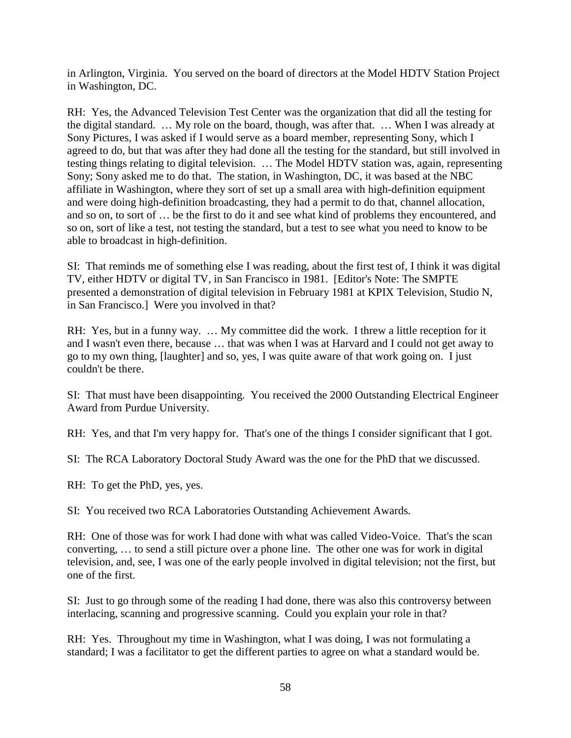in Arlington, Virginia. You served on the board of directors at the Model HDTV Station Project in Washington, DC.

RH: Yes, the Advanced Television Test Center was the organization that did all the testing for the digital standard. … My role on the board, though, was after that. … When I was already at Sony Pictures, I was asked if I would serve as a board member, representing Sony, which I agreed to do, but that was after they had done all the testing for the standard, but still involved in testing things relating to digital television. … The Model HDTV station was, again, representing Sony; Sony asked me to do that. The station, in Washington, DC, it was based at the NBC affiliate in Washington, where they sort of set up a small area with high-definition equipment and were doing high-definition broadcasting, they had a permit to do that, channel allocation, and so on, to sort of … be the first to do it and see what kind of problems they encountered, and so on, sort of like a test, not testing the standard, but a test to see what you need to know to be able to broadcast in high-definition.

SI: That reminds me of something else I was reading, about the first test of, I think it was digital TV, either HDTV or digital TV, in San Francisco in 1981. [Editor's Note: The SMPTE presented a demonstration of digital television in February 1981 at KPIX Television, Studio N, in San Francisco.] Were you involved in that?

RH: Yes, but in a funny way. … My committee did the work. I threw a little reception for it and I wasn't even there, because … that was when I was at Harvard and I could not get away to go to my own thing, [laughter] and so, yes, I was quite aware of that work going on. I just couldn't be there.

SI: That must have been disappointing. You received the 2000 Outstanding Electrical Engineer Award from Purdue University.

RH: Yes, and that I'm very happy for. That's one of the things I consider significant that I got.

SI: The RCA Laboratory Doctoral Study Award was the one for the PhD that we discussed.

RH: To get the PhD, yes, yes.

SI: You received two RCA Laboratories Outstanding Achievement Awards.

RH: One of those was for work I had done with what was called Video-Voice. That's the scan converting, … to send a still picture over a phone line. The other one was for work in digital television, and, see, I was one of the early people involved in digital television; not the first, but one of the first.

SI: Just to go through some of the reading I had done, there was also this controversy between interlacing, scanning and progressive scanning. Could you explain your role in that?

RH: Yes. Throughout my time in Washington, what I was doing, I was not formulating a standard; I was a facilitator to get the different parties to agree on what a standard would be.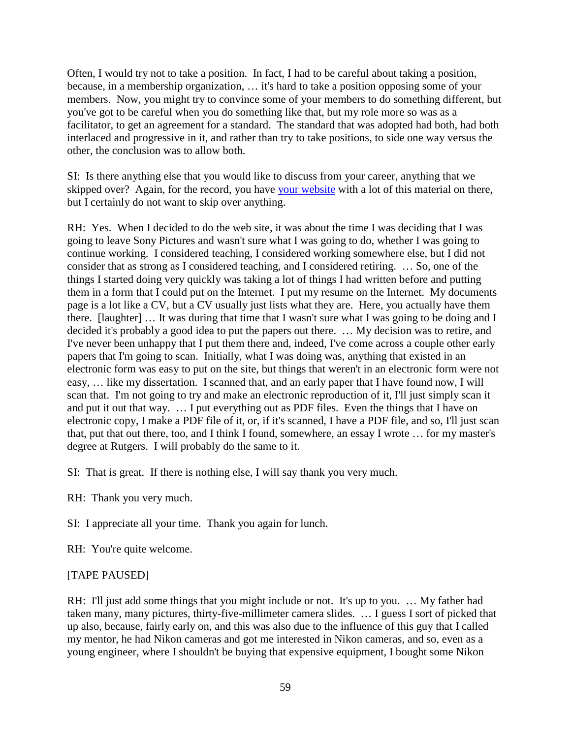Often, I would try not to take a position. In fact, I had to be careful about taking a position, because, in a membership organization, … it's hard to take a position opposing some of your members. Now, you might try to convince some of your members to do something different, but you've got to be careful when you do something like that, but my role more so was as a facilitator, to get an agreement for a standard. The standard that was adopted had both, had both interlaced and progressive in it, and rather than try to take positions, to side one way versus the other, the conclusion was to allow both.

SI: Is there anything else that you would like to discuss from your career, anything that we skipped over? Again, for the record, you have [your website](http://rhopkins.us/) with a lot of this material on there, but I certainly do not want to skip over anything.

RH: Yes. When I decided to do the web site, it was about the time I was deciding that I was going to leave Sony Pictures and wasn't sure what I was going to do, whether I was going to continue working. I considered teaching, I considered working somewhere else, but I did not consider that as strong as I considered teaching, and I considered retiring. … So, one of the things I started doing very quickly was taking a lot of things I had written before and putting them in a form that I could put on the Internet. I put my resume on the Internet. My documents page is a lot like a CV, but a CV usually just lists what they are. Here, you actually have them there. [laughter] … It was during that time that I wasn't sure what I was going to be doing and I decided it's probably a good idea to put the papers out there. … My decision was to retire, and I've never been unhappy that I put them there and, indeed, I've come across a couple other early papers that I'm going to scan. Initially, what I was doing was, anything that existed in an electronic form was easy to put on the site, but things that weren't in an electronic form were not easy, … like my dissertation. I scanned that, and an early paper that I have found now, I will scan that. I'm not going to try and make an electronic reproduction of it, I'll just simply scan it and put it out that way. … I put everything out as PDF files. Even the things that I have on electronic copy, I make a PDF file of it, or, if it's scanned, I have a PDF file, and so, I'll just scan that, put that out there, too, and I think I found, somewhere, an essay I wrote … for my master's degree at Rutgers. I will probably do the same to it.

SI: That is great. If there is nothing else, I will say thank you very much.

RH: Thank you very much.

SI: I appreciate all your time. Thank you again for lunch.

RH: You're quite welcome.

# [TAPE PAUSED]

RH: I'll just add some things that you might include or not. It's up to you. … My father had taken many, many pictures, thirty-five-millimeter camera slides. … I guess I sort of picked that up also, because, fairly early on, and this was also due to the influence of this guy that I called my mentor, he had Nikon cameras and got me interested in Nikon cameras, and so, even as a young engineer, where I shouldn't be buying that expensive equipment, I bought some Nikon